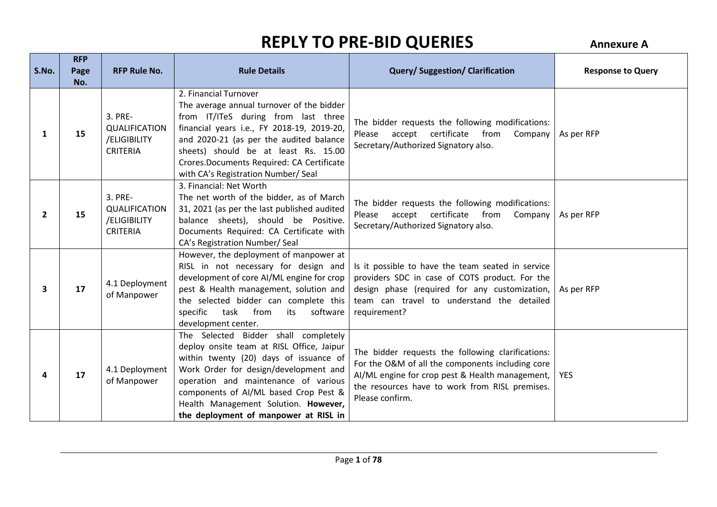| S.No.        | <b>RFP</b><br>Page<br>No. | <b>RFP Rule No.</b>                                                | <b>Rule Details</b>                                                                                                                                                                                                                                                                                                                    | <b>Query/Suggestion/Clarification</b>                                                                                                                                                                                         | <b>Response to Query</b> |
|--------------|---------------------------|--------------------------------------------------------------------|----------------------------------------------------------------------------------------------------------------------------------------------------------------------------------------------------------------------------------------------------------------------------------------------------------------------------------------|-------------------------------------------------------------------------------------------------------------------------------------------------------------------------------------------------------------------------------|--------------------------|
| 1            | 15                        | 3. PRE-<br><b>QUALIFICATION</b><br>/ELIGIBILITY<br><b>CRITERIA</b> | 2. Financial Turnover<br>The average annual turnover of the bidder<br>from IT/ITeS during from last three<br>financial years i.e., FY 2018-19, 2019-20,<br>and 2020-21 (as per the audited balance<br>sheets) should be at least Rs. 15.00<br>Crores. Documents Required: CA Certificate<br>with CA's Registration Number/ Seal        | The bidder requests the following modifications:<br>Please accept certificate from<br>Company<br>Secretary/Authorized Signatory also.                                                                                         | As per RFP               |
| $\mathbf{2}$ | 15                        | 3. PRE-<br>QUALIFICATION<br>/ELIGIBILITY<br><b>CRITERIA</b>        | 3. Financial: Net Worth<br>The net worth of the bidder, as of March<br>31, 2021 (as per the last published audited<br>balance sheets), should be Positive.<br>Documents Required: CA Certificate with<br>CA's Registration Number/ Seal                                                                                                | The bidder requests the following modifications:<br>certificate from<br>Please accept<br>Company<br>Secretary/Authorized Signatory also.                                                                                      | As per RFP               |
| 3            | 17                        | 4.1 Deployment<br>of Manpower                                      | However, the deployment of manpower at<br>RISL in not necessary for design and<br>development of core AI/ML engine for crop<br>pest & Health management, solution and<br>the selected bidder can complete this<br>specific<br>task<br>from<br>software<br>its<br>development center.                                                   | Is it possible to have the team seated in service<br>providers SDC in case of COTS product. For the<br>design phase (required for any customization,<br>team can travel to understand the detailed<br>requirement?            | As per RFP               |
| 4            | 17                        | 4.1 Deployment<br>of Manpower                                      | The Selected Bidder shall completely<br>deploy onsite team at RISL Office, Jaipur<br>within twenty (20) days of issuance of<br>Work Order for design/development and<br>operation and maintenance of various<br>components of AI/ML based Crop Pest &<br>Health Management Solution. However,<br>the deployment of manpower at RISL in | The bidder requests the following clarifications:<br>For the O&M of all the components including core<br>AI/ML engine for crop pest & Health management,<br>the resources have to work from RISL premises.<br>Please confirm. | <b>YES</b>               |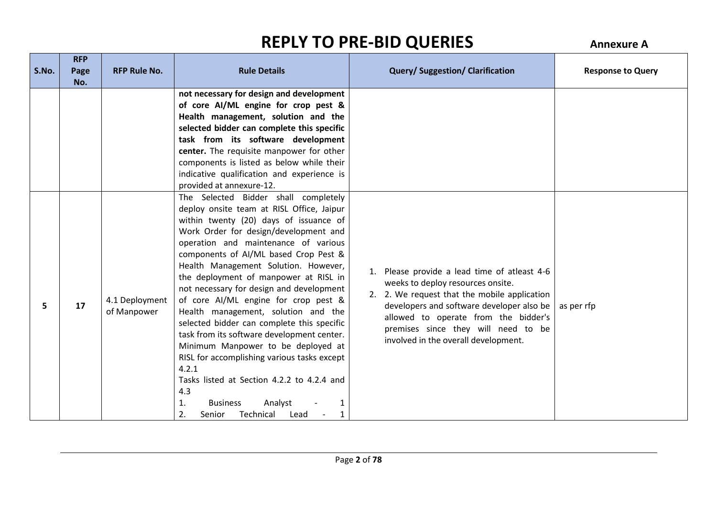|       | <b>RFP</b>  |                               |                                                                                                                                                                                                                                                                                                                                                                                                                                                                                                                                                                                                                                                                                                                                                                                                |                                                                                                                                                                                                                                                                                                       |                          |
|-------|-------------|-------------------------------|------------------------------------------------------------------------------------------------------------------------------------------------------------------------------------------------------------------------------------------------------------------------------------------------------------------------------------------------------------------------------------------------------------------------------------------------------------------------------------------------------------------------------------------------------------------------------------------------------------------------------------------------------------------------------------------------------------------------------------------------------------------------------------------------|-------------------------------------------------------------------------------------------------------------------------------------------------------------------------------------------------------------------------------------------------------------------------------------------------------|--------------------------|
| S.No. | Page<br>No. | <b>RFP Rule No.</b>           | <b>Rule Details</b>                                                                                                                                                                                                                                                                                                                                                                                                                                                                                                                                                                                                                                                                                                                                                                            | <b>Query/Suggestion/Clarification</b>                                                                                                                                                                                                                                                                 | <b>Response to Query</b> |
|       |             |                               | not necessary for design and development<br>of core Al/ML engine for crop pest &<br>Health management, solution and the<br>selected bidder can complete this specific<br>task from its software development<br>center. The requisite manpower for other<br>components is listed as below while their<br>indicative qualification and experience is<br>provided at annexure-12.                                                                                                                                                                                                                                                                                                                                                                                                                 |                                                                                                                                                                                                                                                                                                       |                          |
| 5.    | 17          | 4.1 Deployment<br>of Manpower | The Selected Bidder shall completely<br>deploy onsite team at RISL Office, Jaipur<br>within twenty (20) days of issuance of<br>Work Order for design/development and<br>operation and maintenance of various<br>components of AI/ML based Crop Pest &<br>Health Management Solution. However,<br>the deployment of manpower at RISL in<br>not necessary for design and development<br>of core AI/ML engine for crop pest &<br>Health management, solution and the<br>selected bidder can complete this specific<br>task from its software development center.<br>Minimum Manpower to be deployed at<br>RISL for accomplishing various tasks except<br>4.2.1<br>Tasks listed at Section 4.2.2 to 4.2.4 and<br>4.3<br>Analyst<br>1.<br><b>Business</b><br>2.<br>Senior<br>Technical<br>Lead<br>1 | 1. Please provide a lead time of atleast 4-6<br>weeks to deploy resources onsite.<br>2. 2. We request that the mobile application<br>developers and software developer also be<br>allowed to operate from the bidder's<br>premises since they will need to be<br>involved in the overall development. | as per rfp               |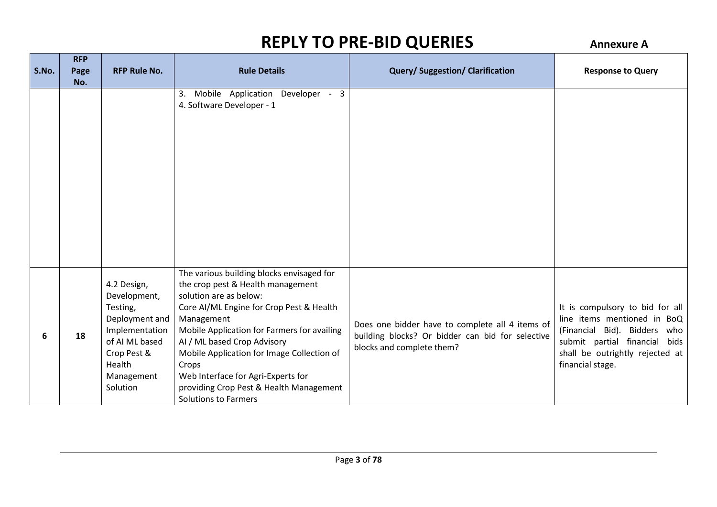|       | <b>RFP</b>  | <b>RFP Rule No.</b>                                                                                                                              | <b>Rule Details</b>                                                                                                                                                                                                                                                                                                                                                                                                     |                                                                                                                                  |                                                                                                                                                                                        |
|-------|-------------|--------------------------------------------------------------------------------------------------------------------------------------------------|-------------------------------------------------------------------------------------------------------------------------------------------------------------------------------------------------------------------------------------------------------------------------------------------------------------------------------------------------------------------------------------------------------------------------|----------------------------------------------------------------------------------------------------------------------------------|----------------------------------------------------------------------------------------------------------------------------------------------------------------------------------------|
| S.No. | Page<br>No. |                                                                                                                                                  |                                                                                                                                                                                                                                                                                                                                                                                                                         | <b>Query/Suggestion/Clarification</b>                                                                                            | <b>Response to Query</b>                                                                                                                                                               |
|       |             |                                                                                                                                                  | Mobile Application Developer - 3<br>3.<br>4. Software Developer - 1                                                                                                                                                                                                                                                                                                                                                     |                                                                                                                                  |                                                                                                                                                                                        |
| 6     | 18          | 4.2 Design,<br>Development,<br>Testing,<br>Deployment and<br>Implementation<br>of AI ML based<br>Crop Pest &<br>Health<br>Management<br>Solution | The various building blocks envisaged for<br>the crop pest & Health management<br>solution are as below:<br>Core AI/ML Engine for Crop Pest & Health<br>Management<br>Mobile Application for Farmers for availing<br>AI / ML based Crop Advisory<br>Mobile Application for Image Collection of<br>Crops<br>Web Interface for Agri-Experts for<br>providing Crop Pest & Health Management<br><b>Solutions to Farmers</b> | Does one bidder have to complete all 4 items of<br>building blocks? Or bidder can bid for selective<br>blocks and complete them? | It is compulsory to bid for all<br>line items mentioned in BoQ<br>(Financial Bid). Bidders who<br>submit partial financial bids<br>shall be outrightly rejected at<br>financial stage. |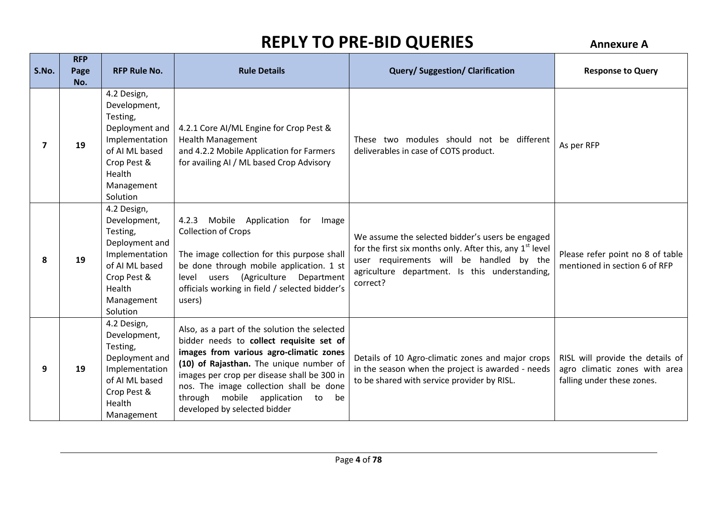| S.No. | <b>RFP</b><br>Page<br>No. | <b>RFP Rule No.</b>                                                                                                                              | <b>Rule Details</b>                                                                                                                                                                                                                                                                                                                                | <b>Query/Suggestion/Clarification</b>                                                                                                                                                                                              | <b>Response to Query</b>                                                                        |
|-------|---------------------------|--------------------------------------------------------------------------------------------------------------------------------------------------|----------------------------------------------------------------------------------------------------------------------------------------------------------------------------------------------------------------------------------------------------------------------------------------------------------------------------------------------------|------------------------------------------------------------------------------------------------------------------------------------------------------------------------------------------------------------------------------------|-------------------------------------------------------------------------------------------------|
|       | 19                        | 4.2 Design,<br>Development,<br>Testing,<br>Deployment and<br>Implementation<br>of AI ML based<br>Crop Pest &<br>Health<br>Management<br>Solution | 4.2.1 Core AI/ML Engine for Crop Pest &<br><b>Health Management</b><br>and 4.2.2 Mobile Application for Farmers<br>for availing AI / ML based Crop Advisory                                                                                                                                                                                        | These two modules should not be different<br>deliverables in case of COTS product.                                                                                                                                                 | As per RFP                                                                                      |
| 8     | 19                        | 4.2 Design,<br>Development,<br>Testing,<br>Deployment and<br>Implementation<br>of AI ML based<br>Crop Pest &<br>Health<br>Management<br>Solution | 4.2.3 Mobile Application<br>for<br>Image<br><b>Collection of Crops</b><br>The image collection for this purpose shall<br>be done through mobile application. 1 st<br>(Agriculture Department<br>level users<br>officials working in field / selected bidder's<br>users)                                                                            | We assume the selected bidder's users be engaged<br>for the first six months only. After this, any 1 <sup>st</sup> level<br>user requirements will be handled by the<br>agriculture department. Is this understanding,<br>correct? | Please refer point no 8 of table<br>mentioned in section 6 of RFP                               |
| 9     | 19                        | 4.2 Design,<br>Development,<br>Testing,<br>Deployment and<br>Implementation<br>of AI ML based<br>Crop Pest &<br>Health<br>Management             | Also, as a part of the solution the selected<br>bidder needs to collect requisite set of<br>images from various agro-climatic zones<br>(10) of Rajasthan. The unique number of<br>images per crop per disease shall be 300 in<br>nos. The image collection shall be done<br>through mobile application<br>to<br>be<br>developed by selected bidder | Details of 10 Agro-climatic zones and major crops<br>in the season when the project is awarded - needs<br>to be shared with service provider by RISL.                                                                              | RISL will provide the details of<br>agro climatic zones with area<br>falling under these zones. |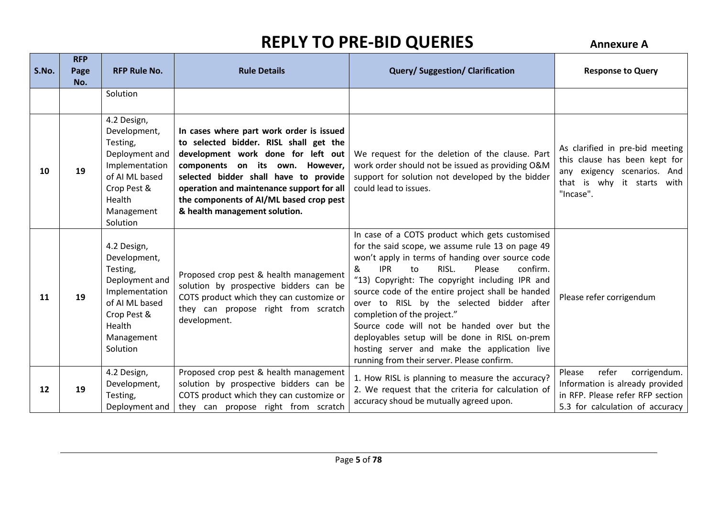| S.No. | <b>RFP</b><br>Page<br>No. | <b>RFP Rule No.</b>                                                                                                                              | <b>Rule Details</b>                                                                                                                                                                                                                                                                                                           | <b>Query/Suggestion/Clarification</b>                                                                                                                                                                                                                                                                                                                                                                                                                                                                                                                                                              | <b>Response to Query</b>                                                                                                                   |
|-------|---------------------------|--------------------------------------------------------------------------------------------------------------------------------------------------|-------------------------------------------------------------------------------------------------------------------------------------------------------------------------------------------------------------------------------------------------------------------------------------------------------------------------------|----------------------------------------------------------------------------------------------------------------------------------------------------------------------------------------------------------------------------------------------------------------------------------------------------------------------------------------------------------------------------------------------------------------------------------------------------------------------------------------------------------------------------------------------------------------------------------------------------|--------------------------------------------------------------------------------------------------------------------------------------------|
|       |                           | Solution                                                                                                                                         |                                                                                                                                                                                                                                                                                                                               |                                                                                                                                                                                                                                                                                                                                                                                                                                                                                                                                                                                                    |                                                                                                                                            |
| 10    | 19                        | 4.2 Design,<br>Development,<br>Testing,<br>Deployment and<br>Implementation<br>of AI ML based<br>Crop Pest &<br>Health<br>Management<br>Solution | In cases where part work order is issued<br>to selected bidder. RISL shall get the<br>development work done for left out<br>components on its own. However,<br>selected bidder shall have to provide<br>operation and maintenance support for all<br>the components of AI/ML based crop pest<br>& health management solution. | We request for the deletion of the clause. Part<br>work order should not be issued as providing O&M<br>support for solution not developed by the bidder<br>could lead to issues.                                                                                                                                                                                                                                                                                                                                                                                                                   | As clarified in pre-bid meeting<br>this clause has been kept for<br>any exigency scenarios. And<br>that is why it starts with<br>"Incase". |
| 11    | 19                        | 4.2 Design,<br>Development,<br>Testing,<br>Deployment and<br>Implementation<br>of AI ML based<br>Crop Pest &<br>Health<br>Management<br>Solution | Proposed crop pest & health management<br>solution by prospective bidders can be<br>COTS product which they can customize or<br>they can propose right from scratch<br>development.                                                                                                                                           | In case of a COTS product which gets customised<br>for the said scope, we assume rule 13 on page 49<br>won't apply in terms of handing over source code<br><b>IPR</b><br>RISL.<br>Please<br>confirm.<br>&<br>to<br>"13) Copyright: The copyright including IPR and<br>source code of the entire project shall be handed<br>over to RISL by the selected bidder after<br>completion of the project."<br>Source code will not be handed over but the<br>deployables setup will be done in RISL on-prem<br>hosting server and make the application live<br>running from their server. Please confirm. | Please refer corrigendum                                                                                                                   |
| 12    | 19                        | 4.2 Design,<br>Development,<br>Testing,<br>Deployment and                                                                                        | Proposed crop pest & health management<br>solution by prospective bidders can be<br>COTS product which they can customize or<br>they can propose right from scratch                                                                                                                                                           | 1. How RISL is planning to measure the accuracy?<br>2. We request that the criteria for calculation of<br>accuracy shoud be mutually agreed upon.                                                                                                                                                                                                                                                                                                                                                                                                                                                  | refer<br>corrigendum.<br>Please<br>Information is already provided<br>in RFP. Please refer RFP section<br>5.3 for calculation of accuracy  |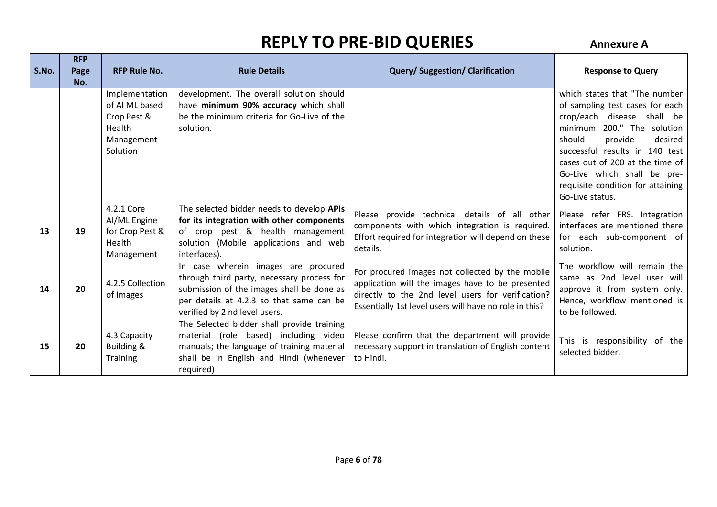| S.No. | <b>RFP</b><br>Page | <b>RFP Rule No.</b>                                                                 | <b>Rule Details</b>                                                                                                                                                                                         | <b>Query/Suggestion/Clarification</b>                                                                                                                                                                              | <b>Response to Query</b>                                                                                                                                                                                                                                                                                                    |
|-------|--------------------|-------------------------------------------------------------------------------------|-------------------------------------------------------------------------------------------------------------------------------------------------------------------------------------------------------------|--------------------------------------------------------------------------------------------------------------------------------------------------------------------------------------------------------------------|-----------------------------------------------------------------------------------------------------------------------------------------------------------------------------------------------------------------------------------------------------------------------------------------------------------------------------|
|       | No.                | Implementation<br>of AI ML based<br>Crop Pest &<br>Health<br>Management<br>Solution | development. The overall solution should<br>have minimum 90% accuracy which shall<br>be the minimum criteria for Go-Live of the<br>solution.                                                                |                                                                                                                                                                                                                    | which states that "The number<br>of sampling test cases for each<br>crop/each disease shall be<br>200." The solution<br>minimum<br>should<br>provide<br>desired<br>successful results in 140 test<br>cases out of 200 at the time of<br>Go-Live which shall be pre-<br>requisite condition for attaining<br>Go-Live status. |
| 13    | 19                 | 4.2.1 Core<br>Al/ML Engine<br>for Crop Pest &<br>Health<br>Management               | The selected bidder needs to develop APIs<br>for its integration with other components<br>of crop pest & health management<br>solution (Mobile applications and web<br>interfaces).                         | Please provide technical details of all other<br>components with which integration is required.<br>Effort required for integration will depend on these<br>details.                                                | Please refer FRS. Integration<br>interfaces are mentioned there<br>for each sub-component of<br>solution.                                                                                                                                                                                                                   |
| 14    | 20                 | 4.2.5 Collection<br>of Images                                                       | In case wherein images are procured<br>through third party, necessary process for<br>submission of the images shall be done as<br>per details at 4.2.3 so that same can be<br>verified by 2 nd level users. | For procured images not collected by the mobile<br>application will the images have to be presented<br>directly to the 2nd level users for verification?<br>Essentially 1st level users will have no role in this? | The workflow will remain the<br>same as 2nd level user will<br>approve it from system only.<br>Hence, workflow mentioned is<br>to be followed.                                                                                                                                                                              |
| 15    | 20                 | 4.3 Capacity<br><b>Building &amp;</b><br><b>Training</b>                            | The Selected bidder shall provide training<br>material (role based) including video<br>manuals; the language of training material<br>shall be in English and Hindi (whenever<br>required)                   | Please confirm that the department will provide<br>necessary support in translation of English content<br>to Hindi.                                                                                                | This is responsibility of the<br>selected bidder.                                                                                                                                                                                                                                                                           |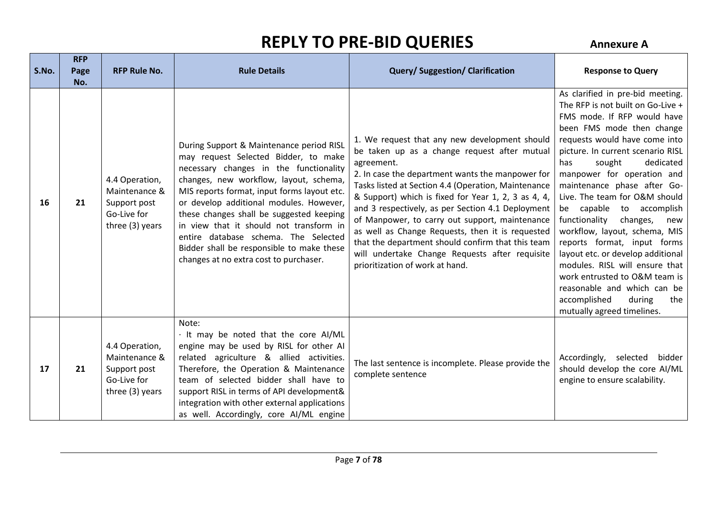| S.No. | <b>RFP</b><br>Page<br>No. | <b>RFP Rule No.</b>                                                               | <b>Rule Details</b>                                                                                                                                                                                                                                                                                                                                                                                                                                                                  | <b>Query/Suggestion/Clarification</b>                                                                                                                                                                                                                                                                                                                                                                                                                                                                                                                                              | <b>Response to Query</b>                                                                                                                                                                                                                                                                                                                                                                                                                                                                                                                                                                                                                                                  |
|-------|---------------------------|-----------------------------------------------------------------------------------|--------------------------------------------------------------------------------------------------------------------------------------------------------------------------------------------------------------------------------------------------------------------------------------------------------------------------------------------------------------------------------------------------------------------------------------------------------------------------------------|------------------------------------------------------------------------------------------------------------------------------------------------------------------------------------------------------------------------------------------------------------------------------------------------------------------------------------------------------------------------------------------------------------------------------------------------------------------------------------------------------------------------------------------------------------------------------------|---------------------------------------------------------------------------------------------------------------------------------------------------------------------------------------------------------------------------------------------------------------------------------------------------------------------------------------------------------------------------------------------------------------------------------------------------------------------------------------------------------------------------------------------------------------------------------------------------------------------------------------------------------------------------|
| 16    | 21                        | 4.4 Operation,<br>Maintenance &<br>Support post<br>Go-Live for<br>three (3) years | During Support & Maintenance period RISL<br>may request Selected Bidder, to make<br>necessary changes in the functionality<br>changes, new workflow, layout, schema,<br>MIS reports format, input forms layout etc.<br>or develop additional modules. However,<br>these changes shall be suggested keeping<br>in view that it should not transform in<br>entire database schema. The Selected<br>Bidder shall be responsible to make these<br>changes at no extra cost to purchaser. | 1. We request that any new development should<br>be taken up as a change request after mutual<br>agreement.<br>2. In case the department wants the manpower for<br>Tasks listed at Section 4.4 (Operation, Maintenance<br>& Support) which is fixed for Year 1, 2, 3 as 4, 4,<br>and 3 respectively, as per Section 4.1 Deployment<br>of Manpower, to carry out support, maintenance<br>as well as Change Requests, then it is requested<br>that the department should confirm that this team<br>will undertake Change Requests after requisite<br>prioritization of work at hand. | As clarified in pre-bid meeting.<br>The RFP is not built on Go-Live +<br>FMS mode. If RFP would have<br>been FMS mode then change<br>requests would have come into<br>picture. In current scenario RISL<br>sought<br>dedicated<br>has<br>manpower for operation and<br>maintenance phase after Go-<br>Live. The team for O&M should<br>be capable to accomplish<br>functionality<br>changes,<br>new<br>workflow, layout, schema, MIS<br>reports format, input forms<br>layout etc. or develop additional<br>modules. RISL will ensure that<br>work entrusted to O&M team is<br>reasonable and which can be<br>accomplished<br>during<br>the<br>mutually agreed timelines. |
| 17    | 21                        | 4.4 Operation,<br>Maintenance &<br>Support post<br>Go-Live for<br>three (3) years | Note:<br>It may be noted that the core AI/ML<br>engine may be used by RISL for other AI<br>related agriculture & allied activities.<br>Therefore, the Operation & Maintenance<br>team of selected bidder shall have to<br>support RISL in terms of API development&<br>integration with other external applications<br>as well. Accordingly, core AI/ML engine                                                                                                                       | The last sentence is incomplete. Please provide the<br>complete sentence                                                                                                                                                                                                                                                                                                                                                                                                                                                                                                           | Accordingly, selected bidder<br>should develop the core AI/ML<br>engine to ensure scalability.                                                                                                                                                                                                                                                                                                                                                                                                                                                                                                                                                                            |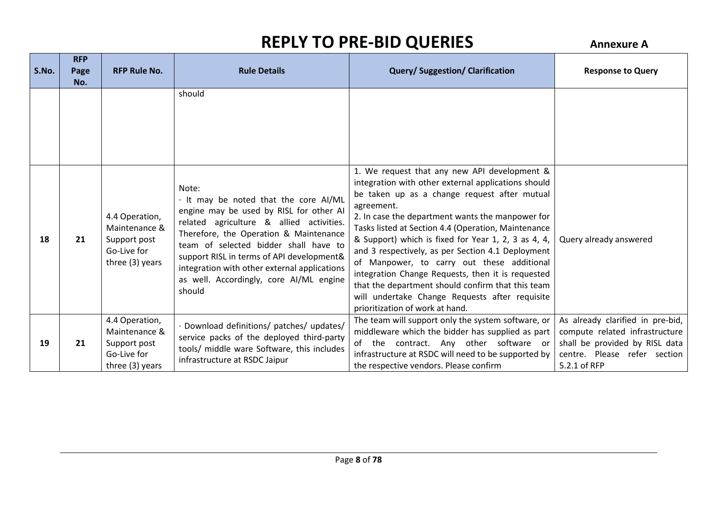| S.No. | <b>RFP</b><br>Page<br>No. | <b>RFP Rule No.</b>                                                               | <b>Rule Details</b>                                                                                                                                                                                                                                                                                                                                                      | <b>Query/Suggestion/Clarification</b>                                                                                                                                                                                                                                                                                                                                                                                                                                                                                                                                                                                                 | <b>Response to Query</b>                                                                                                                             |
|-------|---------------------------|-----------------------------------------------------------------------------------|--------------------------------------------------------------------------------------------------------------------------------------------------------------------------------------------------------------------------------------------------------------------------------------------------------------------------------------------------------------------------|---------------------------------------------------------------------------------------------------------------------------------------------------------------------------------------------------------------------------------------------------------------------------------------------------------------------------------------------------------------------------------------------------------------------------------------------------------------------------------------------------------------------------------------------------------------------------------------------------------------------------------------|------------------------------------------------------------------------------------------------------------------------------------------------------|
|       |                           |                                                                                   | should                                                                                                                                                                                                                                                                                                                                                                   |                                                                                                                                                                                                                                                                                                                                                                                                                                                                                                                                                                                                                                       |                                                                                                                                                      |
| 18    | 21                        | 4.4 Operation,<br>Maintenance &<br>Support post<br>Go-Live for<br>three (3) years | Note:<br>It may be noted that the core AI/ML<br>engine may be used by RISL for other AI<br>related agriculture & allied activities.<br>Therefore, the Operation & Maintenance<br>team of selected bidder shall have to<br>support RISL in terms of API development&<br>integration with other external applications<br>as well. Accordingly, core AI/ML engine<br>should | 1. We request that any new API development &<br>integration with other external applications should<br>be taken up as a change request after mutual<br>agreement.<br>2. In case the department wants the manpower for<br>Tasks listed at Section 4.4 (Operation, Maintenance<br>& Support) which is fixed for Year 1, 2, 3 as 4, 4,<br>and 3 respectively, as per Section 4.1 Deployment<br>of Manpower, to carry out these additional<br>integration Change Requests, then it is requested<br>that the department should confirm that this team<br>will undertake Change Requests after requisite<br>prioritization of work at hand. | Query already answered                                                                                                                               |
| 19    | 21                        | 4.4 Operation,<br>Maintenance &<br>Support post<br>Go-Live for<br>three (3) years | Download definitions/ patches/ updates/<br>service packs of the deployed third-party<br>tools/ middle ware Software, this includes<br>infrastructure at RSDC Jaipur                                                                                                                                                                                                      | The team will support only the system software, or<br>middleware which the bidder has supplied as part<br>the contract. Any other software or<br>of<br>infrastructure at RSDC will need to be supported by<br>the respective vendors. Please confirm                                                                                                                                                                                                                                                                                                                                                                                  | As already clarified in pre-bid,<br>compute related infrastructure<br>shall be provided by RISL data<br>centre. Please refer section<br>5.2.1 of RFP |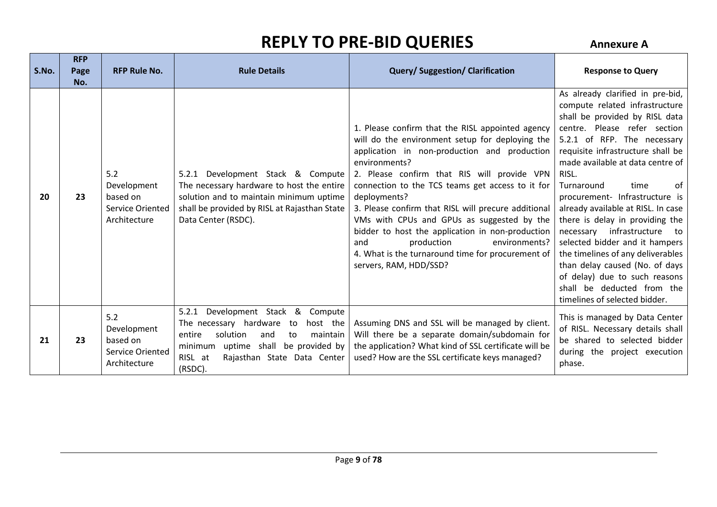| S.No. | <b>RFP</b><br>Page<br>No. | <b>RFP Rule No.</b>                                                       | <b>Rule Details</b>                                                                                                                                                                                                                  | <b>Query/Suggestion/Clarification</b>                                                                                                                                                                                                                                                                                                                                                                                                                                                                                                                                 | <b>Response to Query</b>                                                                                                                                                                                                                                                                                                                                                                                                                                                                                                                                                                                                                |
|-------|---------------------------|---------------------------------------------------------------------------|--------------------------------------------------------------------------------------------------------------------------------------------------------------------------------------------------------------------------------------|-----------------------------------------------------------------------------------------------------------------------------------------------------------------------------------------------------------------------------------------------------------------------------------------------------------------------------------------------------------------------------------------------------------------------------------------------------------------------------------------------------------------------------------------------------------------------|-----------------------------------------------------------------------------------------------------------------------------------------------------------------------------------------------------------------------------------------------------------------------------------------------------------------------------------------------------------------------------------------------------------------------------------------------------------------------------------------------------------------------------------------------------------------------------------------------------------------------------------------|
| 20    | 23                        | 5.2<br>Development<br>based on<br>Service Oriented<br>Architecture        | 5.2.1 Development Stack & Compute<br>The necessary hardware to host the entire<br>solution and to maintain minimum uptime<br>shall be provided by RISL at Rajasthan State<br>Data Center (RSDC).                                     | 1. Please confirm that the RISL appointed agency<br>will do the environment setup for deploying the<br>application in non-production and production<br>environments?<br>2. Please confirm that RIS will provide VPN<br>connection to the TCS teams get access to it for<br>deployments?<br>3. Please confirm that RISL will precure additional<br>VMs with CPUs and GPUs as suggested by the<br>bidder to host the application in non-production<br>production<br>environments?<br>and<br>4. What is the turnaround time for procurement of<br>servers, RAM, HDD/SSD? | As already clarified in pre-bid,<br>compute related infrastructure<br>shall be provided by RISL data<br>centre. Please refer section<br>5.2.1 of RFP. The necessary<br>requisite infrastructure shall be<br>made available at data centre of<br>RISL.<br>Turnaround<br>time<br>0f<br>procurement- Infrastructure is<br>already available at RISL. In case<br>there is delay in providing the<br>necessary infrastructure<br>to<br>selected bidder and it hampers<br>the timelines of any deliverables<br>than delay caused (No. of days<br>of delay) due to such reasons<br>shall be deducted from the<br>timelines of selected bidder. |
| 21    | 23                        | 5.2<br>Development<br>based on<br><b>Service Oriented</b><br>Architecture | Development Stack<br>& Compute<br>5.2.1<br>The necessary hardware<br>host the<br>to<br>solution<br>entire<br>maintain<br>and<br>to<br>uptime shall<br>be provided by<br>minimum<br>RISL at<br>Rajasthan State Data Center<br>(RSDC). | Assuming DNS and SSL will be managed by client.<br>Will there be a separate domain/subdomain for<br>the application? What kind of SSL certificate will be<br>used? How are the SSL certificate keys managed?                                                                                                                                                                                                                                                                                                                                                          | This is managed by Data Center<br>of RISL. Necessary details shall<br>be shared to selected bidder<br>during the project execution<br>phase.                                                                                                                                                                                                                                                                                                                                                                                                                                                                                            |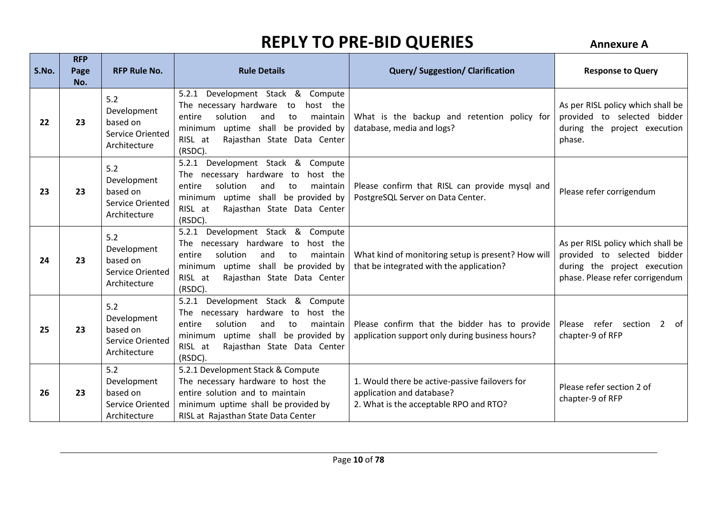| S.No. | <b>RFP</b><br>Page<br>No. | <b>RFP Rule No.</b>                                                       | <b>Rule Details</b>                                                                                                                                                                                                      | <b>Query/Suggestion/Clarification</b>                                                                                 | <b>Response to Query</b>                                                                                                            |
|-------|---------------------------|---------------------------------------------------------------------------|--------------------------------------------------------------------------------------------------------------------------------------------------------------------------------------------------------------------------|-----------------------------------------------------------------------------------------------------------------------|-------------------------------------------------------------------------------------------------------------------------------------|
| 22    | 23                        | 5.2<br>Development<br>based on<br>Service Oriented<br>Architecture        | 5.2.1 Development Stack & Compute<br>The necessary hardware<br>to<br>host the<br>solution<br>and<br>entire<br>to<br>maintain<br>minimum uptime shall be provided by<br>Rajasthan State Data Center<br>RISL at<br>(RSDC). | What is the backup and retention policy for<br>database, media and logs?                                              | As per RISL policy which shall be<br>provided to selected bidder<br>during the project execution<br>phase.                          |
| 23    | 23                        | 5.2<br>Development<br>based on<br><b>Service Oriented</b><br>Architecture | 5.2.1 Development Stack & Compute<br>The necessary hardware to<br>host the<br>entire<br>solution<br>maintain<br>and<br>to<br>minimum uptime shall be provided by<br>Rajasthan State Data Center<br>RISL at<br>(RSDC).    | Please confirm that RISL can provide mysql and<br>PostgreSQL Server on Data Center.                                   | Please refer corrigendum                                                                                                            |
| 24    | 23                        | 5.2<br>Development<br>based on<br>Service Oriented<br>Architecture        | 5.2.1 Development Stack & Compute<br>The necessary hardware to<br>host the<br>entire<br>solution<br>maintain<br>and<br>to<br>uptime shall be provided by<br>minimum<br>Rajasthan State Data Center<br>RISL at<br>(RSDC). | What kind of monitoring setup is present? How will<br>that be integrated with the application?                        | As per RISL policy which shall be<br>provided to selected bidder<br>during the project execution<br>phase. Please refer corrigendum |
| 25    | 23                        | 5.2<br>Development<br>based on<br>Service Oriented<br>Architecture        | 5.2.1 Development Stack & Compute<br>The necessary hardware to<br>host the<br>solution<br>entire<br>maintain<br>and<br>to<br>uptime shall be provided by<br>minimum<br>Rajasthan State Data Center<br>RISL at<br>(RSDC). | Please confirm that the bidder has to provide<br>application support only during business hours?                      | Please refer section 2 of<br>chapter-9 of RFP                                                                                       |
| 26    | 23                        | 5.2<br>Development<br>based on<br>Service Oriented<br>Architecture        | 5.2.1 Development Stack & Compute<br>The necessary hardware to host the<br>entire solution and to maintain<br>minimum uptime shall be provided by<br>RISL at Rajasthan State Data Center                                 | 1. Would there be active-passive failovers for<br>application and database?<br>2. What is the acceptable RPO and RTO? | Please refer section 2 of<br>chapter-9 of RFP                                                                                       |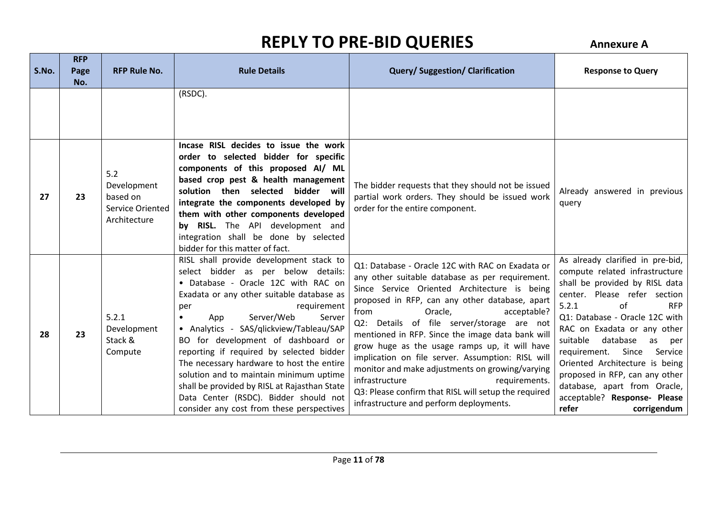| S.No. | <b>RFP</b><br>Page<br>No. | <b>RFP Rule No.</b>                                                       | <b>Rule Details</b>                                                                                                                                                                                                                                                                                                                                                                                                                                                                                                                                                                             | <b>Query/Suggestion/Clarification</b>                                                                                                                                                                                                                                                                                                                                                                                                                                                                                                                                                                                                    | <b>Response to Query</b>                                                                                                                                                                                                                                                                                                                                                                                                                                                |
|-------|---------------------------|---------------------------------------------------------------------------|-------------------------------------------------------------------------------------------------------------------------------------------------------------------------------------------------------------------------------------------------------------------------------------------------------------------------------------------------------------------------------------------------------------------------------------------------------------------------------------------------------------------------------------------------------------------------------------------------|------------------------------------------------------------------------------------------------------------------------------------------------------------------------------------------------------------------------------------------------------------------------------------------------------------------------------------------------------------------------------------------------------------------------------------------------------------------------------------------------------------------------------------------------------------------------------------------------------------------------------------------|-------------------------------------------------------------------------------------------------------------------------------------------------------------------------------------------------------------------------------------------------------------------------------------------------------------------------------------------------------------------------------------------------------------------------------------------------------------------------|
|       |                           |                                                                           | (RSDC).                                                                                                                                                                                                                                                                                                                                                                                                                                                                                                                                                                                         |                                                                                                                                                                                                                                                                                                                                                                                                                                                                                                                                                                                                                                          |                                                                                                                                                                                                                                                                                                                                                                                                                                                                         |
| 27    | 23                        | 5.2<br>Development<br>based on<br><b>Service Oriented</b><br>Architecture | Incase RISL decides to issue the work<br>order to selected bidder for specific<br>components of this proposed AI/ ML<br>based crop pest & health management<br>bidder will<br>solution then selected<br>integrate the components developed by<br>them with other components developed<br>by RISL. The API development and<br>integration shall be done by selected<br>bidder for this matter of fact.                                                                                                                                                                                           | The bidder requests that they should not be issued<br>partial work orders. They should be issued work<br>order for the entire component.                                                                                                                                                                                                                                                                                                                                                                                                                                                                                                 | Already answered in previous<br>query                                                                                                                                                                                                                                                                                                                                                                                                                                   |
| 28    | 23                        | 5.2.1<br>Development<br>Stack &<br>Compute                                | RISL shall provide development stack to<br>select bidder as per below details:<br>• Database - Oracle 12C with RAC on<br>Exadata or any other suitable database as<br>requirement<br>per<br>Server/Web<br>Server<br>App<br>$\bullet$<br>• Analytics - SAS/qlickview/Tableau/SAP<br>BO for development of dashboard or<br>reporting if required by selected bidder<br>The necessary hardware to host the entire<br>solution and to maintain minimum uptime<br>shall be provided by RISL at Rajasthan State<br>Data Center (RSDC). Bidder should not<br>consider any cost from these perspectives | Q1: Database - Oracle 12C with RAC on Exadata or<br>any other suitable database as per requirement.<br>Since Service Oriented Architecture is being<br>proposed in RFP, can any other database, apart<br>Oracle,<br>acceptable?<br>from<br>Q2: Details of file server/storage are not<br>mentioned in RFP. Since the image data bank will<br>grow huge as the usage ramps up, it will have<br>implication on file server. Assumption: RISL will<br>monitor and make adjustments on growing/varying<br>requirements.<br>infrastructure<br>Q3: Please confirm that RISL will setup the required<br>infrastructure and perform deployments. | As already clarified in pre-bid,<br>compute related infrastructure<br>shall be provided by RISL data<br>center. Please refer section<br>of<br>5.2.1<br><b>RFP</b><br>Q1: Database - Oracle 12C with<br>RAC on Exadata or any other<br>database<br>suitable<br>as<br>per<br>Since<br>requirement.<br>Service<br>Oriented Architecture is being<br>proposed in RFP, can any other<br>database, apart from Oracle,<br>acceptable? Response- Please<br>refer<br>corrigendum |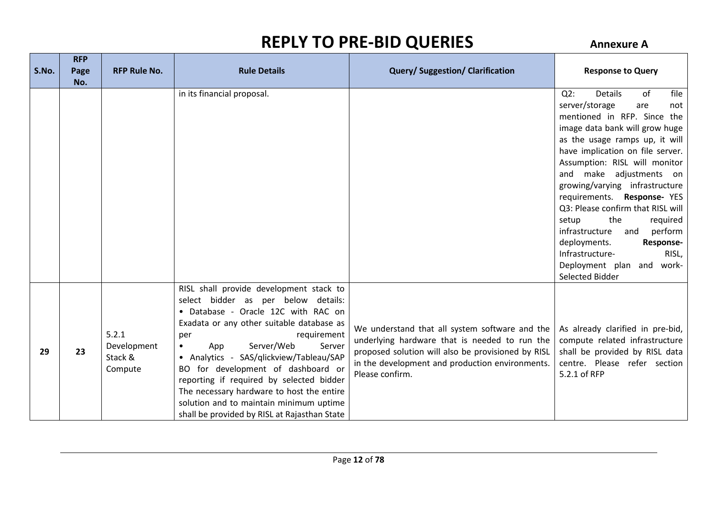| S.No. | <b>RFP</b><br>Page | <b>RFP Rule No.</b>                        | <b>Rule Details</b>                                                                                                                                                                                                                                                                                                                                                                                                                                                                                       | <b>Query/Suggestion/Clarification</b>                                                                                                                                                                                       | <b>Response to Query</b>                                                                                                                                                                                                                                                                                                                                                                                                                                                                                                                             |
|-------|--------------------|--------------------------------------------|-----------------------------------------------------------------------------------------------------------------------------------------------------------------------------------------------------------------------------------------------------------------------------------------------------------------------------------------------------------------------------------------------------------------------------------------------------------------------------------------------------------|-----------------------------------------------------------------------------------------------------------------------------------------------------------------------------------------------------------------------------|------------------------------------------------------------------------------------------------------------------------------------------------------------------------------------------------------------------------------------------------------------------------------------------------------------------------------------------------------------------------------------------------------------------------------------------------------------------------------------------------------------------------------------------------------|
|       | No.                |                                            |                                                                                                                                                                                                                                                                                                                                                                                                                                                                                                           |                                                                                                                                                                                                                             |                                                                                                                                                                                                                                                                                                                                                                                                                                                                                                                                                      |
|       |                    |                                            | in its financial proposal.                                                                                                                                                                                                                                                                                                                                                                                                                                                                                |                                                                                                                                                                                                                             | $Q2$ :<br><b>Details</b><br>of<br>file<br>server/storage<br>are<br>not<br>mentioned in RFP. Since the<br>image data bank will grow huge<br>as the usage ramps up, it will<br>have implication on file server.<br>Assumption: RISL will monitor<br>and make adjustments on<br>growing/varying infrastructure<br>requirements. Response-YES<br>Q3: Please confirm that RISL will<br>setup<br>the<br>required<br>infrastructure and<br>perform<br>deployments.<br>Response-<br>Infrastructure-<br>RISL,<br>Deployment plan and work-<br>Selected Bidder |
| 29    | 23                 | 5.2.1<br>Development<br>Stack &<br>Compute | RISL shall provide development stack to<br>select bidder as per below details:<br>• Database - Oracle 12C with RAC on<br>Exadata or any other suitable database as<br>requirement<br>per<br>Server/Web<br>Server<br>$\bullet$<br>App<br>• Analytics - SAS/qlickview/Tableau/SAP<br>BO for development of dashboard or<br>reporting if required by selected bidder<br>The necessary hardware to host the entire<br>solution and to maintain minimum uptime<br>shall be provided by RISL at Rajasthan State | We understand that all system software and the<br>underlying hardware that is needed to run the<br>proposed solution will also be provisioned by RISL<br>in the development and production environments.<br>Please confirm. | As already clarified in pre-bid,<br>compute related infrastructure<br>shall be provided by RISL data<br>centre. Please refer section<br>5.2.1 of RFP                                                                                                                                                                                                                                                                                                                                                                                                 |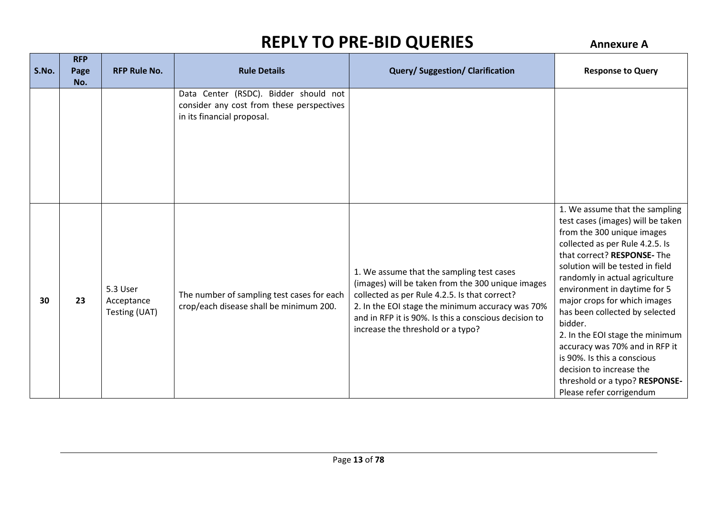| S.No. | <b>RFP</b><br>Page<br>No. | <b>RFP Rule No.</b>                     | <b>Rule Details</b>                                                                                              | <b>Query/Suggestion/Clarification</b>                                                                                                                                                                                                                                                             | <b>Response to Query</b>                                                                                                                                                                                                                                                                                                                                                                                                                                                                                                                             |
|-------|---------------------------|-----------------------------------------|------------------------------------------------------------------------------------------------------------------|---------------------------------------------------------------------------------------------------------------------------------------------------------------------------------------------------------------------------------------------------------------------------------------------------|------------------------------------------------------------------------------------------------------------------------------------------------------------------------------------------------------------------------------------------------------------------------------------------------------------------------------------------------------------------------------------------------------------------------------------------------------------------------------------------------------------------------------------------------------|
|       |                           |                                         | Data Center (RSDC). Bidder should not<br>consider any cost from these perspectives<br>in its financial proposal. |                                                                                                                                                                                                                                                                                                   |                                                                                                                                                                                                                                                                                                                                                                                                                                                                                                                                                      |
| 30    | 23                        | 5.3 User<br>Acceptance<br>Testing (UAT) | The number of sampling test cases for each<br>crop/each disease shall be minimum 200.                            | 1. We assume that the sampling test cases<br>(images) will be taken from the 300 unique images<br>collected as per Rule 4.2.5. Is that correct?<br>2. In the EOI stage the minimum accuracy was 70%<br>and in RFP it is 90%. Is this a conscious decision to<br>increase the threshold or a typo? | 1. We assume that the sampling<br>test cases (images) will be taken<br>from the 300 unique images<br>collected as per Rule 4.2.5. Is<br>that correct? RESPONSE- The<br>solution will be tested in field<br>randomly in actual agriculture<br>environment in daytime for 5<br>major crops for which images<br>has been collected by selected<br>bidder.<br>2. In the EOI stage the minimum<br>accuracy was 70% and in RFP it<br>is 90%. Is this a conscious<br>decision to increase the<br>threshold or a typo? RESPONSE-<br>Please refer corrigendum |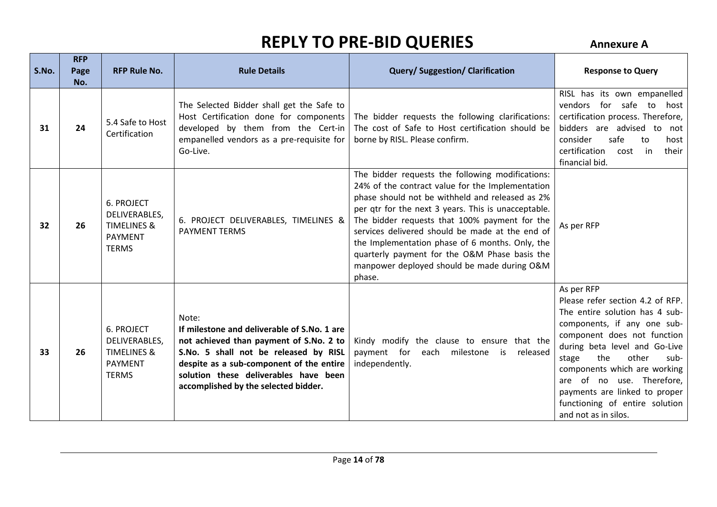| S.No. | <b>RFP</b><br>Page<br>No. | <b>RFP Rule No.</b>                                                                            | <b>Rule Details</b>                                                                                                                                                                                                                                                   | <b>Query/Suggestion/Clarification</b>                                                                                                                                                                                                                                                                                                                                                                                                                                           | <b>Response to Query</b>                                                                                                                                                                                                                                                                                                                                                 |
|-------|---------------------------|------------------------------------------------------------------------------------------------|-----------------------------------------------------------------------------------------------------------------------------------------------------------------------------------------------------------------------------------------------------------------------|---------------------------------------------------------------------------------------------------------------------------------------------------------------------------------------------------------------------------------------------------------------------------------------------------------------------------------------------------------------------------------------------------------------------------------------------------------------------------------|--------------------------------------------------------------------------------------------------------------------------------------------------------------------------------------------------------------------------------------------------------------------------------------------------------------------------------------------------------------------------|
| 31    | 24                        | 5.4 Safe to Host<br>Certification                                                              | The Selected Bidder shall get the Safe to<br>Host Certification done for components<br>developed by them from the Cert-in<br>empanelled vendors as a pre-requisite for<br>Go-Live.                                                                                    | The bidder requests the following clarifications:<br>The cost of Safe to Host certification should be<br>borne by RISL. Please confirm.                                                                                                                                                                                                                                                                                                                                         | RISL has its own empanelled<br>vendors for safe to host<br>certification process. Therefore,<br>bidders are advised to not<br>consider<br>safe<br>host<br>to<br>certification<br>their<br>cost<br>in<br>financial bid.                                                                                                                                                   |
| 32    | 26                        | <b>6. PROJECT</b><br>DELIVERABLES,<br><b>TIMELINES &amp;</b><br><b>PAYMENT</b><br><b>TERMS</b> | 6. PROJECT DELIVERABLES, TIMELINES &<br><b>PAYMENT TERMS</b>                                                                                                                                                                                                          | The bidder requests the following modifications:<br>24% of the contract value for the Implementation<br>phase should not be withheld and released as 2%<br>per qtr for the next 3 years. This is unacceptable.<br>The bidder requests that 100% payment for the<br>services delivered should be made at the end of<br>the Implementation phase of 6 months. Only, the<br>quarterly payment for the O&M Phase basis the<br>manpower deployed should be made during O&M<br>phase. | As per RFP                                                                                                                                                                                                                                                                                                                                                               |
| 33    | 26                        | 6. PROJECT<br>DELIVERABLES,<br><b>TIMELINES &amp;</b><br><b>PAYMENT</b><br><b>TERMS</b>        | Note:<br>If milestone and deliverable of S.No. 1 are<br>not achieved than payment of S.No. 2 to<br>S.No. 5 shall not be released by RISL<br>despite as a sub-component of the entire<br>solution these deliverables have been<br>accomplished by the selected bidder. | Kindy modify the clause to ensure that the<br>payment for<br>milestone<br>each<br>released<br>is<br>independently.                                                                                                                                                                                                                                                                                                                                                              | As per RFP<br>Please refer section 4.2 of RFP.<br>The entire solution has 4 sub-<br>components, if any one sub-<br>component does not function<br>during beta level and Go-Live<br>the<br>other<br>stage<br>sub-<br>components which are working<br>are of no use. Therefore,<br>payments are linked to proper<br>functioning of entire solution<br>and not as in silos. |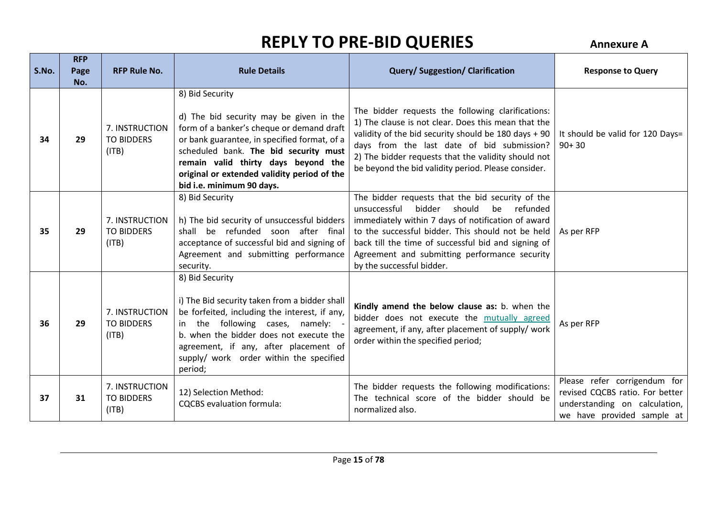| S.No. | <b>RFP</b><br>Page<br>No. | <b>RFP Rule No.</b>                          | <b>Rule Details</b>                                                                                                                                                                                                                                                                                                 | <b>Query/Suggestion/Clarification</b>                                                                                                                                                                                                                                                                                                               | <b>Response to Query</b>                                                                                                       |
|-------|---------------------------|----------------------------------------------|---------------------------------------------------------------------------------------------------------------------------------------------------------------------------------------------------------------------------------------------------------------------------------------------------------------------|-----------------------------------------------------------------------------------------------------------------------------------------------------------------------------------------------------------------------------------------------------------------------------------------------------------------------------------------------------|--------------------------------------------------------------------------------------------------------------------------------|
| 34    | 29                        | 7. INSTRUCTION<br><b>TO BIDDERS</b><br>(ITB) | 8) Bid Security<br>d) The bid security may be given in the<br>form of a banker's cheque or demand draft<br>or bank guarantee, in specified format, of a<br>scheduled bank. The bid security must<br>remain valid thirty days beyond the<br>original or extended validity period of the<br>bid i.e. minimum 90 days. | The bidder requests the following clarifications:<br>1) The clause is not clear. Does this mean that the<br>validity of the bid security should be 180 days + 90<br>days from the last date of bid submission?<br>2) The bidder requests that the validity should not<br>be beyond the bid validity period. Please consider.                        | It should be valid for 120 Days=<br>$90+30$                                                                                    |
| 35    | 29                        | 7. INSTRUCTION<br><b>TO BIDDERS</b><br>(ITB) | 8) Bid Security<br>h) The bid security of unsuccessful bidders<br>be refunded soon after final<br>shall<br>acceptance of successful bid and signing of<br>Agreement and submitting performance<br>security.                                                                                                         | The bidder requests that the bid security of the<br>unsuccessful<br>be refunded<br>bidder<br>should<br>immediately within 7 days of notification of award<br>to the successful bidder. This should not be held<br>back till the time of successful bid and signing of<br>Agreement and submitting performance security<br>by the successful bidder. | As per RFP                                                                                                                     |
| 36    | 29                        | 7. INSTRUCTION<br><b>TO BIDDERS</b><br>(ITB) | 8) Bid Security<br>i) The Bid security taken from a bidder shall<br>be forfeited, including the interest, if any,<br>the following cases, namely:<br>b. when the bidder does not execute the<br>agreement, if any, after placement of<br>supply/ work order within the specified<br>period;                         | Kindly amend the below clause as: b. when the<br>bidder does not execute the mutually agreed<br>agreement, if any, after placement of supply/ work<br>order within the specified period;                                                                                                                                                            | As per RFP                                                                                                                     |
| 37    | 31                        | 7. INSTRUCTION<br><b>TO BIDDERS</b><br>(ITB) | 12) Selection Method:<br><b>CQCBS</b> evaluation formula:                                                                                                                                                                                                                                                           | The bidder requests the following modifications:<br>The technical score of the bidder should be<br>normalized also.                                                                                                                                                                                                                                 | Please refer corrigendum for<br>revised CQCBS ratio. For better<br>understanding on calculation,<br>we have provided sample at |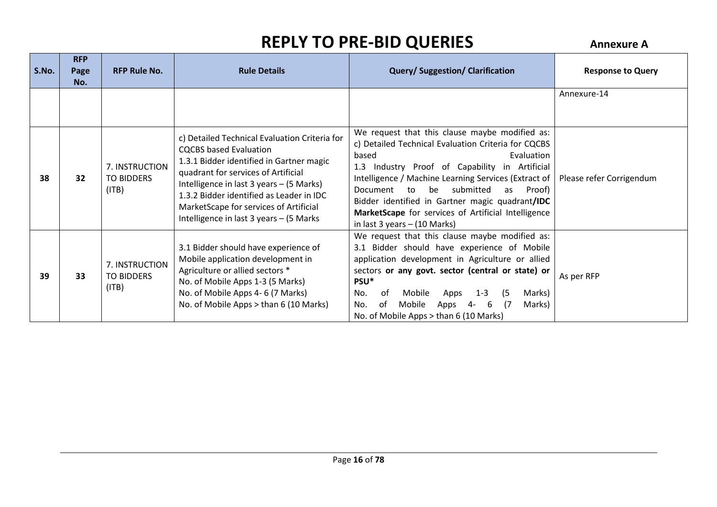| S.No. | <b>RFP</b><br>Page<br>No. | <b>RFP Rule No.</b>                          | <b>Rule Details</b>                                                                                                                                                                                                                                                                                                                             | <b>Query/Suggestion/Clarification</b>                                                                                                                                                                                                                                                                                                                                                                                              | <b>Response to Query</b> |
|-------|---------------------------|----------------------------------------------|-------------------------------------------------------------------------------------------------------------------------------------------------------------------------------------------------------------------------------------------------------------------------------------------------------------------------------------------------|------------------------------------------------------------------------------------------------------------------------------------------------------------------------------------------------------------------------------------------------------------------------------------------------------------------------------------------------------------------------------------------------------------------------------------|--------------------------|
|       |                           |                                              |                                                                                                                                                                                                                                                                                                                                                 |                                                                                                                                                                                                                                                                                                                                                                                                                                    | Annexure-14              |
| 38    | 32                        | 7. INSTRUCTION<br><b>TO BIDDERS</b><br>(ITB) | c) Detailed Technical Evaluation Criteria for<br><b>CQCBS</b> based Evaluation<br>1.3.1 Bidder identified in Gartner magic<br>quadrant for services of Artificial<br>Intelligence in last 3 years - (5 Marks)<br>1.3.2 Bidder identified as Leader in IDC<br>MarketScape for services of Artificial<br>Intelligence in last 3 years - (5 Marks) | We request that this clause maybe modified as:<br>c) Detailed Technical Evaluation Criteria for CQCBS<br>Evaluation<br>based<br>1.3 Industry Proof of Capability in Artificial<br>Intelligence / Machine Learning Services (Extract of  <br>be submitted<br>Document to<br>as Proof)<br>Bidder identified in Gartner magic quadrant/IDC<br>MarketScape for services of Artificial Intelligence<br>in last $3$ years $-$ (10 Marks) | Please refer Corrigendum |
| 39    | 33                        | 7. INSTRUCTION<br><b>TO BIDDERS</b><br>(ITB) | 3.1 Bidder should have experience of<br>Mobile application development in<br>Agriculture or allied sectors *<br>No. of Mobile Apps 1-3 (5 Marks)<br>No. of Mobile Apps 4-6 (7 Marks)<br>No. of Mobile Apps > than 6 (10 Marks)                                                                                                                  | We request that this clause maybe modified as:<br>3.1 Bidder should have experience of Mobile<br>application development in Agriculture or allied<br>sectors or any govt. sector (central or state) or<br>PSU*<br>Mobile<br>$1 - 3$<br>(5<br>0f<br>Apps<br>Marks)<br>No.<br>Mobile<br>0f<br>- 17<br>Marks)<br>Apps<br>6<br>No.<br>4-<br>No. of Mobile Apps > than 6 (10 Marks)                                                     | As per RFP               |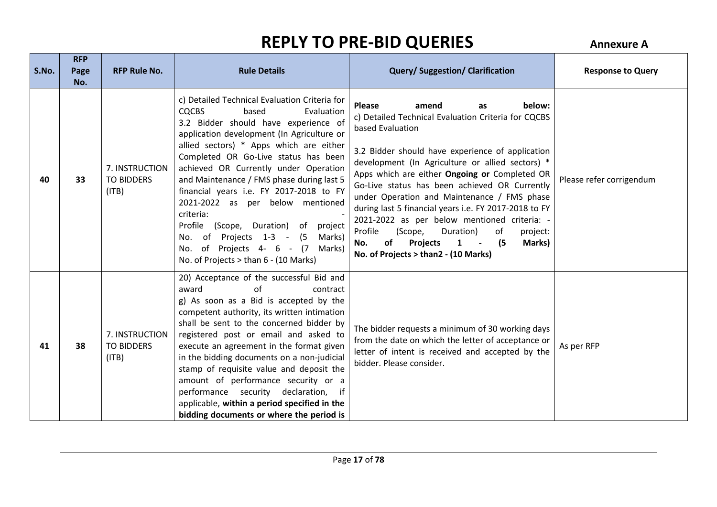| S.No. | <b>RFP</b><br>Page<br>No. | <b>RFP Rule No.</b>                          | <b>Rule Details</b>                                                                                                                                                                                                                                                                                                                                                                                                                                                                                                                                                                                                    | <b>Query/Suggestion/Clarification</b>                                                                                                                                                                                                                                                                                                                                                                                                                                                                                                                                                                                                     | <b>Response to Query</b> |
|-------|---------------------------|----------------------------------------------|------------------------------------------------------------------------------------------------------------------------------------------------------------------------------------------------------------------------------------------------------------------------------------------------------------------------------------------------------------------------------------------------------------------------------------------------------------------------------------------------------------------------------------------------------------------------------------------------------------------------|-------------------------------------------------------------------------------------------------------------------------------------------------------------------------------------------------------------------------------------------------------------------------------------------------------------------------------------------------------------------------------------------------------------------------------------------------------------------------------------------------------------------------------------------------------------------------------------------------------------------------------------------|--------------------------|
| 40    | 33                        | 7. INSTRUCTION<br><b>TO BIDDERS</b><br>(ITB) | c) Detailed Technical Evaluation Criteria for<br><b>CQCBS</b><br>Evaluation<br>based<br>3.2 Bidder should have experience of<br>application development (In Agriculture or<br>allied sectors) * Apps which are either<br>Completed OR Go-Live status has been<br>achieved OR Currently under Operation<br>and Maintenance / FMS phase during last 5<br>financial years i.e. FY 2017-2018 to FY<br>2021-2022 as per below mentioned<br>criteria:<br>Profile<br>(Scope, Duration) of<br>project<br>of Projects 1-3 - (5<br>Marks)<br>No.<br>No. of Projects 4- 6 - (7<br>Marks)<br>No. of Projects > than 6 - (10 Marks) | below:<br><b>Please</b><br>amend<br>as<br>c) Detailed Technical Evaluation Criteria for CQCBS<br>based Evaluation<br>3.2 Bidder should have experience of application<br>development (In Agriculture or allied sectors) *<br>Apps which are either Ongoing or Completed OR<br>Go-Live status has been achieved OR Currently<br>under Operation and Maintenance / FMS phase<br>during last 5 financial years i.e. FY 2017-2018 to FY<br>2021-2022 as per below mentioned criteria: -<br>Profile<br>(Scope,<br>Duration)<br>of<br>project:<br>Projects<br>(5<br>of<br>Marks)<br>No.<br>$\mathbf{1}$<br>No. of Projects > than2 - (10 Marks) | Please refer corrigendum |
| 41    | 38                        | 7. INSTRUCTION<br><b>TO BIDDERS</b><br>(ITB) | 20) Acceptance of the successful Bid and<br>$\alpha$ f<br>award<br>contract<br>g) As soon as a Bid is accepted by the<br>competent authority, its written intimation<br>shall be sent to the concerned bidder by<br>registered post or email and asked to<br>execute an agreement in the format given<br>in the bidding documents on a non-judicial<br>stamp of requisite value and deposit the<br>amount of performance security or a<br>performance security declaration,<br>- if<br>applicable, within a period specified in the<br>bidding documents or where the period is                                        | The bidder requests a minimum of 30 working days<br>from the date on which the letter of acceptance or<br>letter of intent is received and accepted by the<br>bidder. Please consider.                                                                                                                                                                                                                                                                                                                                                                                                                                                    | As per RFP               |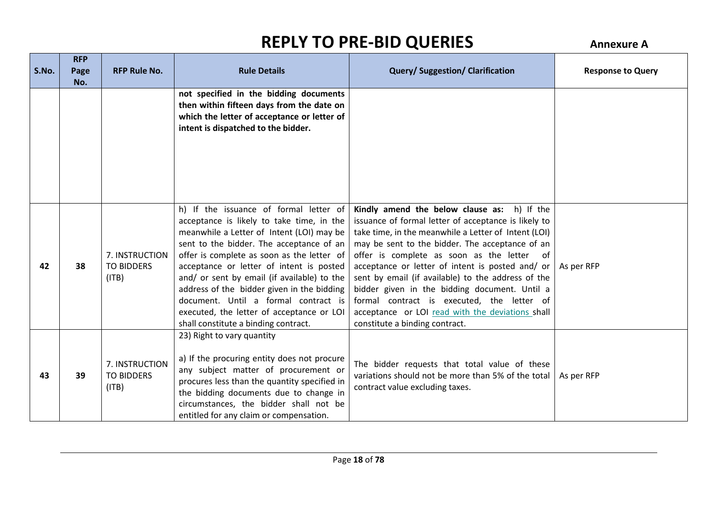| S.No. | <b>RFP</b><br>Page<br>No. | <b>RFP Rule No.</b>                          | <b>Rule Details</b>                                                                                                                                                                                                                                                                                                                                                                                                                                                                              | <b>Query/Suggestion/Clarification</b>                                                                                                                                                                                                                                                                                                                                                                                                                                                                                                                       | <b>Response to Query</b> |
|-------|---------------------------|----------------------------------------------|--------------------------------------------------------------------------------------------------------------------------------------------------------------------------------------------------------------------------------------------------------------------------------------------------------------------------------------------------------------------------------------------------------------------------------------------------------------------------------------------------|-------------------------------------------------------------------------------------------------------------------------------------------------------------------------------------------------------------------------------------------------------------------------------------------------------------------------------------------------------------------------------------------------------------------------------------------------------------------------------------------------------------------------------------------------------------|--------------------------|
|       |                           |                                              | not specified in the bidding documents<br>then within fifteen days from the date on<br>which the letter of acceptance or letter of<br>intent is dispatched to the bidder.                                                                                                                                                                                                                                                                                                                        |                                                                                                                                                                                                                                                                                                                                                                                                                                                                                                                                                             |                          |
| 42    | 38                        | 7. INSTRUCTION<br><b>TO BIDDERS</b><br>(ITB) | h) If the issuance of formal letter of<br>acceptance is likely to take time, in the<br>meanwhile a Letter of Intent (LOI) may be<br>sent to the bidder. The acceptance of an<br>offer is complete as soon as the letter of<br>acceptance or letter of intent is posted<br>and/ or sent by email (if available) to the<br>address of the bidder given in the bidding<br>document. Until a formal contract is<br>executed, the letter of acceptance or LOI<br>shall constitute a binding contract. | Kindly amend the below clause as: h) If the<br>issuance of formal letter of acceptance is likely to<br>take time, in the meanwhile a Letter of Intent (LOI)<br>may be sent to the bidder. The acceptance of an<br>offer is complete as soon as the letter of<br>acceptance or letter of intent is posted and/ or<br>sent by email (if available) to the address of the<br>bidder given in the bidding document. Until a<br>formal contract is executed, the letter of<br>acceptance or LOI read with the deviations shall<br>constitute a binding contract. | As per RFP               |
| 43    | 39                        | 7. INSTRUCTION<br><b>TO BIDDERS</b><br>(ITB) | 23) Right to vary quantity<br>a) If the procuring entity does not procure<br>any subject matter of procurement or<br>procures less than the quantity specified in<br>the bidding documents due to change in<br>circumstances, the bidder shall not be<br>entitled for any claim or compensation.                                                                                                                                                                                                 | The bidder requests that total value of these<br>variations should not be more than 5% of the total<br>contract value excluding taxes.                                                                                                                                                                                                                                                                                                                                                                                                                      | As per RFP               |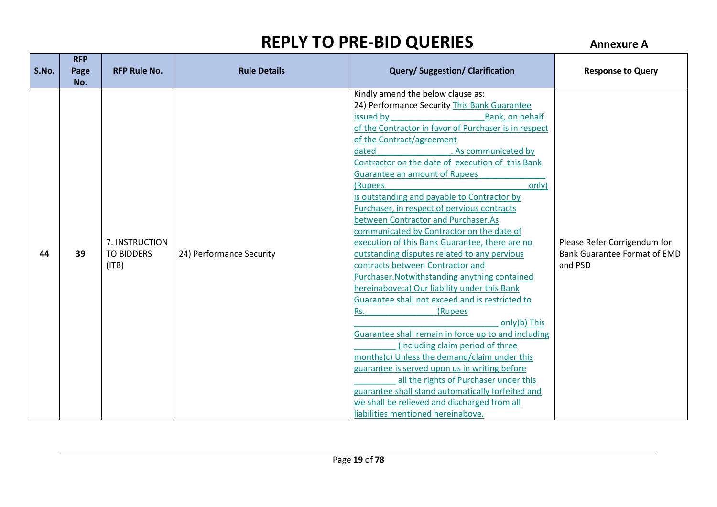| S.No. | <b>RFP</b><br>Page<br>No. | <b>RFP Rule No.</b>                          | <b>Rule Details</b>      | <b>Query/Suggestion/Clarification</b>                                                                                                                                                                                                                                                                                                                                                                                                                                                                                                                                                                                                                                                                                                                                                                                                                                                                                                                                                                                                                                                                                                                                                                                                                   | <b>Response to Query</b>                                                       |
|-------|---------------------------|----------------------------------------------|--------------------------|---------------------------------------------------------------------------------------------------------------------------------------------------------------------------------------------------------------------------------------------------------------------------------------------------------------------------------------------------------------------------------------------------------------------------------------------------------------------------------------------------------------------------------------------------------------------------------------------------------------------------------------------------------------------------------------------------------------------------------------------------------------------------------------------------------------------------------------------------------------------------------------------------------------------------------------------------------------------------------------------------------------------------------------------------------------------------------------------------------------------------------------------------------------------------------------------------------------------------------------------------------|--------------------------------------------------------------------------------|
| 44    | 39                        | 7. INSTRUCTION<br><b>TO BIDDERS</b><br>(ITB) | 24) Performance Security | Kindly amend the below clause as:<br>24) Performance Security This Bank Guarantee<br>issued by<br>Bank, on behalf<br>of the Contractor in favor of Purchaser is in respect<br>of the Contract/agreement<br>. As communicated by<br>dated<br>Contractor on the date of execution of this Bank<br><b>Guarantee an amount of Rupees</b><br>(Rupees<br>only)<br>is outstanding and payable to Contractor by<br>Purchaser, in respect of pervious contracts<br>between Contractor and Purchaser.As<br>communicated by Contractor on the date of<br>execution of this Bank Guarantee, there are no<br>outstanding disputes related to any pervious<br>contracts between Contractor and<br>Purchaser. Notwithstanding anything contained<br>hereinabove:a) Our liability under this Bank<br>Guarantee shall not exceed and is restricted to<br>(Rupees<br>Rs.<br>only)b) This<br>Guarantee shall remain in force up to and including<br>(including claim period of three<br>months)c) Unless the demand/claim under this<br>guarantee is served upon us in writing before<br>all the rights of Purchaser under this<br>guarantee shall stand automatically forfeited and<br>we shall be relieved and discharged from all<br>liabilities mentioned hereinabove. | Please Refer Corrigendum for<br><b>Bank Guarantee Format of EMD</b><br>and PSD |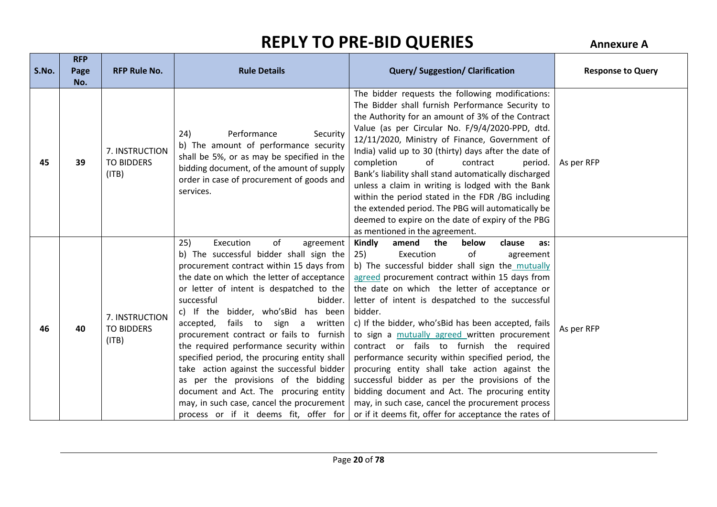| S.No. | <b>RFP</b><br>Page<br>No. | <b>RFP Rule No.</b>                          | <b>Rule Details</b>                                                                                                                                                                                                                                                                                                                                                                                                                                                                                                                                                                                                                                                                           | <b>Query/Suggestion/Clarification</b>                                                                                                                                                                                                                                                                                                                                                                                                                                                                                                                                                                                                                                                                                                                                                         | <b>Response to Query</b> |
|-------|---------------------------|----------------------------------------------|-----------------------------------------------------------------------------------------------------------------------------------------------------------------------------------------------------------------------------------------------------------------------------------------------------------------------------------------------------------------------------------------------------------------------------------------------------------------------------------------------------------------------------------------------------------------------------------------------------------------------------------------------------------------------------------------------|-----------------------------------------------------------------------------------------------------------------------------------------------------------------------------------------------------------------------------------------------------------------------------------------------------------------------------------------------------------------------------------------------------------------------------------------------------------------------------------------------------------------------------------------------------------------------------------------------------------------------------------------------------------------------------------------------------------------------------------------------------------------------------------------------|--------------------------|
| 45    | 39                        | 7. INSTRUCTION<br><b>TO BIDDERS</b><br>(ITB) | 24)<br>Performance<br>Security<br>b) The amount of performance security<br>shall be 5%, or as may be specified in the<br>bidding document, of the amount of supply<br>order in case of procurement of goods and<br>services.                                                                                                                                                                                                                                                                                                                                                                                                                                                                  | The bidder requests the following modifications:<br>The Bidder shall furnish Performance Security to<br>the Authority for an amount of 3% of the Contract<br>Value (as per Circular No. F/9/4/2020-PPD, dtd.<br>12/11/2020, Ministry of Finance, Government of<br>India) valid up to 30 (thirty) days after the date of<br>of<br>completion<br>contract<br>period.<br>Bank's liability shall stand automatically discharged<br>unless a claim in writing is lodged with the Bank<br>within the period stated in the FDR /BG including<br>the extended period. The PBG will automatically be<br>deemed to expire on the date of expiry of the PBG<br>as mentioned in the agreement.                                                                                                            | As per RFP               |
| 46    | 40                        | 7. INSTRUCTION<br><b>TO BIDDERS</b><br>(ITB) | Execution<br>25)<br>of<br>agreement<br>b) The successful bidder shall sign the<br>procurement contract within 15 days from<br>the date on which the letter of acceptance<br>or letter of intent is despatched to the<br>successful<br>bidder.<br>c) If the bidder, who's Bid has been<br>fails to sign a<br>accepted,<br>written<br>procurement contract or fails to furnish<br>the required performance security within<br>specified period, the procuring entity shall<br>take action against the successful bidder<br>as per the provisions of the bidding<br>document and Act. The procuring entity<br>may, in such case, cancel the procurement<br>process or if it deems fit, offer for | Kindly<br>amend<br>the<br>below<br>clause<br>as:<br>25)<br>of<br>Execution<br>agreement<br>b) The successful bidder shall sign the mutually<br>agreed procurement contract within 15 days from<br>the date on which the letter of acceptance or<br>letter of intent is despatched to the successful<br>bidder.<br>c) If the bidder, who's Bid has been accepted, fails<br>to sign a mutually agreed written procurement<br>contract or fails to furnish the required<br>performance security within specified period, the<br>procuring entity shall take action against the<br>successful bidder as per the provisions of the<br>bidding document and Act. The procuring entity<br>may, in such case, cancel the procurement process<br>or if it deems fit, offer for acceptance the rates of | As per RFP               |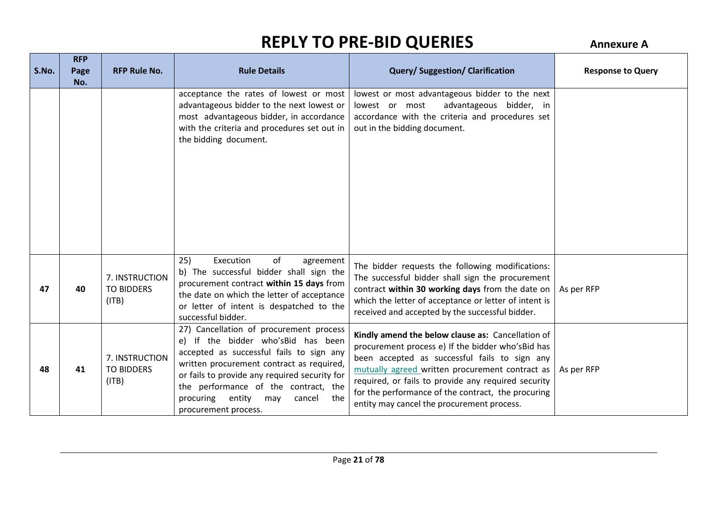| S.No. | <b>RFP</b><br>Page | <b>RFP Rule No.</b>                          | <b>Rule Details</b>                                                                                                                                                                                                                                                                                                                    | <b>Query/Suggestion/Clarification</b>                                                                                                                                                                                                                                                                                                                                  | <b>Response to Query</b> |
|-------|--------------------|----------------------------------------------|----------------------------------------------------------------------------------------------------------------------------------------------------------------------------------------------------------------------------------------------------------------------------------------------------------------------------------------|------------------------------------------------------------------------------------------------------------------------------------------------------------------------------------------------------------------------------------------------------------------------------------------------------------------------------------------------------------------------|--------------------------|
|       | No.                |                                              | acceptance the rates of lowest or most<br>advantageous bidder to the next lowest or<br>most advantageous bidder, in accordance<br>with the criteria and procedures set out in<br>the bidding document.                                                                                                                                 | lowest or most advantageous bidder to the next<br>advantageous bidder, in<br>lowest or most<br>accordance with the criteria and procedures set<br>out in the bidding document.                                                                                                                                                                                         |                          |
| 47    | 40                 | 7. INSTRUCTION<br><b>TO BIDDERS</b><br>(ITB) | Execution<br>of<br>25)<br>agreement<br>b) The successful bidder shall sign the<br>procurement contract within 15 days from<br>the date on which the letter of acceptance<br>or letter of intent is despatched to the<br>successful bidder.                                                                                             | The bidder requests the following modifications:<br>The successful bidder shall sign the procurement<br>contract within 30 working days from the date on<br>which the letter of acceptance or letter of intent is<br>received and accepted by the successful bidder.                                                                                                   | As per RFP               |
| 48    | 41                 | 7. INSTRUCTION<br><b>TO BIDDERS</b><br>(ITB) | 27) Cancellation of procurement process<br>e) If the bidder who'sBid has been<br>accepted as successful fails to sign any<br>written procurement contract as required,<br>or fails to provide any required security for<br>the performance of the contract, the<br>entity<br>procuring<br>the<br>may<br>cancel<br>procurement process. | Kindly amend the below clause as: Cancellation of<br>procurement process e) If the bidder who's Bid has<br>been accepted as successful fails to sign any<br>mutually agreed written procurement contract as<br>required, or fails to provide any required security<br>for the performance of the contract, the procuring<br>entity may cancel the procurement process. | As per RFP               |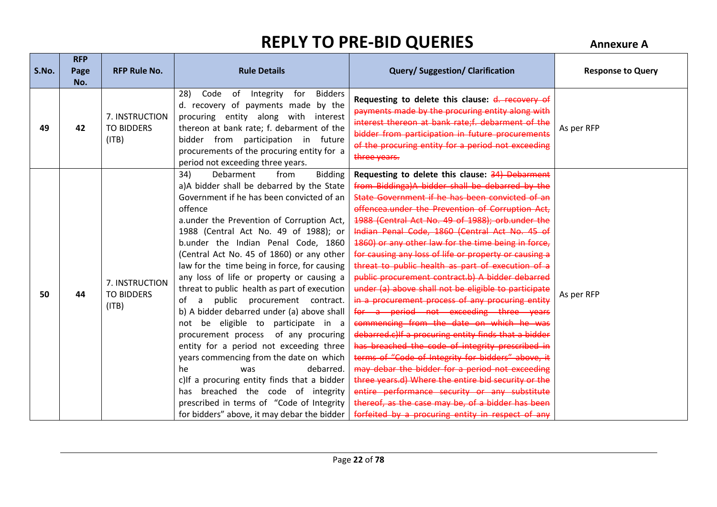| S.No. | <b>RFP</b><br>Page | <b>RFP Rule No.</b>                          | <b>Rule Details</b>                                                                                                                                                                                                                                                                                                                                                                                                                                                                                                                                                                                                                                                                                                                                                                                                                                                                                                                                | <b>Query/Suggestion/Clarification</b>                                                                                                                                                                                                                                                                                                                                                                                                                                                                                                                                                                                                                                                                                                                                                                                                                                                                                                                                                                                                                                                                                                                                             | <b>Response to Query</b> |
|-------|--------------------|----------------------------------------------|----------------------------------------------------------------------------------------------------------------------------------------------------------------------------------------------------------------------------------------------------------------------------------------------------------------------------------------------------------------------------------------------------------------------------------------------------------------------------------------------------------------------------------------------------------------------------------------------------------------------------------------------------------------------------------------------------------------------------------------------------------------------------------------------------------------------------------------------------------------------------------------------------------------------------------------------------|-----------------------------------------------------------------------------------------------------------------------------------------------------------------------------------------------------------------------------------------------------------------------------------------------------------------------------------------------------------------------------------------------------------------------------------------------------------------------------------------------------------------------------------------------------------------------------------------------------------------------------------------------------------------------------------------------------------------------------------------------------------------------------------------------------------------------------------------------------------------------------------------------------------------------------------------------------------------------------------------------------------------------------------------------------------------------------------------------------------------------------------------------------------------------------------|--------------------------|
| 49    | No.<br>42          | 7. INSTRUCTION<br><b>TO BIDDERS</b><br>(ITB) | <b>Bidders</b><br>28)<br>Code<br>of<br>Integrity<br>for<br>d. recovery of payments made by the<br>procuring entity along with interest<br>thereon at bank rate; f. debarment of the<br>bidder from participation in future<br>procurements of the procuring entity for a<br>period not exceeding three years.                                                                                                                                                                                                                                                                                                                                                                                                                                                                                                                                                                                                                                      | Requesting to delete this clause: d. recovery of<br>payments made by the procuring entity along with<br>interest thereon at bank rate;f. debarment of the<br>bidder from participation in future procurements<br>of the procuring entity for a period not exceeding<br>three years.                                                                                                                                                                                                                                                                                                                                                                                                                                                                                                                                                                                                                                                                                                                                                                                                                                                                                               | As per RFP               |
| 50    | 44                 | 7. INSTRUCTION<br><b>TO BIDDERS</b><br>(ITB) | <b>Bidding</b><br>34)<br>Debarment<br>from<br>a)A bidder shall be debarred by the State<br>Government if he has been convicted of an<br>offence<br>a.under the Prevention of Corruption Act,<br>1988 (Central Act No. 49 of 1988); or<br>b.under the Indian Penal Code, 1860<br>(Central Act No. 45 of 1860) or any other<br>law for the time being in force, for causing<br>any loss of life or property or causing a<br>threat to public health as part of execution<br>public procurement contract.<br>of<br>a<br>b) A bidder debarred under (a) above shall<br>not be eligible to participate in a<br>of any procuring<br>procurement process<br>entity for a period not exceeding three<br>years commencing from the date on which<br>he<br>debarred.<br>was<br>c)If a procuring entity finds that a bidder<br>has breached the code of integrity<br>prescribed in terms of "Code of Integrity<br>for bidders" above, it may debar the bidder | Requesting to delete this clause: 34) Debarment<br>from Biddinga)A bidder shall be debarred by the<br>State Government if he has been convicted of an<br>offencea.under the Prevention of Corruption Act.<br>1988 (Central Act No. 49 of 1988): orb.under the<br>Indian Penal Code, 1860 (Central Act No. 45 of<br>1860) or any other law for the time being in force,<br>for causing any loss of life or property or causing a<br>threat to public health as part of execution of a<br>public procurement contract.b) A bidder debarred<br>under (a) above shall not be eligible to participate<br>in a procurement process of any procuring entity<br>for a period not exceeding three years<br>commencing from the date on which he was<br>debarred.c)If a procuring entity finds that a bidder<br>has breached the code of integrity prescribed in<br>terms of "Code of Integrity for bidders" above, it<br>may debar the bidder for a period not exceeding<br>three years.d) Where the entire bid security or the<br>entire performance security or any substitute<br>thereof, as the case may be, of a bidder has been<br>forfeited by a procuring entity in respect of any | As per RFP               |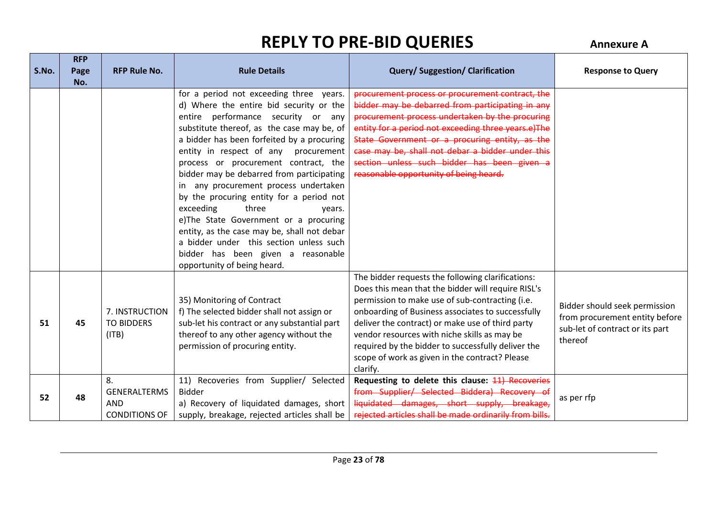**RFP** 

| S.No. | <b>KFP</b><br>Page<br>No. | <b>RFP Rule No.</b>                                             | <b>Rule Details</b>                                                                                                                                                                                                                                                                                                                                                                                                                                                                                                                                                                                                                                                            | <b>Query/Suggestion/Clarification</b>                                                                                                                                                                                                                                                                                                                                                                                                   | <b>Response to Query</b>                                                                                      |
|-------|---------------------------|-----------------------------------------------------------------|--------------------------------------------------------------------------------------------------------------------------------------------------------------------------------------------------------------------------------------------------------------------------------------------------------------------------------------------------------------------------------------------------------------------------------------------------------------------------------------------------------------------------------------------------------------------------------------------------------------------------------------------------------------------------------|-----------------------------------------------------------------------------------------------------------------------------------------------------------------------------------------------------------------------------------------------------------------------------------------------------------------------------------------------------------------------------------------------------------------------------------------|---------------------------------------------------------------------------------------------------------------|
|       |                           |                                                                 | for a period not exceeding three years.<br>d) Where the entire bid security or the<br>entire performance security or any<br>substitute thereof, as the case may be, of<br>a bidder has been forfeited by a procuring<br>entity in respect of any procurement<br>process or procurement contract, the<br>bidder may be debarred from participating<br>in any procurement process undertaken<br>by the procuring entity for a period not<br>exceeding<br>three<br>years.<br>e)The State Government or a procuring<br>entity, as the case may be, shall not debar<br>a bidder under this section unless such<br>bidder has been given a reasonable<br>opportunity of being heard. | procurement process or procurement contract, the<br>bidder may be debarred from participating in any<br>procurement process undertaken by the procuring<br>entity for a period not exceeding three years.e)The<br>State Government or a procuring entity, as the<br>case may be, shall not debar a bidder under this<br>section unless such bidder has been given a<br>reasonable opportunity of being heard.                           |                                                                                                               |
| 51    | 45                        | 7. INSTRUCTION<br><b>TO BIDDERS</b><br>(ITB)                    | 35) Monitoring of Contract<br>f) The selected bidder shall not assign or<br>sub-let his contract or any substantial part<br>thereof to any other agency without the<br>permission of procuring entity.                                                                                                                                                                                                                                                                                                                                                                                                                                                                         | The bidder requests the following clarifications:<br>Does this mean that the bidder will require RISL's<br>permission to make use of sub-contracting (i.e.<br>onboarding of Business associates to successfully<br>deliver the contract) or make use of third party<br>vendor resources with niche skills as may be<br>required by the bidder to successfully deliver the<br>scope of work as given in the contract? Please<br>clarify. | Bidder should seek permission<br>from procurement entity before<br>sub-let of contract or its part<br>thereof |
| 52    | 48                        | 8.<br><b>GENERALTERMS</b><br><b>AND</b><br><b>CONDITIONS OF</b> | 11) Recoveries from Supplier/ Selected<br><b>Bidder</b><br>a) Recovery of liquidated damages, short<br>supply, breakage, rejected articles shall be                                                                                                                                                                                                                                                                                                                                                                                                                                                                                                                            | Requesting to delete this clause: 11) Recoveries<br>from Supplier/ Selected Biddera) Recovery of<br>liquidated damages, short supply, breakage,<br>rejected articles shall be made ordinarily from bills.                                                                                                                                                                                                                               | as per rfp                                                                                                    |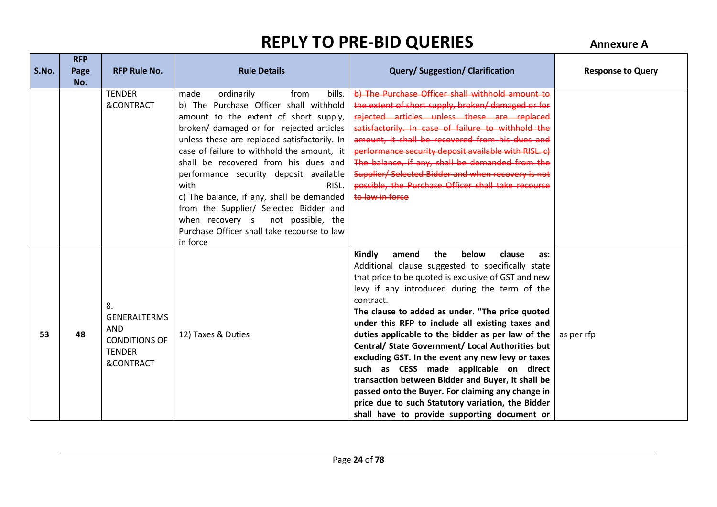**RFP** 

| S.No. | <b>KFP</b><br>Page<br>No. | <b>RFP Rule No.</b>                                                                                      | <b>Rule Details</b>                                                                                                                                                                                                                                                                                                                                                                                                                                                                                                                                          | <b>Query/Suggestion/Clarification</b>                                                                                                                                                                                                                                                                                                                                                                                                                                                                                                                                                                                                                                                                                                                    | <b>Response to Query</b> |
|-------|---------------------------|----------------------------------------------------------------------------------------------------------|--------------------------------------------------------------------------------------------------------------------------------------------------------------------------------------------------------------------------------------------------------------------------------------------------------------------------------------------------------------------------------------------------------------------------------------------------------------------------------------------------------------------------------------------------------------|----------------------------------------------------------------------------------------------------------------------------------------------------------------------------------------------------------------------------------------------------------------------------------------------------------------------------------------------------------------------------------------------------------------------------------------------------------------------------------------------------------------------------------------------------------------------------------------------------------------------------------------------------------------------------------------------------------------------------------------------------------|--------------------------|
|       |                           | <b>TENDER</b><br>&CONTRACT                                                                               | made<br>ordinarily<br>from<br>bills.<br>b) The Purchase Officer shall withhold<br>amount to the extent of short supply,<br>broken/ damaged or for rejected articles<br>unless these are replaced satisfactorily. In<br>case of failure to withhold the amount, it<br>shall be recovered from his dues and<br>performance security deposit available<br>with<br>RISL.<br>c) The balance, if any, shall be demanded<br>from the Supplier/ Selected Bidder and<br>when recovery is not possible, the<br>Purchase Officer shall take recourse to law<br>in force | b) The Purchase Officer shall withhold amount to<br>the extent of short supply, broken/ damaged or for<br>rejected articles unless these are replaced<br>satisfactorily. In case of failure to withhold the<br>amount, it shall be recovered from his dues and<br>performance security deposit available with RISL. c)<br>The balance, if any, shall be demanded from the<br>Supplier/Selected Bidder and when recovery is not<br>possible, the Purchase Officer shall take recourse<br>to law in force                                                                                                                                                                                                                                                  |                          |
| 53    | 48                        | 8.<br><b>GENERALTERMS</b><br><b>AND</b><br><b>CONDITIONS OF</b><br><b>TENDER</b><br><b>&amp;CONTRACT</b> | 12) Taxes & Duties                                                                                                                                                                                                                                                                                                                                                                                                                                                                                                                                           | Kindly<br>amend<br>the<br>below<br>clause<br>as:<br>Additional clause suggested to specifically state<br>that price to be quoted is exclusive of GST and new<br>levy if any introduced during the term of the<br>contract.<br>The clause to added as under. "The price quoted<br>under this RFP to include all existing taxes and<br>duties applicable to the bidder as per law of the<br>Central/ State Government/ Local Authorities but<br>excluding GST. In the event any new levy or taxes<br>such as CESS made applicable on direct<br>transaction between Bidder and Buyer, it shall be<br>passed onto the Buyer. For claiming any change in<br>price due to such Statutory variation, the Bidder<br>shall have to provide supporting document or | as per rfp               |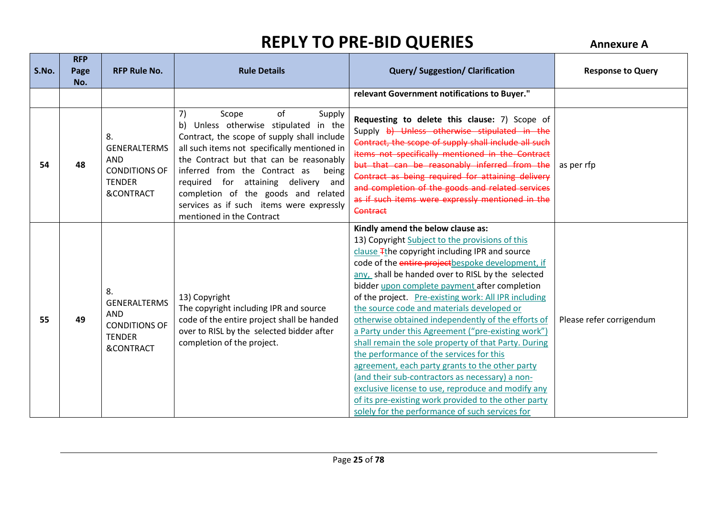| S.No. | <b>RFP</b><br>Page<br>No. | <b>RFP Rule No.</b>                                                                                      | <b>Rule Details</b>                                                                                                                                                                                                                                                                                                                                                                                                | <b>Query/Suggestion/Clarification</b>                                                                                                                                                                                                                                                                                                                                                                                                                                                                                                                                                                                                                                                                                                                                                                                                                                                           | <b>Response to Query</b> |
|-------|---------------------------|----------------------------------------------------------------------------------------------------------|--------------------------------------------------------------------------------------------------------------------------------------------------------------------------------------------------------------------------------------------------------------------------------------------------------------------------------------------------------------------------------------------------------------------|-------------------------------------------------------------------------------------------------------------------------------------------------------------------------------------------------------------------------------------------------------------------------------------------------------------------------------------------------------------------------------------------------------------------------------------------------------------------------------------------------------------------------------------------------------------------------------------------------------------------------------------------------------------------------------------------------------------------------------------------------------------------------------------------------------------------------------------------------------------------------------------------------|--------------------------|
|       |                           |                                                                                                          |                                                                                                                                                                                                                                                                                                                                                                                                                    | relevant Government notifications to Buyer."                                                                                                                                                                                                                                                                                                                                                                                                                                                                                                                                                                                                                                                                                                                                                                                                                                                    |                          |
| 54    | 48                        | 8.<br><b>GENERALTERMS</b><br><b>AND</b><br><b>CONDITIONS OF</b><br><b>TENDER</b><br><b>&amp;CONTRACT</b> | of<br>7)<br>Supply<br>Scope<br>Unless otherwise stipulated in the<br>b)<br>Contract, the scope of supply shall include<br>all such items not specifically mentioned in<br>the Contract but that can be reasonably<br>inferred from the Contract as<br>being<br>required for attaining delivery and<br>completion of the goods and related<br>services as if such items were expressly<br>mentioned in the Contract | Requesting to delete this clause: 7) Scope of<br>Supply b) Unless otherwise stipulated in the<br>Contract, the scope of supply shall include all such<br>items not specifically mentioned in the Contract<br>but that can be reasonably inferred from the<br>Contract as being required for attaining delivery<br>and completion of the goods and related services<br>as if such items were expressly mentioned in the<br>Contract                                                                                                                                                                                                                                                                                                                                                                                                                                                              | as per rfp               |
| 55    | 49                        | 8.<br><b>GENERALTERMS</b><br><b>AND</b><br><b>CONDITIONS OF</b><br><b>TENDER</b><br><b>&amp;CONTRACT</b> | 13) Copyright<br>The copyright including IPR and source<br>code of the entire project shall be handed<br>over to RISL by the selected bidder after<br>completion of the project.                                                                                                                                                                                                                                   | Kindly amend the below clause as:<br>13) Copyright Subject to the provisions of this<br>clause Tthe copyright including IPR and source<br>code of the entire project bespoke development, if<br>any, shall be handed over to RISL by the selected<br>bidder upon complete payment after completion<br>of the project. Pre-existing work: All IPR including<br>the source code and materials developed or<br>otherwise obtained independently of the efforts of<br>a Party under this Agreement ("pre-existing work")<br>shall remain the sole property of that Party. During<br>the performance of the services for this<br>agreement, each party grants to the other party<br>(and their sub-contractors as necessary) a non-<br>exclusive license to use, reproduce and modify any<br>of its pre-existing work provided to the other party<br>solely for the performance of such services for | Please refer corrigendum |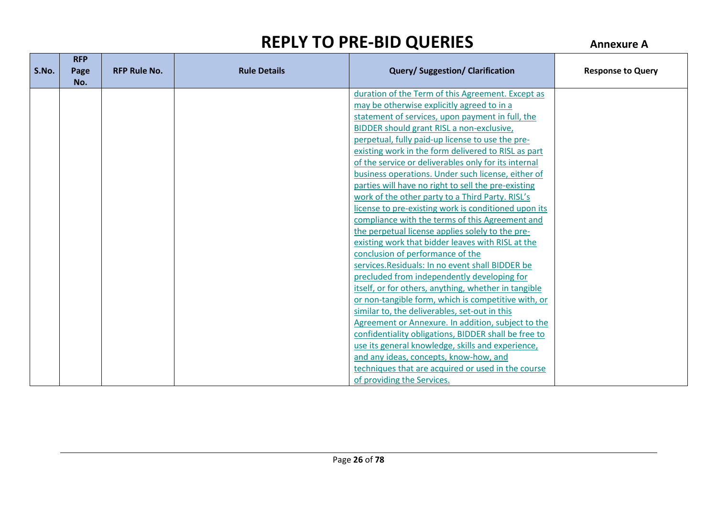|       | <b>RFP</b> |                     |                     |                                                      |                          |
|-------|------------|---------------------|---------------------|------------------------------------------------------|--------------------------|
| S.No. | Page       | <b>RFP Rule No.</b> | <b>Rule Details</b> | <b>Query/Suggestion/Clarification</b>                | <b>Response to Query</b> |
|       | No.        |                     |                     |                                                      |                          |
|       |            |                     |                     | duration of the Term of this Agreement. Except as    |                          |
|       |            |                     |                     | may be otherwise explicitly agreed to in a           |                          |
|       |            |                     |                     | statement of services, upon payment in full, the     |                          |
|       |            |                     |                     | BIDDER should grant RISL a non-exclusive,            |                          |
|       |            |                     |                     | perpetual, fully paid-up license to use the pre-     |                          |
|       |            |                     |                     | existing work in the form delivered to RISL as part  |                          |
|       |            |                     |                     | of the service or deliverables only for its internal |                          |
|       |            |                     |                     | business operations. Under such license, either of   |                          |
|       |            |                     |                     | parties will have no right to sell the pre-existing  |                          |
|       |            |                     |                     | work of the other party to a Third Party. RISL's     |                          |
|       |            |                     |                     | license to pre-existing work is conditioned upon its |                          |
|       |            |                     |                     | compliance with the terms of this Agreement and      |                          |
|       |            |                     |                     | the perpetual license applies solely to the pre-     |                          |
|       |            |                     |                     | existing work that bidder leaves with RISL at the    |                          |
|       |            |                     |                     | conclusion of performance of the                     |                          |
|       |            |                     |                     | services. Residuals: In no event shall BIDDER be     |                          |
|       |            |                     |                     | precluded from independently developing for          |                          |
|       |            |                     |                     | itself, or for others, anything, whether in tangible |                          |
|       |            |                     |                     | or non-tangible form, which is competitive with, or  |                          |
|       |            |                     |                     | similar to, the deliverables, set-out in this        |                          |
|       |            |                     |                     | Agreement or Annexure. In addition, subject to the   |                          |
|       |            |                     |                     | confidentiality obligations, BIDDER shall be free to |                          |
|       |            |                     |                     | use its general knowledge, skills and experience,    |                          |
|       |            |                     |                     | and any ideas, concepts, know-how, and               |                          |
|       |            |                     |                     | techniques that are acquired or used in the course   |                          |
|       |            |                     |                     | of providing the Services.                           |                          |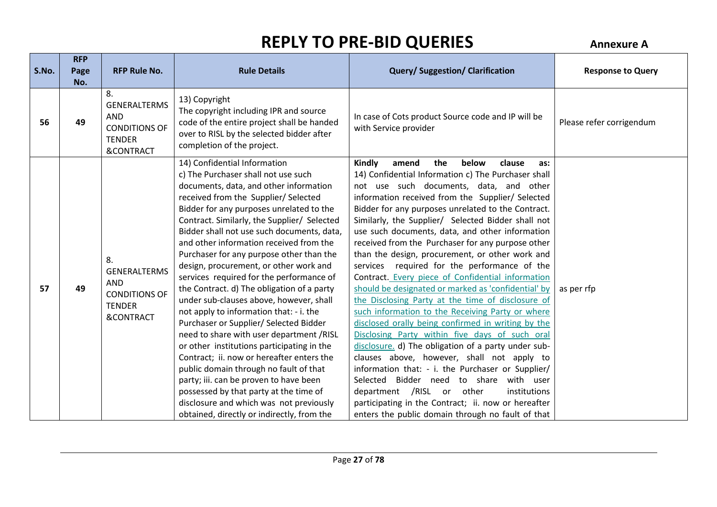| S.No. | <b>RFP</b><br>Page | <b>RFP Rule No.</b>                                                                                      | <b>Rule Details</b>                                                                                                                                                                                                                                                                                                                                                                                                                                                                                                                                                                                                                                                                                                                                                                                                                                                                                                                                                                                                    | <b>Query/Suggestion/Clarification</b>                                                                                                                                                                                                                                                                                                                                                                                                                                                                                                                                                                                                                                                                                                                                                                                                                                                                                                                                                                                                                                                                                                                                                                                   | <b>Response to Query</b> |
|-------|--------------------|----------------------------------------------------------------------------------------------------------|------------------------------------------------------------------------------------------------------------------------------------------------------------------------------------------------------------------------------------------------------------------------------------------------------------------------------------------------------------------------------------------------------------------------------------------------------------------------------------------------------------------------------------------------------------------------------------------------------------------------------------------------------------------------------------------------------------------------------------------------------------------------------------------------------------------------------------------------------------------------------------------------------------------------------------------------------------------------------------------------------------------------|-------------------------------------------------------------------------------------------------------------------------------------------------------------------------------------------------------------------------------------------------------------------------------------------------------------------------------------------------------------------------------------------------------------------------------------------------------------------------------------------------------------------------------------------------------------------------------------------------------------------------------------------------------------------------------------------------------------------------------------------------------------------------------------------------------------------------------------------------------------------------------------------------------------------------------------------------------------------------------------------------------------------------------------------------------------------------------------------------------------------------------------------------------------------------------------------------------------------------|--------------------------|
|       | No.                |                                                                                                          |                                                                                                                                                                                                                                                                                                                                                                                                                                                                                                                                                                                                                                                                                                                                                                                                                                                                                                                                                                                                                        |                                                                                                                                                                                                                                                                                                                                                                                                                                                                                                                                                                                                                                                                                                                                                                                                                                                                                                                                                                                                                                                                                                                                                                                                                         |                          |
| 56    | 49                 | 8.<br><b>GENERALTERMS</b><br><b>AND</b><br><b>CONDITIONS OF</b><br><b>TENDER</b><br><b>&amp;CONTRACT</b> | 13) Copyright<br>The copyright including IPR and source<br>code of the entire project shall be handed<br>over to RISL by the selected bidder after<br>completion of the project.                                                                                                                                                                                                                                                                                                                                                                                                                                                                                                                                                                                                                                                                                                                                                                                                                                       | In case of Cots product Source code and IP will be<br>with Service provider                                                                                                                                                                                                                                                                                                                                                                                                                                                                                                                                                                                                                                                                                                                                                                                                                                                                                                                                                                                                                                                                                                                                             | Please refer corrigendum |
| 57    | 49                 | 8.<br><b>GENERALTERMS</b><br><b>AND</b><br><b>CONDITIONS OF</b><br><b>TENDER</b><br><b>&amp;CONTRACT</b> | 14) Confidential Information<br>c) The Purchaser shall not use such<br>documents, data, and other information<br>received from the Supplier/Selected<br>Bidder for any purposes unrelated to the<br>Contract. Similarly, the Supplier/ Selected<br>Bidder shall not use such documents, data,<br>and other information received from the<br>Purchaser for any purpose other than the<br>design, procurement, or other work and<br>services required for the performance of<br>the Contract. d) The obligation of a party<br>under sub-clauses above, however, shall<br>not apply to information that: - i. the<br>Purchaser or Supplier/ Selected Bidder<br>need to share with user department /RISL<br>or other institutions participating in the<br>Contract; ii. now or hereafter enters the<br>public domain through no fault of that<br>party; iii. can be proven to have been<br>possessed by that party at the time of<br>disclosure and which was not previously<br>obtained, directly or indirectly, from the | Kindly<br>amend<br>the<br>below<br>clause<br>as:<br>14) Confidential Information c) The Purchaser shall<br>not use such documents, data, and other<br>information received from the Supplier/Selected<br>Bidder for any purposes unrelated to the Contract.<br>Similarly, the Supplier/ Selected Bidder shall not<br>use such documents, data, and other information<br>received from the Purchaser for any purpose other<br>than the design, procurement, or other work and<br>services required for the performance of the<br>Contract. Every piece of Confidential information<br>should be designated or marked as 'confidential' by<br>the Disclosing Party at the time of disclosure of<br>such information to the Receiving Party or where<br>disclosed orally being confirmed in writing by the<br>Disclosing Party within five days of such oral<br>disclosure. d) The obligation of a party under sub-<br>clauses above, however, shall not apply to<br>information that: - i. the Purchaser or Supplier/<br>Selected Bidder need to share with user<br>department /RISL or other<br>institutions<br>participating in the Contract; ii. now or hereafter<br>enters the public domain through no fault of that | as per rfp               |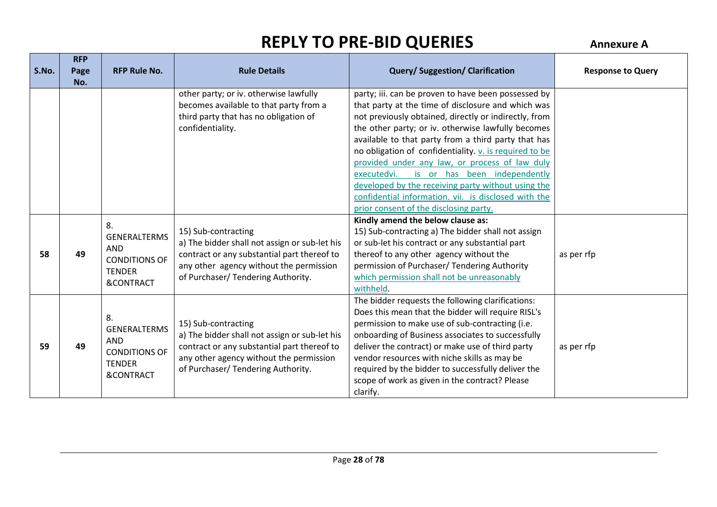|       | <b>RFP</b> |                                   |                                               |                                                        |                          |
|-------|------------|-----------------------------------|-----------------------------------------------|--------------------------------------------------------|--------------------------|
| S.No. | Page       | <b>RFP Rule No.</b>               | <b>Rule Details</b>                           | <b>Query/Suggestion/Clarification</b>                  | <b>Response to Query</b> |
|       | No.        |                                   |                                               |                                                        |                          |
|       |            |                                   | other party; or iv. otherwise lawfully        | party; iii. can be proven to have been possessed by    |                          |
|       |            |                                   | becomes available to that party from a        | that party at the time of disclosure and which was     |                          |
|       |            |                                   | third party that has no obligation of         | not previously obtained, directly or indirectly, from  |                          |
|       |            |                                   | confidentiality.                              | the other party; or iv. otherwise lawfully becomes     |                          |
|       |            |                                   |                                               | available to that party from a third party that has    |                          |
|       |            |                                   |                                               | no obligation of confidentiality. v. is required to be |                          |
|       |            |                                   |                                               | provided under any law, or process of law duly         |                          |
|       |            |                                   |                                               | executedvi. is or has been independently               |                          |
|       |            |                                   |                                               | developed by the receiving party without using the     |                          |
|       |            |                                   |                                               | confidential information, vii. is disclosed with the   |                          |
|       |            |                                   |                                               | prior consent of the disclosing party.                 |                          |
|       |            | 8.                                |                                               | Kindly amend the below clause as:                      |                          |
|       |            | <b>GENERALTERMS</b><br><b>AND</b> | 15) Sub-contracting                           | 15) Sub-contracting a) The bidder shall not assign     |                          |
|       |            |                                   | a) The bidder shall not assign or sub-let his | or sub-let his contract or any substantial part        |                          |
| 58    | 49         | <b>CONDITIONS OF</b>              | contract or any substantial part thereof to   | thereof to any other agency without the                | as per rfp               |
|       |            | <b>TENDER</b>                     | any other agency without the permission       | permission of Purchaser/ Tendering Authority           |                          |
|       |            | &CONTRACT                         | of Purchaser/ Tendering Authority.            | which permission shall not be unreasonably             |                          |
|       |            |                                   |                                               | withheld.                                              |                          |
|       |            |                                   |                                               | The bidder requests the following clarifications:      |                          |
|       |            | 8.                                |                                               | Does this mean that the bidder will require RISL's     |                          |
|       |            | <b>GENERALTERMS</b>               | 15) Sub-contracting                           | permission to make use of sub-contracting (i.e.        |                          |
|       |            | <b>AND</b>                        | a) The bidder shall not assign or sub-let his | onboarding of Business associates to successfully      |                          |
| 59    | 49         | <b>CONDITIONS OF</b>              | contract or any substantial part thereof to   | deliver the contract) or make use of third party       | as per rfp               |
|       |            | <b>TENDER</b>                     | any other agency without the permission       | vendor resources with niche skills as may be           |                          |
|       |            | <b>&amp;CONTRACT</b>              | of Purchaser/ Tendering Authority.            | required by the bidder to successfully deliver the     |                          |
|       |            |                                   |                                               | scope of work as given in the contract? Please         |                          |
|       |            |                                   |                                               | clarify.                                               |                          |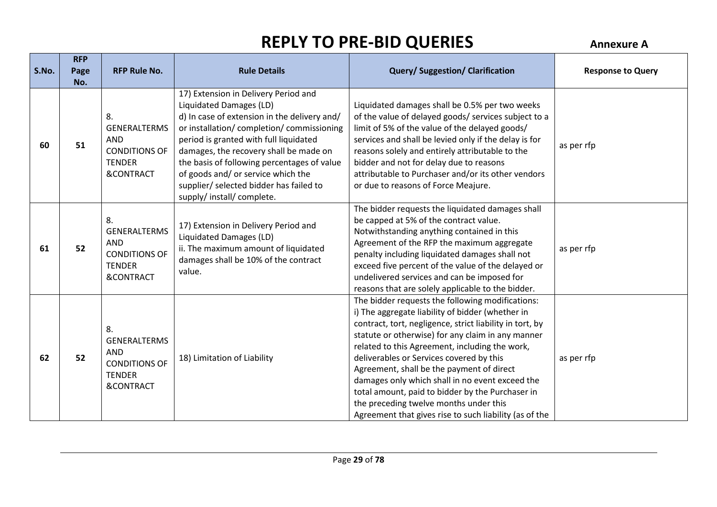| S.No. | <b>RFP</b><br>Page<br>No. | <b>RFP Rule No.</b>                                                                                      | <b>Rule Details</b>                                                                                                                                                                                                                                                                                                                                                                                           | <b>Query/Suggestion/Clarification</b>                                                                                                                                                                                                                                                                                                                                                                                                                                                                                                                                       | <b>Response to Query</b> |
|-------|---------------------------|----------------------------------------------------------------------------------------------------------|---------------------------------------------------------------------------------------------------------------------------------------------------------------------------------------------------------------------------------------------------------------------------------------------------------------------------------------------------------------------------------------------------------------|-----------------------------------------------------------------------------------------------------------------------------------------------------------------------------------------------------------------------------------------------------------------------------------------------------------------------------------------------------------------------------------------------------------------------------------------------------------------------------------------------------------------------------------------------------------------------------|--------------------------|
| 60    | 51                        | 8.<br><b>GENERALTERMS</b><br><b>AND</b><br><b>CONDITIONS OF</b><br><b>TENDER</b><br><b>&amp;CONTRACT</b> | 17) Extension in Delivery Period and<br>Liquidated Damages (LD)<br>d) In case of extension in the delivery and/<br>or installation/completion/commissioning<br>period is granted with full liquidated<br>damages, the recovery shall be made on<br>the basis of following percentages of value<br>of goods and/ or service which the<br>supplier/ selected bidder has failed to<br>supply/ install/ complete. | Liquidated damages shall be 0.5% per two weeks<br>of the value of delayed goods/ services subject to a<br>limit of 5% of the value of the delayed goods/<br>services and shall be levied only if the delay is for<br>reasons solely and entirely attributable to the<br>bidder and not for delay due to reasons<br>attributable to Purchaser and/or its other vendors<br>or due to reasons of Force Meajure.                                                                                                                                                                | as per rfp               |
| 61    | 52                        | 8.<br><b>GENERALTERMS</b><br><b>AND</b><br><b>CONDITIONS OF</b><br><b>TENDER</b><br><b>&amp;CONTRACT</b> | 17) Extension in Delivery Period and<br>Liquidated Damages (LD)<br>ii. The maximum amount of liquidated<br>damages shall be 10% of the contract<br>value.                                                                                                                                                                                                                                                     | The bidder requests the liquidated damages shall<br>be capped at 5% of the contract value.<br>Notwithstanding anything contained in this<br>Agreement of the RFP the maximum aggregate<br>penalty including liquidated damages shall not<br>exceed five percent of the value of the delayed or<br>undelivered services and can be imposed for<br>reasons that are solely applicable to the bidder.                                                                                                                                                                          | as per rfp               |
| 62    | 52                        | 8.<br><b>GENERALTERMS</b><br><b>AND</b><br><b>CONDITIONS OF</b><br><b>TENDER</b><br><b>&amp;CONTRACT</b> | 18) Limitation of Liability                                                                                                                                                                                                                                                                                                                                                                                   | The bidder requests the following modifications:<br>i) The aggregate liability of bidder (whether in<br>contract, tort, negligence, strict liability in tort, by<br>statute or otherwise) for any claim in any manner<br>related to this Agreement, including the work,<br>deliverables or Services covered by this<br>Agreement, shall be the payment of direct<br>damages only which shall in no event exceed the<br>total amount, paid to bidder by the Purchaser in<br>the preceding twelve months under this<br>Agreement that gives rise to such liability (as of the | as per rfp               |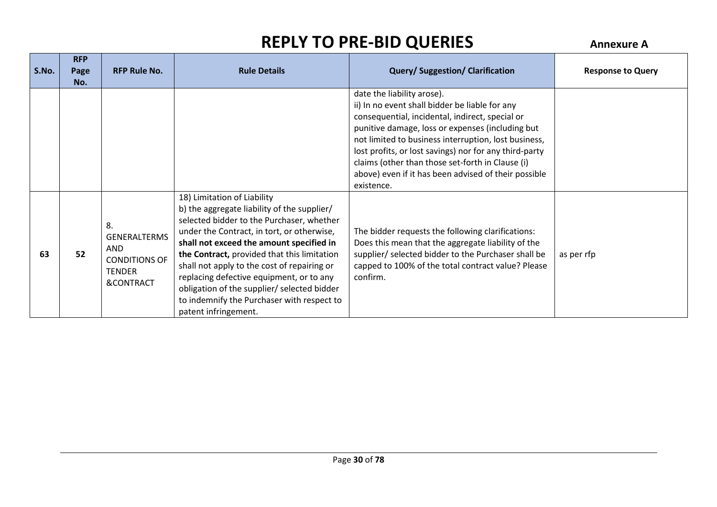| S.No. | <b>RFP</b><br>Page<br>No. | <b>RFP Rule No.</b>                                                                           | <b>Rule Details</b>                                                                                                                                                                                                                                                                                                                                                                                                                                                              | <b>Query/Suggestion/Clarification</b>                                                                                                                                                                                                                                                                                                                                                                                           | <b>Response to Query</b> |
|-------|---------------------------|-----------------------------------------------------------------------------------------------|----------------------------------------------------------------------------------------------------------------------------------------------------------------------------------------------------------------------------------------------------------------------------------------------------------------------------------------------------------------------------------------------------------------------------------------------------------------------------------|---------------------------------------------------------------------------------------------------------------------------------------------------------------------------------------------------------------------------------------------------------------------------------------------------------------------------------------------------------------------------------------------------------------------------------|--------------------------|
|       |                           |                                                                                               |                                                                                                                                                                                                                                                                                                                                                                                                                                                                                  | date the liability arose).<br>ii) In no event shall bidder be liable for any<br>consequential, incidental, indirect, special or<br>punitive damage, loss or expenses (including but<br>not limited to business interruption, lost business,<br>lost profits, or lost savings) nor for any third-party<br>claims (other than those set-forth in Clause (i)<br>above) even if it has been advised of their possible<br>existence. |                          |
| 63    | 52                        | 8.<br><b>GENERALTERMS</b><br><b>AND</b><br><b>CONDITIONS OF</b><br><b>TENDER</b><br>&CONTRACT | 18) Limitation of Liability<br>b) the aggregate liability of the supplier/<br>selected bidder to the Purchaser, whether<br>under the Contract, in tort, or otherwise,<br>shall not exceed the amount specified in<br>the Contract, provided that this limitation<br>shall not apply to the cost of repairing or<br>replacing defective equipment, or to any<br>obligation of the supplier/ selected bidder<br>to indemnify the Purchaser with respect to<br>patent infringement. | The bidder requests the following clarifications:<br>Does this mean that the aggregate liability of the<br>supplier/ selected bidder to the Purchaser shall be<br>capped to 100% of the total contract value? Please<br>confirm.                                                                                                                                                                                                | as per rfp               |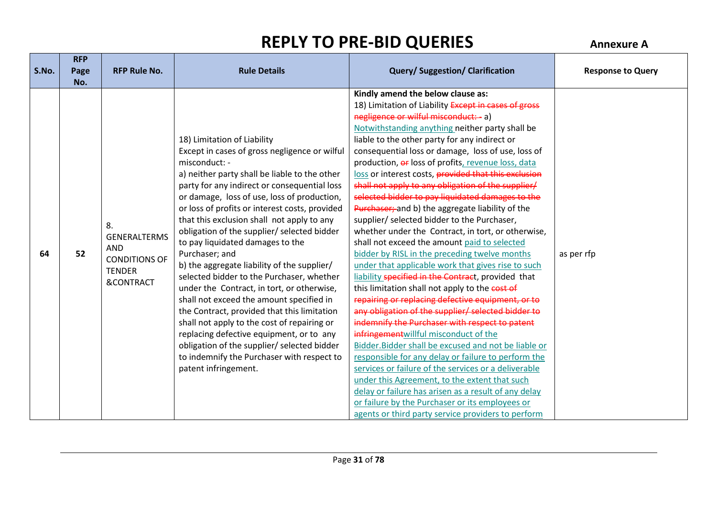| S.No. | <b>RFP</b><br>Page<br>No. | <b>RFP Rule No.</b>                                                                                      | <b>Rule Details</b>                                                                                                                                                                                                                                                                                                                                                                                                                                                                                                                                                                                                                                                                                                                                                                                                                                                                                     | <b>Query/Suggestion/Clarification</b>                                                                                                                                                                                                                                                                                                                                                                                                                                                                                                                                                                                                                                                                                                                                                                                                                                                                                                                                                                                                                                                                                                                                                                                                                                                                                                                                                                                                                                                                                                       | <b>Response to Query</b> |
|-------|---------------------------|----------------------------------------------------------------------------------------------------------|---------------------------------------------------------------------------------------------------------------------------------------------------------------------------------------------------------------------------------------------------------------------------------------------------------------------------------------------------------------------------------------------------------------------------------------------------------------------------------------------------------------------------------------------------------------------------------------------------------------------------------------------------------------------------------------------------------------------------------------------------------------------------------------------------------------------------------------------------------------------------------------------------------|---------------------------------------------------------------------------------------------------------------------------------------------------------------------------------------------------------------------------------------------------------------------------------------------------------------------------------------------------------------------------------------------------------------------------------------------------------------------------------------------------------------------------------------------------------------------------------------------------------------------------------------------------------------------------------------------------------------------------------------------------------------------------------------------------------------------------------------------------------------------------------------------------------------------------------------------------------------------------------------------------------------------------------------------------------------------------------------------------------------------------------------------------------------------------------------------------------------------------------------------------------------------------------------------------------------------------------------------------------------------------------------------------------------------------------------------------------------------------------------------------------------------------------------------|--------------------------|
| 64    | 52                        | 8.<br><b>GENERALTERMS</b><br><b>AND</b><br><b>CONDITIONS OF</b><br><b>TENDER</b><br><b>&amp;CONTRACT</b> | 18) Limitation of Liability<br>Except in cases of gross negligence or wilful<br>misconduct: -<br>a) neither party shall be liable to the other<br>party for any indirect or consequential loss<br>or damage, loss of use, loss of production,<br>or loss of profits or interest costs, provided<br>that this exclusion shall not apply to any<br>obligation of the supplier/ selected bidder<br>to pay liquidated damages to the<br>Purchaser; and<br>b) the aggregate liability of the supplier/<br>selected bidder to the Purchaser, whether<br>under the Contract, in tort, or otherwise,<br>shall not exceed the amount specified in<br>the Contract, provided that this limitation<br>shall not apply to the cost of repairing or<br>replacing defective equipment, or to any<br>obligation of the supplier/ selected bidder<br>to indemnify the Purchaser with respect to<br>patent infringement. | Kindly amend the below clause as:<br>18) Limitation of Liability Except in cases of gross<br>negligence or wilful misconduct:- a)<br>Notwithstanding anything neither party shall be<br>liable to the other party for any indirect or<br>consequential loss or damage, loss of use, loss of<br>production, or loss of profits, revenue loss, data<br>loss or interest costs, provided that this exclusion<br>shall not apply to any obligation of the supplier/<br>selected bidder to pay liquidated damages to the<br>Purchaser; and b) the aggregate liability of the<br>supplier/ selected bidder to the Purchaser,<br>whether under the Contract, in tort, or otherwise,<br>shall not exceed the amount paid to selected<br>bidder by RISL in the preceding twelve months<br>under that applicable work that gives rise to such<br>liability specified in the Contract, provided that<br>this limitation shall not apply to the cost of<br>repairing or replacing defective equipment, or to<br>any obligation of the supplier/ selected bidder to<br>indemnify the Purchaser with respect to patent<br>infringement willful misconduct of the<br>Bidder. Bidder shall be excused and not be liable or<br>responsible for any delay or failure to perform the<br>services or failure of the services or a deliverable<br>under this Agreement, to the extent that such<br>delay or failure has arisen as a result of any delay<br>or failure by the Purchaser or its employees or<br>agents or third party service providers to perform | as per rfp               |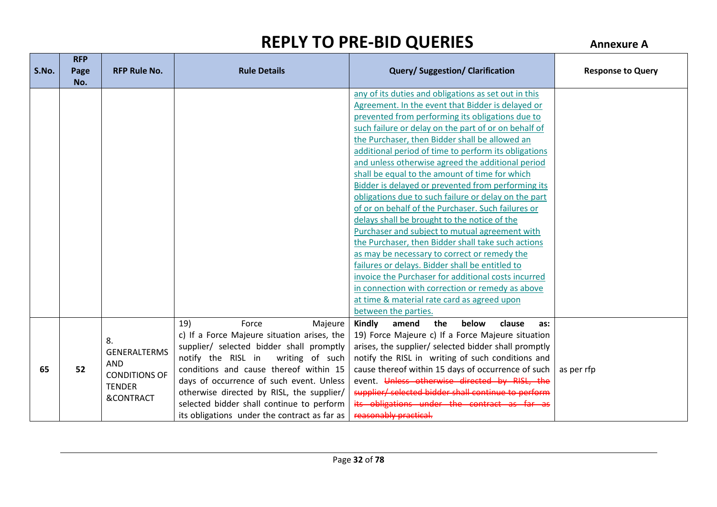| S.No. | <b>RFP</b><br>Page | <b>RFP Rule No.</b>  | <b>Rule Details</b>                          | <b>Query/Suggestion/Clarification</b>                | <b>Response to Query</b> |
|-------|--------------------|----------------------|----------------------------------------------|------------------------------------------------------|--------------------------|
|       | No.                |                      |                                              |                                                      |                          |
|       |                    |                      |                                              | any of its duties and obligations as set out in this |                          |
|       |                    |                      |                                              | Agreement. In the event that Bidder is delayed or    |                          |
|       |                    |                      |                                              | prevented from performing its obligations due to     |                          |
|       |                    |                      |                                              | such failure or delay on the part of or on behalf of |                          |
|       |                    |                      |                                              | the Purchaser, then Bidder shall be allowed an       |                          |
|       |                    |                      |                                              | additional period of time to perform its obligations |                          |
|       |                    |                      |                                              | and unless otherwise agreed the additional period    |                          |
|       |                    |                      |                                              | shall be equal to the amount of time for which       |                          |
|       |                    |                      |                                              | Bidder is delayed or prevented from performing its   |                          |
|       |                    |                      |                                              | obligations due to such failure or delay on the part |                          |
|       |                    |                      |                                              | of or on behalf of the Purchaser. Such failures or   |                          |
|       |                    |                      |                                              | delays shall be brought to the notice of the         |                          |
|       |                    |                      |                                              | Purchaser and subject to mutual agreement with       |                          |
|       |                    |                      |                                              | the Purchaser, then Bidder shall take such actions   |                          |
|       |                    |                      |                                              | as may be necessary to correct or remedy the         |                          |
|       |                    |                      |                                              | failures or delays. Bidder shall be entitled to      |                          |
|       |                    |                      |                                              | invoice the Purchaser for additional costs incurred  |                          |
|       |                    |                      |                                              | in connection with correction or remedy as above     |                          |
|       |                    |                      |                                              | at time & material rate card as agreed upon          |                          |
|       |                    |                      |                                              | between the parties.                                 |                          |
|       |                    |                      | 19)<br>Force<br>Majeure                      | Kindly<br>amend<br>the<br>below<br>clause<br>as:     |                          |
|       |                    | 8.                   | c) If a Force Majeure situation arises, the  | 19) Force Majeure c) If a Force Majeure situation    |                          |
|       |                    | <b>GENERALTERMS</b>  | supplier/ selected bidder shall promptly     | arises, the supplier/ selected bidder shall promptly |                          |
|       |                    | <b>AND</b>           | notify the RISL in writing of such           | notify the RISL in writing of such conditions and    |                          |
| 65    | 52                 | <b>CONDITIONS OF</b> | conditions and cause thereof within 15       | cause thereof within 15 days of occurrence of such   | as per rfp               |
|       |                    | <b>TENDER</b>        | days of occurrence of such event. Unless     | event. Unless otherwise directed by RISL, the        |                          |
|       |                    | <b>&amp;CONTRACT</b> | otherwise directed by RISL, the supplier/    | supplier/ selected bidder shall continue to perform  |                          |
|       |                    |                      | selected bidder shall continue to perform    | its obligations under the contract as far as         |                          |
|       |                    |                      | its obligations under the contract as far as | reasonably practical.                                |                          |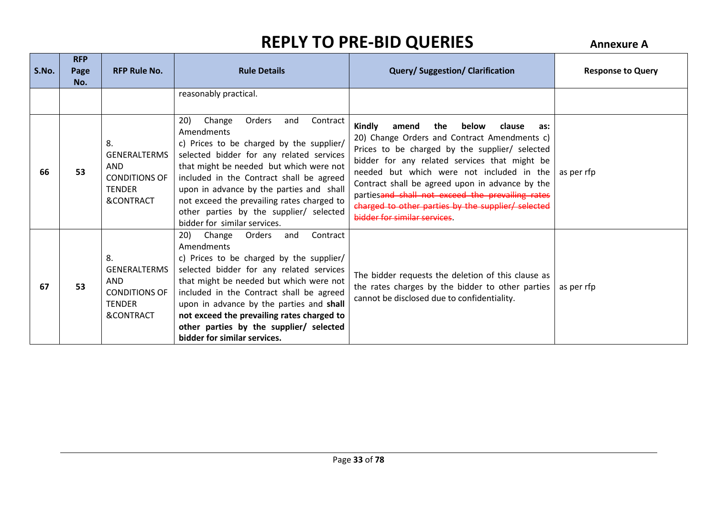| S.No. | <b>RFP</b><br>Page<br>No. | <b>RFP Rule No.</b>                                                                                      | <b>Rule Details</b>                                                                                                                                                                                                                                                                                                                                                                                          | <b>Query/Suggestion/Clarification</b>                                                                                                                                                                                                                                                                                                                                                                                                         | <b>Response to Query</b> |
|-------|---------------------------|----------------------------------------------------------------------------------------------------------|--------------------------------------------------------------------------------------------------------------------------------------------------------------------------------------------------------------------------------------------------------------------------------------------------------------------------------------------------------------------------------------------------------------|-----------------------------------------------------------------------------------------------------------------------------------------------------------------------------------------------------------------------------------------------------------------------------------------------------------------------------------------------------------------------------------------------------------------------------------------------|--------------------------|
|       |                           |                                                                                                          | reasonably practical.                                                                                                                                                                                                                                                                                                                                                                                        |                                                                                                                                                                                                                                                                                                                                                                                                                                               |                          |
| 66    | 53                        | 8.<br><b>GENERALTERMS</b><br><b>AND</b><br><b>CONDITIONS OF</b><br><b>TENDER</b><br>&CONTRACT            | 20)<br>Change<br>Orders<br>Contract<br>and<br>Amendments<br>c) Prices to be charged by the supplier/<br>selected bidder for any related services<br>that might be needed but which were not<br>included in the Contract shall be agreed<br>upon in advance by the parties and shall<br>not exceed the prevailing rates charged to<br>other parties by the supplier/ selected<br>bidder for similar services. | Kindly<br>the<br>below<br>amend<br>clause<br>as:<br>20) Change Orders and Contract Amendments c)<br>Prices to be charged by the supplier/ selected<br>bidder for any related services that might be<br>needed but which were not included in the<br>Contract shall be agreed upon in advance by the<br>partiesand shall not exceed the prevailing rates<br>charged to other parties by the supplier/ selected<br>bidder for similar services. | as per rfp               |
| 67    | 53                        | 8.<br><b>GENERALTERMS</b><br><b>AND</b><br><b>CONDITIONS OF</b><br><b>TENDER</b><br><b>&amp;CONTRACT</b> | 20) Change Orders<br>Contract<br>and<br>Amendments<br>c) Prices to be charged by the supplier/<br>selected bidder for any related services<br>that might be needed but which were not<br>included in the Contract shall be agreed<br>upon in advance by the parties and shall<br>not exceed the prevailing rates charged to<br>other parties by the supplier/ selected<br>bidder for similar services.       | The bidder requests the deletion of this clause as<br>the rates charges by the bidder to other parties<br>cannot be disclosed due to confidentiality.                                                                                                                                                                                                                                                                                         | as per rfp               |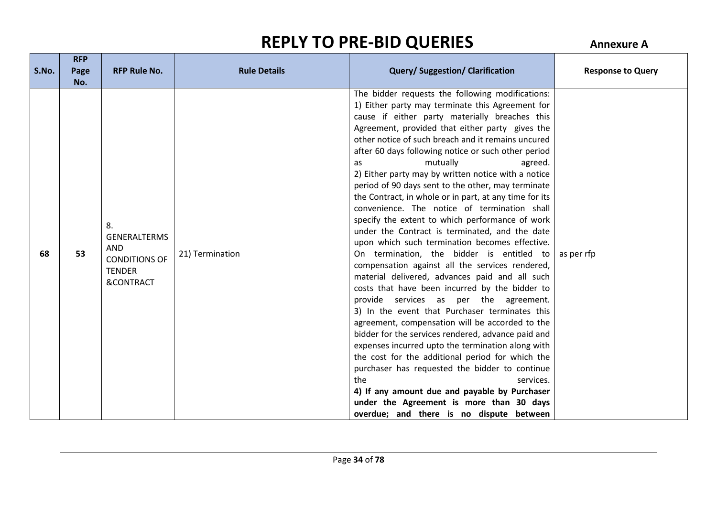**RFP** 

| S.No. | <b>KFP</b><br>Page<br>No. | <b>RFP Rule No.</b>                                                                                      | <b>Rule Details</b> | <b>Query/Suggestion/Clarification</b>                                                                                                                                                                                                                                                                                                                                                                                                                                                                                                                                                                                                                                                                                                                                                                                                                                                                                                                                                                                                                                                                                                                                                                                                                                                                                                                                                                                                                                     | <b>Response to Query</b> |
|-------|---------------------------|----------------------------------------------------------------------------------------------------------|---------------------|---------------------------------------------------------------------------------------------------------------------------------------------------------------------------------------------------------------------------------------------------------------------------------------------------------------------------------------------------------------------------------------------------------------------------------------------------------------------------------------------------------------------------------------------------------------------------------------------------------------------------------------------------------------------------------------------------------------------------------------------------------------------------------------------------------------------------------------------------------------------------------------------------------------------------------------------------------------------------------------------------------------------------------------------------------------------------------------------------------------------------------------------------------------------------------------------------------------------------------------------------------------------------------------------------------------------------------------------------------------------------------------------------------------------------------------------------------------------------|--------------------------|
| 68    | 53                        | 8.<br><b>GENERALTERMS</b><br><b>AND</b><br><b>CONDITIONS OF</b><br><b>TENDER</b><br><b>&amp;CONTRACT</b> | 21) Termination     | The bidder requests the following modifications:<br>1) Either party may terminate this Agreement for<br>cause if either party materially breaches this<br>Agreement, provided that either party gives the<br>other notice of such breach and it remains uncured<br>after 60 days following notice or such other period<br>mutually<br>agreed.<br><b>as</b><br>2) Either party may by written notice with a notice<br>period of 90 days sent to the other, may terminate<br>the Contract, in whole or in part, at any time for its<br>convenience. The notice of termination shall<br>specify the extent to which performance of work<br>under the Contract is terminated, and the date<br>upon which such termination becomes effective.<br>On termination, the bidder is entitled to<br>compensation against all the services rendered,<br>material delivered, advances paid and all such<br>costs that have been incurred by the bidder to<br>provide services as per the agreement.<br>3) In the event that Purchaser terminates this<br>agreement, compensation will be accorded to the<br>bidder for the services rendered, advance paid and<br>expenses incurred upto the termination along with<br>the cost for the additional period for which the<br>purchaser has requested the bidder to continue<br>the<br>services.<br>4) If any amount due and payable by Purchaser<br>under the Agreement is more than 30 days<br>overdue; and there is no dispute between | as per rfp               |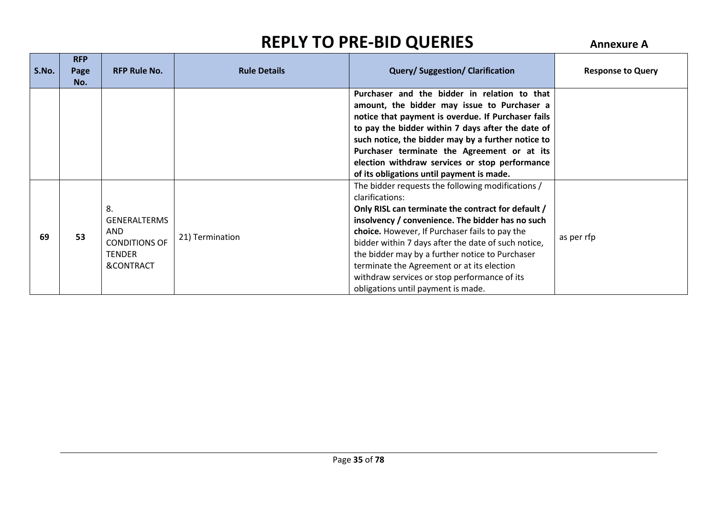| S.No. | <b>RFP</b><br>Page<br>No. | <b>RFP Rule No.</b>                                                                           | <b>Rule Details</b> | <b>Query/Suggestion/Clarification</b>                                                                                                                                                                                                                                                                                                                                                                                                                                          | <b>Response to Query</b> |
|-------|---------------------------|-----------------------------------------------------------------------------------------------|---------------------|--------------------------------------------------------------------------------------------------------------------------------------------------------------------------------------------------------------------------------------------------------------------------------------------------------------------------------------------------------------------------------------------------------------------------------------------------------------------------------|--------------------------|
|       |                           |                                                                                               |                     | Purchaser and the bidder in relation to that<br>amount, the bidder may issue to Purchaser a<br>notice that payment is overdue. If Purchaser fails<br>to pay the bidder within 7 days after the date of<br>such notice, the bidder may by a further notice to<br>Purchaser terminate the Agreement or at its<br>election withdraw services or stop performance<br>of its obligations until payment is made.                                                                     |                          |
| 69    | 53                        | 8.<br><b>GENERALTERMS</b><br><b>AND</b><br><b>CONDITIONS OF</b><br><b>TENDER</b><br>&CONTRACT | 21) Termination     | The bidder requests the following modifications /<br>clarifications:<br>Only RISL can terminate the contract for default /<br>insolvency / convenience. The bidder has no such<br>choice. However, If Purchaser fails to pay the<br>bidder within 7 days after the date of such notice,<br>the bidder may by a further notice to Purchaser<br>terminate the Agreement or at its election<br>withdraw services or stop performance of its<br>obligations until payment is made. | as per rfp               |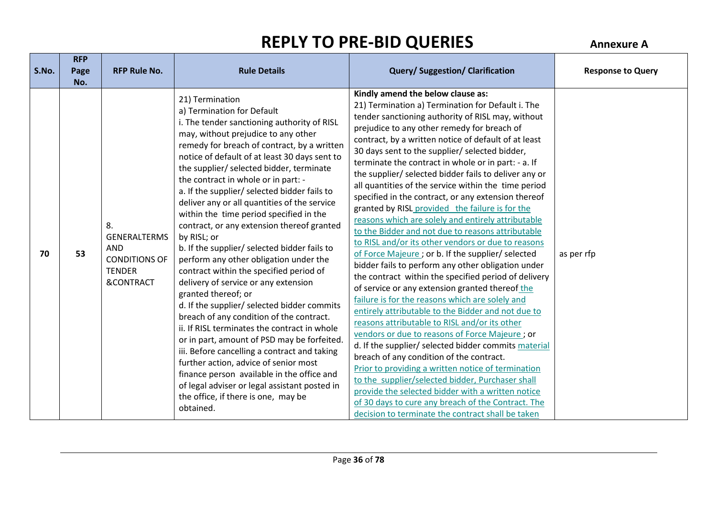**RFP** 

| S.No. | <b>KFP</b><br>Page<br>No. | <b>RFP Rule No.</b>                                                                                      | <b>Rule Details</b>                                                                                                                                                                                                                                                                                                                                                                                                                                                                                                                                                                                                                                                                                                                                                                                                                                                                                                                                                                                                                                                                                                                                                      | <b>Query/Suggestion/Clarification</b>                                                                                                                                                                                                                                                                                                                                                                                                                                                                                                                                                                                                                                                                                                                                                                                                                                                                                                                                                                                                                                                                                                                                                                                                                                                                                                                                                                                                                                                                                                                                    | <b>Response to Query</b> |
|-------|---------------------------|----------------------------------------------------------------------------------------------------------|--------------------------------------------------------------------------------------------------------------------------------------------------------------------------------------------------------------------------------------------------------------------------------------------------------------------------------------------------------------------------------------------------------------------------------------------------------------------------------------------------------------------------------------------------------------------------------------------------------------------------------------------------------------------------------------------------------------------------------------------------------------------------------------------------------------------------------------------------------------------------------------------------------------------------------------------------------------------------------------------------------------------------------------------------------------------------------------------------------------------------------------------------------------------------|--------------------------------------------------------------------------------------------------------------------------------------------------------------------------------------------------------------------------------------------------------------------------------------------------------------------------------------------------------------------------------------------------------------------------------------------------------------------------------------------------------------------------------------------------------------------------------------------------------------------------------------------------------------------------------------------------------------------------------------------------------------------------------------------------------------------------------------------------------------------------------------------------------------------------------------------------------------------------------------------------------------------------------------------------------------------------------------------------------------------------------------------------------------------------------------------------------------------------------------------------------------------------------------------------------------------------------------------------------------------------------------------------------------------------------------------------------------------------------------------------------------------------------------------------------------------------|--------------------------|
| 70    | 53                        | 8.<br><b>GENERALTERMS</b><br><b>AND</b><br><b>CONDITIONS OF</b><br><b>TENDER</b><br><b>&amp;CONTRACT</b> | 21) Termination<br>a) Termination for Default<br>i. The tender sanctioning authority of RISL<br>may, without prejudice to any other<br>remedy for breach of contract, by a written<br>notice of default of at least 30 days sent to<br>the supplier/ selected bidder, terminate<br>the contract in whole or in part: -<br>a. If the supplier/ selected bidder fails to<br>deliver any or all quantities of the service<br>within the time period specified in the<br>contract, or any extension thereof granted<br>by RISL; or<br>b. If the supplier/ selected bidder fails to<br>perform any other obligation under the<br>contract within the specified period of<br>delivery of service or any extension<br>granted thereof; or<br>d. If the supplier/ selected bidder commits<br>breach of any condition of the contract.<br>ii. If RISL terminates the contract in whole<br>or in part, amount of PSD may be forfeited.<br>iii. Before cancelling a contract and taking<br>further action, advice of senior most<br>finance person available in the office and<br>of legal adviser or legal assistant posted in<br>the office, if there is one, may be<br>obtained. | Kindly amend the below clause as:<br>21) Termination a) Termination for Default i. The<br>tender sanctioning authority of RISL may, without<br>prejudice to any other remedy for breach of<br>contract, by a written notice of default of at least<br>30 days sent to the supplier/ selected bidder,<br>terminate the contract in whole or in part: - a. If<br>the supplier/ selected bidder fails to deliver any or<br>all quantities of the service within the time period<br>specified in the contract, or any extension thereof<br>granted by RISL provided the failure is for the<br>reasons which are solely and entirely attributable<br>to the Bidder and not due to reasons attributable<br>to RISL and/or its other vendors or due to reasons<br>of Force Majeure ; or b. If the supplier/ selected<br>bidder fails to perform any other obligation under<br>the contract within the specified period of delivery<br>of service or any extension granted thereof the<br>failure is for the reasons which are solely and<br>entirely attributable to the Bidder and not due to<br>reasons attributable to RISL and/or its other<br>vendors or due to reasons of Force Majeure; or<br>d. If the supplier/ selected bidder commits material<br>breach of any condition of the contract.<br>Prior to providing a written notice of termination<br>to the supplier/selected bidder, Purchaser shall<br>provide the selected bidder with a written notice<br>of 30 days to cure any breach of the Contract. The<br>decision to terminate the contract shall be taken | as per rfp               |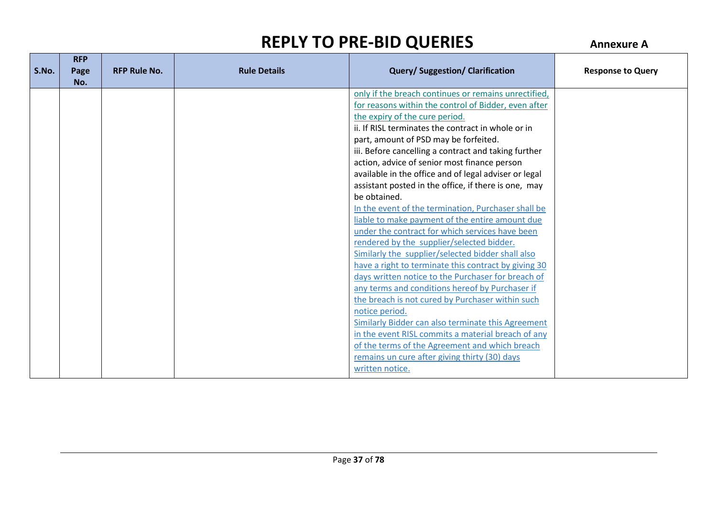| S.No. | <b>RFP</b><br>Page<br>No. | <b>RFP Rule No.</b> | <b>Rule Details</b> | <b>Query/Suggestion/Clarification</b>                 | <b>Response to Query</b> |
|-------|---------------------------|---------------------|---------------------|-------------------------------------------------------|--------------------------|
|       |                           |                     |                     | only if the breach continues or remains unrectified,  |                          |
|       |                           |                     |                     | for reasons within the control of Bidder, even after  |                          |
|       |                           |                     |                     | the expiry of the cure period.                        |                          |
|       |                           |                     |                     | ii. If RISL terminates the contract in whole or in    |                          |
|       |                           |                     |                     | part, amount of PSD may be forfeited.                 |                          |
|       |                           |                     |                     | iii. Before cancelling a contract and taking further  |                          |
|       |                           |                     |                     | action, advice of senior most finance person          |                          |
|       |                           |                     |                     | available in the office and of legal adviser or legal |                          |
|       |                           |                     |                     | assistant posted in the office, if there is one, may  |                          |
|       |                           |                     |                     | be obtained.                                          |                          |
|       |                           |                     |                     | In the event of the termination, Purchaser shall be   |                          |
|       |                           |                     |                     | liable to make payment of the entire amount due       |                          |
|       |                           |                     |                     | under the contract for which services have been       |                          |
|       |                           |                     |                     | rendered by the supplier/selected bidder.             |                          |
|       |                           |                     |                     | Similarly the supplier/selected bidder shall also     |                          |
|       |                           |                     |                     | have a right to terminate this contract by giving 30  |                          |
|       |                           |                     |                     | days written notice to the Purchaser for breach of    |                          |
|       |                           |                     |                     | any terms and conditions hereof by Purchaser if       |                          |
|       |                           |                     |                     | the breach is not cured by Purchaser within such      |                          |
|       |                           |                     |                     | notice period.                                        |                          |
|       |                           |                     |                     | Similarly Bidder can also terminate this Agreement    |                          |
|       |                           |                     |                     | in the event RISL commits a material breach of any    |                          |
|       |                           |                     |                     | of the terms of the Agreement and which breach        |                          |
|       |                           |                     |                     | remains un cure after giving thirty (30) days         |                          |
|       |                           |                     |                     | written notice.                                       |                          |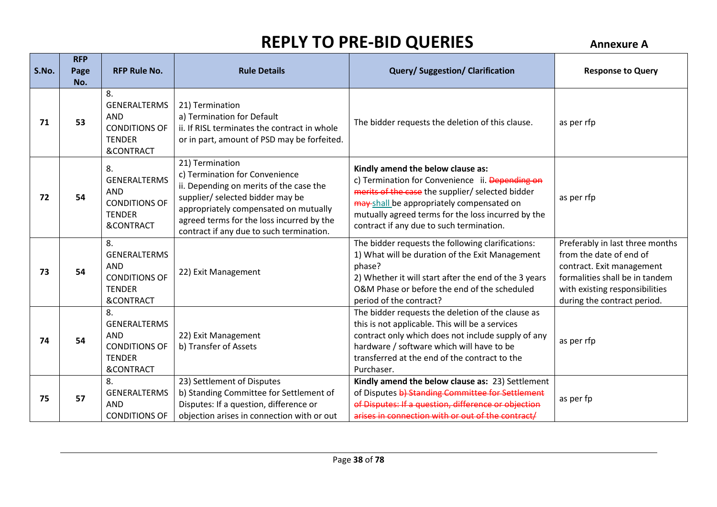| S.No. | <b>RFP</b><br>Page<br>No. | <b>RFP Rule No.</b>                                                                                      | <b>Rule Details</b>                                                                                                                                                                                                                                                | <b>Query/Suggestion/Clarification</b>                                                                                                                                                                                                                                                   | <b>Response to Query</b>                                                                                                                                                                   |
|-------|---------------------------|----------------------------------------------------------------------------------------------------------|--------------------------------------------------------------------------------------------------------------------------------------------------------------------------------------------------------------------------------------------------------------------|-----------------------------------------------------------------------------------------------------------------------------------------------------------------------------------------------------------------------------------------------------------------------------------------|--------------------------------------------------------------------------------------------------------------------------------------------------------------------------------------------|
| 71    | 53                        | 8.<br><b>GENERALTERMS</b><br><b>AND</b><br><b>CONDITIONS OF</b><br><b>TENDER</b><br><b>&amp;CONTRACT</b> | 21) Termination<br>a) Termination for Default<br>ii. If RISL terminates the contract in whole<br>or in part, amount of PSD may be forfeited.                                                                                                                       | The bidder requests the deletion of this clause.                                                                                                                                                                                                                                        | as per rfp                                                                                                                                                                                 |
| 72    | 54                        | 8.<br><b>GENERALTERMS</b><br>AND<br><b>CONDITIONS OF</b><br><b>TENDER</b><br><b>&amp;CONTRACT</b>        | 21) Termination<br>c) Termination for Convenience<br>ii. Depending on merits of the case the<br>supplier/ selected bidder may be<br>appropriately compensated on mutually<br>agreed terms for the loss incurred by the<br>contract if any due to such termination. | Kindly amend the below clause as:<br>c) Termination for Convenience ii. Depending on<br>merits of the case the supplier/ selected bidder<br>may shall be appropriately compensated on<br>mutually agreed terms for the loss incurred by the<br>contract if any due to such termination. | as per rfp                                                                                                                                                                                 |
| 73    | 54                        | 8.<br><b>GENERALTERMS</b><br><b>AND</b><br><b>CONDITIONS OF</b><br><b>TENDER</b><br><b>&amp;CONTRACT</b> | 22) Exit Management                                                                                                                                                                                                                                                | The bidder requests the following clarifications:<br>1) What will be duration of the Exit Management<br>phase?<br>2) Whether it will start after the end of the 3 years<br>O&M Phase or before the end of the scheduled<br>period of the contract?                                      | Preferably in last three months<br>from the date of end of<br>contract. Exit management<br>formalities shall be in tandem<br>with existing responsibilities<br>during the contract period. |
| 74    | 54                        | 8.<br><b>GENERALTERMS</b><br><b>AND</b><br><b>CONDITIONS OF</b><br><b>TENDER</b><br><b>&amp;CONTRACT</b> | 22) Exit Management<br>b) Transfer of Assets                                                                                                                                                                                                                       | The bidder requests the deletion of the clause as<br>this is not applicable. This will be a services<br>contract only which does not include supply of any<br>hardware / software which will have to be<br>transferred at the end of the contract to the<br>Purchaser.                  | as per rfp                                                                                                                                                                                 |
| 75    | 57                        | 8.<br><b>GENERALTERMS</b><br><b>AND</b><br><b>CONDITIONS OF</b>                                          | 23) Settlement of Disputes<br>b) Standing Committee for Settlement of<br>Disputes: If a question, difference or<br>objection arises in connection with or out                                                                                                      | Kindly amend the below clause as: 23) Settlement<br>of Disputes b) Standing Committee for Settlement<br>of Disputes: If a question, difference or objection<br>arises in connection with or out of the contract/                                                                        | as per fp                                                                                                                                                                                  |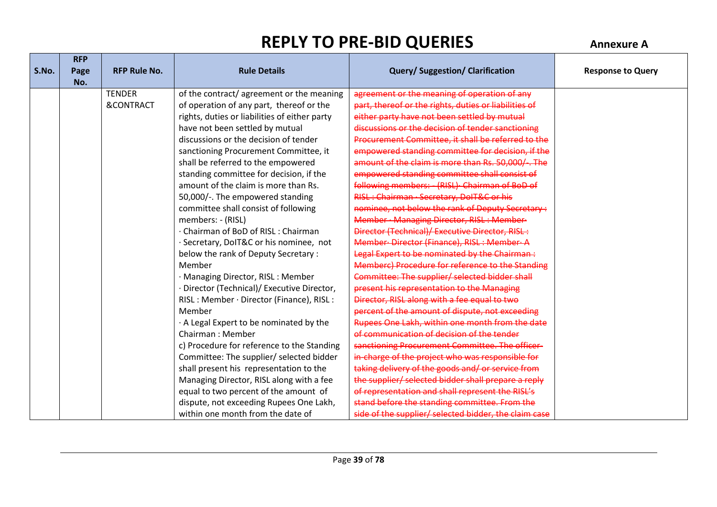|       | <b>RFP</b> |                      |                                               |                                                       |                          |
|-------|------------|----------------------|-----------------------------------------------|-------------------------------------------------------|--------------------------|
| S.No. | Page       | <b>RFP Rule No.</b>  | <b>Rule Details</b>                           | <b>Query/Suggestion/Clarification</b>                 | <b>Response to Query</b> |
|       | No.        |                      |                                               |                                                       |                          |
|       |            | <b>TENDER</b>        | of the contract/agreement or the meaning      | agreement or the meaning of operation of any          |                          |
|       |            | <b>&amp;CONTRACT</b> | of operation of any part, thereof or the      | part, thereof or the rights, duties or liabilities of |                          |
|       |            |                      | rights, duties or liabilities of either party | either party have not been settled by mutual          |                          |
|       |            |                      | have not been settled by mutual               | discussions or the decision of tender sanctioning     |                          |
|       |            |                      | discussions or the decision of tender         | Procurement Committee, it shall be referred to the    |                          |
|       |            |                      | sanctioning Procurement Committee, it         | empowered standing committee for decision, if the     |                          |
|       |            |                      | shall be referred to the empowered            | amount of the claim is more than Rs. 50,000/-. The    |                          |
|       |            |                      | standing committee for decision, if the       | empowered standing committee shall consist of         |                          |
|       |            |                      | amount of the claim is more than Rs.          | following members: - (RISL) Chairman of BoD of        |                          |
|       |            |                      | 50,000/-. The empowered standing              | RISL: Chairman · Secretary, DoIT&C or his             |                          |
|       |            |                      | committee shall consist of following          | nominee, not below the rank of Deputy Secretary:      |                          |
|       |            |                      | members: - (RISL)                             | Member · Managing Director, RISL: Member-             |                          |
|       |            |                      | · Chairman of BoD of RISL: Chairman           | Director (Technical)/ Executive Director, RISL:       |                          |
|       |            |                      | · Secretary, DoIT&C or his nominee, not       | Member-Director (Finance), RISL: Member-A             |                          |
|       |            |                      | below the rank of Deputy Secretary :          | Legal Expert to be nominated by the Chairman:         |                          |
|       |            |                      | Member                                        | Memberc) Procedure for reference to the Standing      |                          |
|       |            |                      | · Managing Director, RISL: Member             | Committee: The supplier/ selected bidder shall        |                          |
|       |            |                      | Director (Technical)/ Executive Director,     | present his representation to the Managing            |                          |
|       |            |                      | RISL: Member · Director (Finance), RISL:      | Director, RISL along with a fee equal to two          |                          |
|       |            |                      | Member                                        | percent of the amount of dispute, not exceeding       |                          |
|       |            |                      | . A Legal Expert to be nominated by the       | Rupees One Lakh, within one month from the date       |                          |
|       |            |                      | Chairman: Member                              | of communication of decision of the tender            |                          |
|       |            |                      | c) Procedure for reference to the Standing    | sanctioning Procurement Committee. The officer-       |                          |
|       |            |                      | Committee: The supplier/ selected bidder      | in-charge of the project who was responsible for      |                          |
|       |            |                      | shall present his representation to the       | taking delivery of the goods and/or service from      |                          |
|       |            |                      | Managing Director, RISL along with a fee      | the supplier/ selected bidder shall prepare a reply   |                          |
|       |            |                      | equal to two percent of the amount of         | of representation and shall represent the RISL's      |                          |
|       |            |                      | dispute, not exceeding Rupees One Lakh,       | stand before the standing committee. From the         |                          |
|       |            |                      | within one month from the date of             | side of the supplier/ selected bidder, the claim case |                          |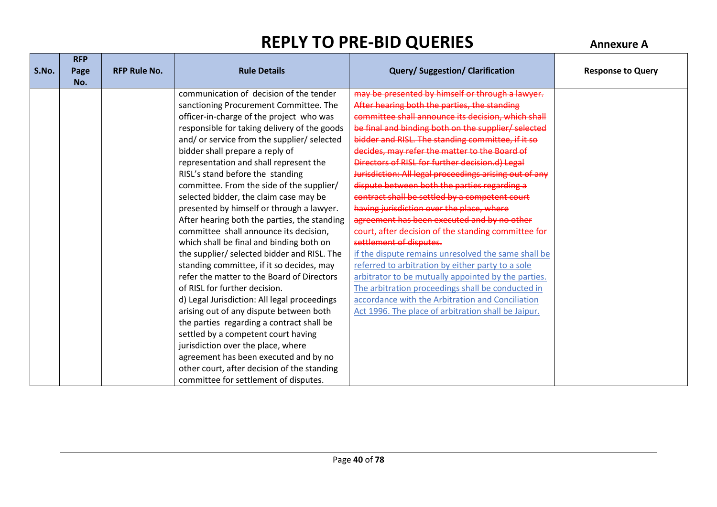**RFP** 

| S.No. | <b>KFP</b><br>Page | <b>RFP Rule No.</b> | <b>Rule Details</b>                          | <b>Query/Suggestion/Clarification</b>                  | <b>Response to Query</b> |
|-------|--------------------|---------------------|----------------------------------------------|--------------------------------------------------------|--------------------------|
|       | No.                |                     |                                              |                                                        |                          |
|       |                    |                     | communication of decision of the tender      | may be presented by himself or through a lawyer.       |                          |
|       |                    |                     | sanctioning Procurement Committee. The       | After hearing both the parties, the standing           |                          |
|       |                    |                     | officer-in-charge of the project who was     | committee shall announce its decision, which shall     |                          |
|       |                    |                     | responsible for taking delivery of the goods | be final and binding both on the supplier/ selected    |                          |
|       |                    |                     | and/or service from the supplier/ selected   | bidder and RISL. The standing committee, if it so      |                          |
|       |                    |                     | bidder shall prepare a reply of              | decides, may refer the matter to the Board of          |                          |
|       |                    |                     | representation and shall represent the       | Directors of RISL for further decision.d) Legal        |                          |
|       |                    |                     | RISL's stand before the standing             | Jurisdiction: All legal proceedings arising out of any |                          |
|       |                    |                     | committee. From the side of the supplier/    | dispute between both the parties regarding a           |                          |
|       |                    |                     | selected bidder, the claim case may be       | contract shall be settled by a competent court         |                          |
|       |                    |                     | presented by himself or through a lawyer.    | having jurisdiction over the place, where              |                          |
|       |                    |                     | After hearing both the parties, the standing | agreement has been executed and by no other            |                          |
|       |                    |                     | committee shall announce its decision,       | court, after decision of the standing committee for    |                          |
|       |                    |                     | which shall be final and binding both on     | settlement of disputes.                                |                          |
|       |                    |                     | the supplier/ selected bidder and RISL. The  | if the dispute remains unresolved the same shall be    |                          |
|       |                    |                     | standing committee, if it so decides, may    | referred to arbitration by either party to a sole      |                          |
|       |                    |                     | refer the matter to the Board of Directors   | arbitrator to be mutually appointed by the parties.    |                          |
|       |                    |                     | of RISL for further decision.                | The arbitration proceedings shall be conducted in      |                          |
|       |                    |                     | d) Legal Jurisdiction: All legal proceedings | accordance with the Arbitration and Conciliation       |                          |
|       |                    |                     | arising out of any dispute between both      | Act 1996. The place of arbitration shall be Jaipur.    |                          |
|       |                    |                     | the parties regarding a contract shall be    |                                                        |                          |
|       |                    |                     | settled by a competent court having          |                                                        |                          |
|       |                    |                     | jurisdiction over the place, where           |                                                        |                          |
|       |                    |                     | agreement has been executed and by no        |                                                        |                          |
|       |                    |                     | other court, after decision of the standing  |                                                        |                          |
|       |                    |                     | committee for settlement of disputes.        |                                                        |                          |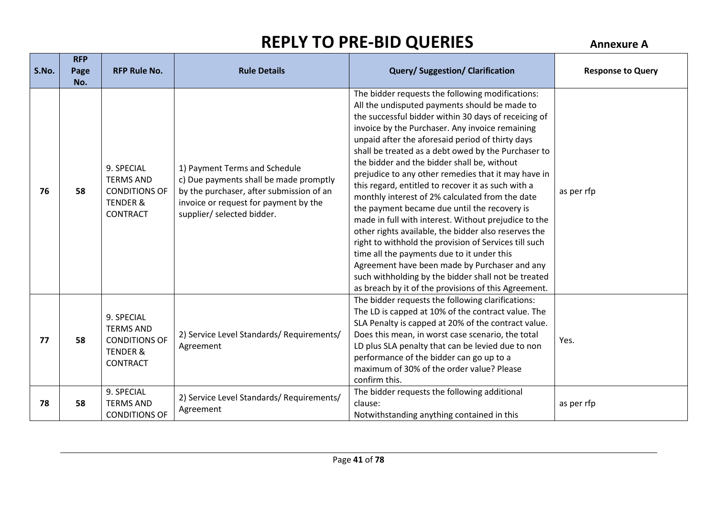**RFP** 

| S.No. | <b>KFP</b><br>Page<br>No. | <b>RFP Rule No.</b>                                                                              | <b>Rule Details</b>                                                                                                                                                                        | <b>Query/Suggestion/Clarification</b>                                                                                                                                                                                                                                                                                                                                                                                                                                                                                                                                                                                                                                                                                                                                                                                                                                                                                                                                         | <b>Response to Query</b> |
|-------|---------------------------|--------------------------------------------------------------------------------------------------|--------------------------------------------------------------------------------------------------------------------------------------------------------------------------------------------|-------------------------------------------------------------------------------------------------------------------------------------------------------------------------------------------------------------------------------------------------------------------------------------------------------------------------------------------------------------------------------------------------------------------------------------------------------------------------------------------------------------------------------------------------------------------------------------------------------------------------------------------------------------------------------------------------------------------------------------------------------------------------------------------------------------------------------------------------------------------------------------------------------------------------------------------------------------------------------|--------------------------|
| 76    | 58                        | 9. SPECIAL<br><b>TERMS AND</b><br><b>CONDITIONS OF</b><br><b>TENDER &amp;</b><br><b>CONTRACT</b> | 1) Payment Terms and Schedule<br>c) Due payments shall be made promptly<br>by the purchaser, after submission of an<br>invoice or request for payment by the<br>supplier/ selected bidder. | The bidder requests the following modifications:<br>All the undisputed payments should be made to<br>the successful bidder within 30 days of receicing of<br>invoice by the Purchaser. Any invoice remaining<br>unpaid after the aforesaid period of thirty days<br>shall be treated as a debt owed by the Purchaser to<br>the bidder and the bidder shall be, without<br>prejudice to any other remedies that it may have in<br>this regard, entitled to recover it as such with a<br>monthly interest of 2% calculated from the date<br>the payment became due until the recovery is<br>made in full with interest. Without prejudice to the<br>other rights available, the bidder also reserves the<br>right to withhold the provision of Services till such<br>time all the payments due to it under this<br>Agreement have been made by Purchaser and any<br>such withholding by the bidder shall not be treated<br>as breach by it of the provisions of this Agreement. | as per rfp               |
| 77    | 58                        | 9. SPECIAL<br><b>TERMS AND</b><br><b>CONDITIONS OF</b><br><b>TENDER &amp;</b><br><b>CONTRACT</b> | 2) Service Level Standards/ Requirements/<br>Agreement                                                                                                                                     | The bidder requests the following clarifications:<br>The LD is capped at 10% of the contract value. The<br>SLA Penalty is capped at 20% of the contract value.<br>Does this mean, in worst case scenario, the total<br>LD plus SLA penalty that can be levied due to non<br>performance of the bidder can go up to a<br>maximum of 30% of the order value? Please<br>confirm this.                                                                                                                                                                                                                                                                                                                                                                                                                                                                                                                                                                                            | Yes.                     |
| 78    | 58                        | 9. SPECIAL<br><b>TERMS AND</b><br><b>CONDITIONS OF</b>                                           | 2) Service Level Standards/ Requirements/<br>Agreement                                                                                                                                     | The bidder requests the following additional<br>clause:<br>Notwithstanding anything contained in this                                                                                                                                                                                                                                                                                                                                                                                                                                                                                                                                                                                                                                                                                                                                                                                                                                                                         | as per rfp               |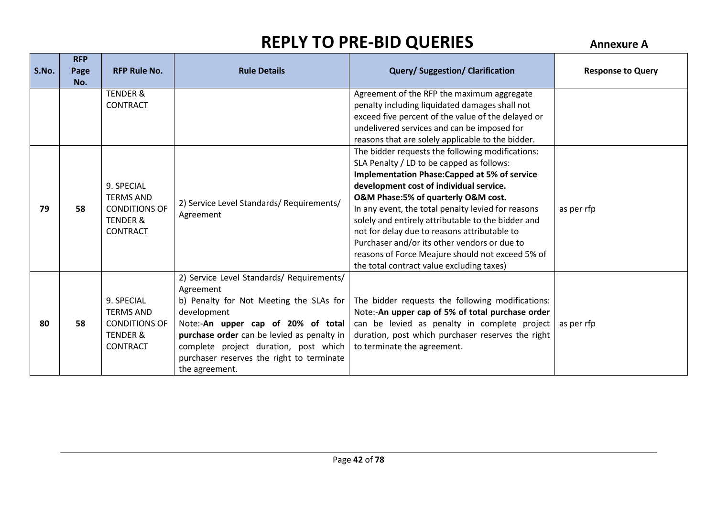| S.No. | <b>RFP</b><br>Page<br>No. | <b>RFP Rule No.</b>                                                                              | <b>Rule Details</b>                                                                                                                                                                                                                                                                                          | <b>Query/Suggestion/Clarification</b>                                                                                                                                                                                                                                                                                                                                                                                                                                                                                                                | <b>Response to Query</b> |
|-------|---------------------------|--------------------------------------------------------------------------------------------------|--------------------------------------------------------------------------------------------------------------------------------------------------------------------------------------------------------------------------------------------------------------------------------------------------------------|------------------------------------------------------------------------------------------------------------------------------------------------------------------------------------------------------------------------------------------------------------------------------------------------------------------------------------------------------------------------------------------------------------------------------------------------------------------------------------------------------------------------------------------------------|--------------------------|
|       |                           | <b>TENDER &amp;</b><br><b>CONTRACT</b>                                                           |                                                                                                                                                                                                                                                                                                              | Agreement of the RFP the maximum aggregate<br>penalty including liquidated damages shall not<br>exceed five percent of the value of the delayed or<br>undelivered services and can be imposed for<br>reasons that are solely applicable to the bidder.                                                                                                                                                                                                                                                                                               |                          |
| 79    | 58                        | 9. SPECIAL<br><b>TERMS AND</b><br><b>CONDITIONS OF</b><br><b>TENDER &amp;</b><br><b>CONTRACT</b> | 2) Service Level Standards/ Requirements/<br>Agreement                                                                                                                                                                                                                                                       | The bidder requests the following modifications:<br>SLA Penalty / LD to be capped as follows:<br><b>Implementation Phase: Capped at 5% of service</b><br>development cost of individual service.<br>O&M Phase:5% of quarterly O&M cost.<br>In any event, the total penalty levied for reasons<br>solely and entirely attributable to the bidder and<br>not for delay due to reasons attributable to<br>Purchaser and/or its other vendors or due to<br>reasons of Force Meajure should not exceed 5% of<br>the total contract value excluding taxes) | as per rfp               |
| 80    | 58                        | 9. SPECIAL<br><b>TERMS AND</b><br><b>CONDITIONS OF</b><br><b>TENDER &amp;</b><br><b>CONTRACT</b> | 2) Service Level Standards/ Requirements/<br>Agreement<br>b) Penalty for Not Meeting the SLAs for<br>development<br>Note:-An upper cap of 20% of total<br>purchase order can be levied as penalty in<br>complete project duration, post which<br>purchaser reserves the right to terminate<br>the agreement. | The bidder requests the following modifications:<br>Note:-An upper cap of 5% of total purchase order<br>can be levied as penalty in complete project<br>duration, post which purchaser reserves the right<br>to terminate the agreement.                                                                                                                                                                                                                                                                                                             | as per rfp               |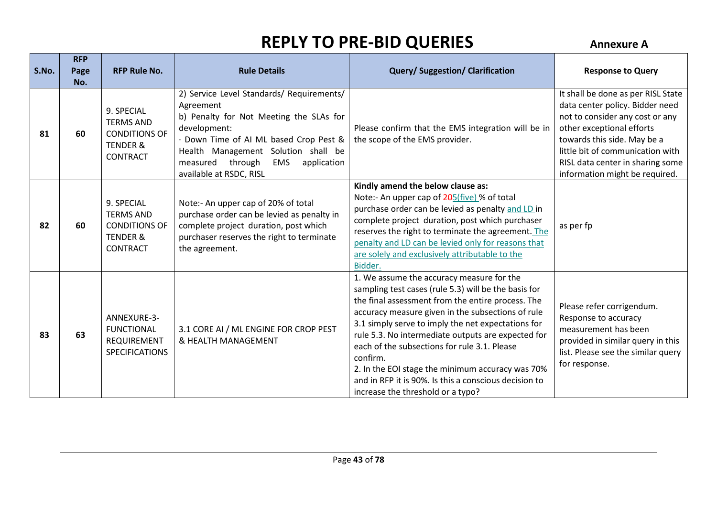| S.No. | <b>RFP</b><br>Page<br>No. | <b>RFP Rule No.</b>                                                                              | <b>Rule Details</b>                                                                                                                                                                                                                                                               | Query/ Suggestion/ Clarification                                                                                                                                                                                                                                                                                                                                                                                                                                                                                                      | <b>Response to Query</b>                                                                                                                                                                                                                                                       |
|-------|---------------------------|--------------------------------------------------------------------------------------------------|-----------------------------------------------------------------------------------------------------------------------------------------------------------------------------------------------------------------------------------------------------------------------------------|---------------------------------------------------------------------------------------------------------------------------------------------------------------------------------------------------------------------------------------------------------------------------------------------------------------------------------------------------------------------------------------------------------------------------------------------------------------------------------------------------------------------------------------|--------------------------------------------------------------------------------------------------------------------------------------------------------------------------------------------------------------------------------------------------------------------------------|
| 81    | 60                        | 9. SPECIAL<br><b>TERMS AND</b><br><b>CONDITIONS OF</b><br><b>TENDER &amp;</b><br><b>CONTRACT</b> | 2) Service Level Standards/ Requirements/<br>Agreement<br>b) Penalty for Not Meeting the SLAs for<br>development:<br>· Down Time of AI ML based Crop Pest &<br>Health Management Solution shall be<br>measured<br>through<br><b>EMS</b><br>application<br>available at RSDC, RISL | Please confirm that the EMS integration will be in<br>the scope of the EMS provider.                                                                                                                                                                                                                                                                                                                                                                                                                                                  | It shall be done as per RISL State<br>data center policy. Bidder need<br>not to consider any cost or any<br>other exceptional efforts<br>towards this side. May be a<br>little bit of communication with<br>RISL data center in sharing some<br>information might be required. |
| 82    | 60                        | 9. SPECIAL<br><b>TERMS AND</b><br><b>CONDITIONS OF</b><br><b>TENDER &amp;</b><br><b>CONTRACT</b> | Note:- An upper cap of 20% of total<br>purchase order can be levied as penalty in<br>complete project duration, post which<br>purchaser reserves the right to terminate<br>the agreement.                                                                                         | Kindly amend the below clause as:<br>Note:- An upper cap of 205(five) % of total<br>purchase order can be levied as penalty and LD in<br>complete project duration, post which purchaser<br>reserves the right to terminate the agreement. The<br>penalty and LD can be levied only for reasons that<br>are solely and exclusively attributable to the<br>Bidder.                                                                                                                                                                     | as per fp                                                                                                                                                                                                                                                                      |
| 83    | 63                        | ANNEXURE-3-<br><b>FUNCTIONAL</b><br>REQUIREMENT<br><b>SPECIFICATIONS</b>                         | 3.1 CORE AI / ML ENGINE FOR CROP PEST<br>& HEALTH MANAGEMENT                                                                                                                                                                                                                      | 1. We assume the accuracy measure for the<br>sampling test cases (rule 5.3) will be the basis for<br>the final assessment from the entire process. The<br>accuracy measure given in the subsections of rule<br>3.1 simply serve to imply the net expectations for<br>rule 5.3. No intermediate outputs are expected for<br>each of the subsections for rule 3.1. Please<br>confirm.<br>2. In the EOI stage the minimum accuracy was 70%<br>and in RFP it is 90%. Is this a conscious decision to<br>increase the threshold or a typo? | Please refer corrigendum.<br>Response to accuracy<br>measurement has been<br>provided in similar query in this<br>list. Please see the similar query<br>for response.                                                                                                          |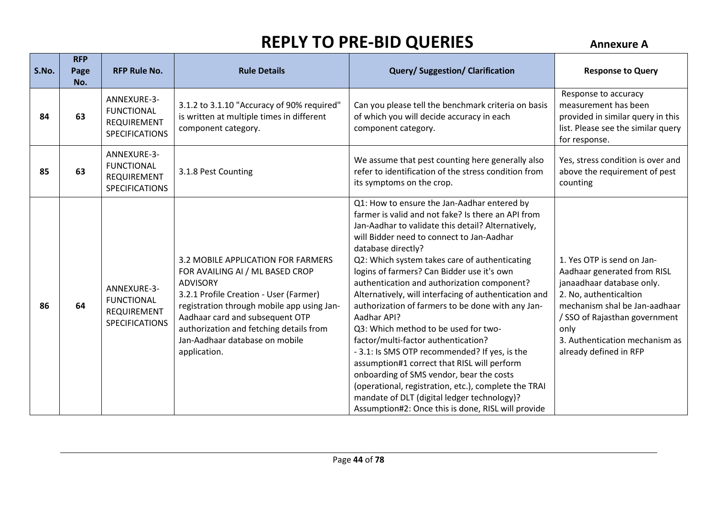| S.No. | <b>RFP</b><br>Page<br>No. | <b>RFP Rule No.</b>                                                             | <b>Rule Details</b>                                                                                                                                                                                                                                                                                              | <b>Query/Suggestion/Clarification</b>                                                                                                                                                                                                                                                                                                                                                                                                                                                                                                                                                                                                                                                                                                                                                                                                                                                         | <b>Response to Query</b>                                                                                                                                                                                                                               |
|-------|---------------------------|---------------------------------------------------------------------------------|------------------------------------------------------------------------------------------------------------------------------------------------------------------------------------------------------------------------------------------------------------------------------------------------------------------|-----------------------------------------------------------------------------------------------------------------------------------------------------------------------------------------------------------------------------------------------------------------------------------------------------------------------------------------------------------------------------------------------------------------------------------------------------------------------------------------------------------------------------------------------------------------------------------------------------------------------------------------------------------------------------------------------------------------------------------------------------------------------------------------------------------------------------------------------------------------------------------------------|--------------------------------------------------------------------------------------------------------------------------------------------------------------------------------------------------------------------------------------------------------|
| 84    | 63                        | ANNEXURE-3-<br><b>FUNCTIONAL</b><br><b>REQUIREMENT</b><br><b>SPECIFICATIONS</b> | 3.1.2 to 3.1.10 "Accuracy of 90% required"<br>is written at multiple times in different<br>component category.                                                                                                                                                                                                   | Can you please tell the benchmark criteria on basis<br>of which you will decide accuracy in each<br>component category.                                                                                                                                                                                                                                                                                                                                                                                                                                                                                                                                                                                                                                                                                                                                                                       | Response to accuracy<br>measurement has been<br>provided in similar query in this<br>list. Please see the similar query<br>for response.                                                                                                               |
| 85    | 63                        | ANNEXURE-3-<br><b>FUNCTIONAL</b><br>REQUIREMENT<br><b>SPECIFICATIONS</b>        | 3.1.8 Pest Counting                                                                                                                                                                                                                                                                                              | We assume that pest counting here generally also<br>refer to identification of the stress condition from<br>its symptoms on the crop.                                                                                                                                                                                                                                                                                                                                                                                                                                                                                                                                                                                                                                                                                                                                                         | Yes, stress condition is over and<br>above the requirement of pest<br>counting                                                                                                                                                                         |
| 86    | 64                        | ANNEXURE-3-<br><b>FUNCTIONAL</b><br>REQUIREMENT<br><b>SPECIFICATIONS</b>        | 3.2 MOBILE APPLICATION FOR FARMERS<br>FOR AVAILING AI / ML BASED CROP<br><b>ADVISORY</b><br>3.2.1 Profile Creation - User (Farmer)<br>registration through mobile app using Jan-<br>Aadhaar card and subsequent OTP<br>authorization and fetching details from<br>Jan-Aadhaar database on mobile<br>application. | Q1: How to ensure the Jan-Aadhar entered by<br>farmer is valid and not fake? Is there an API from<br>Jan-Aadhar to validate this detail? Alternatively,<br>will Bidder need to connect to Jan-Aadhar<br>database directly?<br>Q2: Which system takes care of authenticating<br>logins of farmers? Can Bidder use it's own<br>authentication and authorization component?<br>Alternatively, will interfacing of authentication and<br>authorization of farmers to be done with any Jan-<br>Aadhar API?<br>Q3: Which method to be used for two-<br>factor/multi-factor authentication?<br>- 3.1: Is SMS OTP recommended? If yes, is the<br>assumption#1 correct that RISL will perform<br>onboarding of SMS vendor, bear the costs<br>(operational, registration, etc.), complete the TRAI<br>mandate of DLT (digital ledger technology)?<br>Assumption#2: Once this is done, RISL will provide | 1. Yes OTP is send on Jan-<br>Aadhaar generated from RISL<br>janaadhaar database only.<br>2. No, authenticaltion<br>mechanism shal be Jan-aadhaar<br>/ SSO of Rajasthan government<br>only<br>3. Authentication mechanism as<br>already defined in RFP |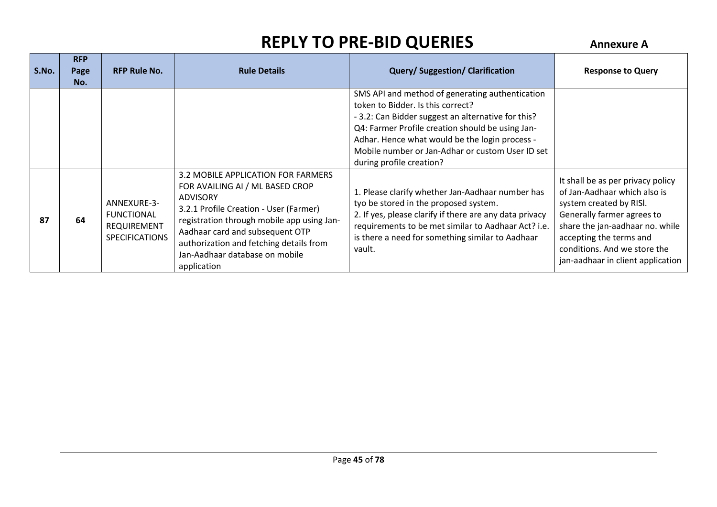| S.No. | <b>RFP</b><br>Page<br>No. | <b>RFP Rule No.</b>                                                             | <b>Rule Details</b>                                                                                                                                                                                                                                                                                             | <b>Query/Suggestion/Clarification</b>                                                                                                                                                                                                                                                                                            | <b>Response to Query</b>                                                                                                                                                                                                                                      |
|-------|---------------------------|---------------------------------------------------------------------------------|-----------------------------------------------------------------------------------------------------------------------------------------------------------------------------------------------------------------------------------------------------------------------------------------------------------------|----------------------------------------------------------------------------------------------------------------------------------------------------------------------------------------------------------------------------------------------------------------------------------------------------------------------------------|---------------------------------------------------------------------------------------------------------------------------------------------------------------------------------------------------------------------------------------------------------------|
|       |                           |                                                                                 |                                                                                                                                                                                                                                                                                                                 | SMS API and method of generating authentication<br>token to Bidder. Is this correct?<br>- 3.2: Can Bidder suggest an alternative for this?<br>Q4: Farmer Profile creation should be using Jan-<br>Adhar. Hence what would be the login process -<br>Mobile number or Jan-Adhar or custom User ID set<br>during profile creation? |                                                                                                                                                                                                                                                               |
| 87    | 64                        | ANNEXURE-3-<br><b>FUNCTIONAL</b><br><b>REQUIREMENT</b><br><b>SPECIFICATIONS</b> | 3.2 MOBILE APPLICATION FOR FARMERS<br>FOR AVAILING AI / ML BASED CROP<br><b>ADVISORY</b><br>3.2.1 Profile Creation - User (Farmer)<br>registration through mobile app using Jan-<br>Aadhaar card and subsequent OTP<br>authorization and fetching details from<br>Jan-Aadhaar database on mobile<br>application | 1. Please clarify whether Jan-Aadhaar number has<br>tyo be stored in the proposed system.<br>2. If yes, please clarify if there are any data privacy<br>requirements to be met similar to Aadhaar Act? i.e.<br>is there a need for something similar to Aadhaar<br>vault.                                                        | It shall be as per privacy policy<br>of Jan-Aadhaar which also is<br>system created by RISI.<br>Generally farmer agrees to<br>share the jan-aadhaar no. while<br>accepting the terms and<br>conditions. And we store the<br>jan-aadhaar in client application |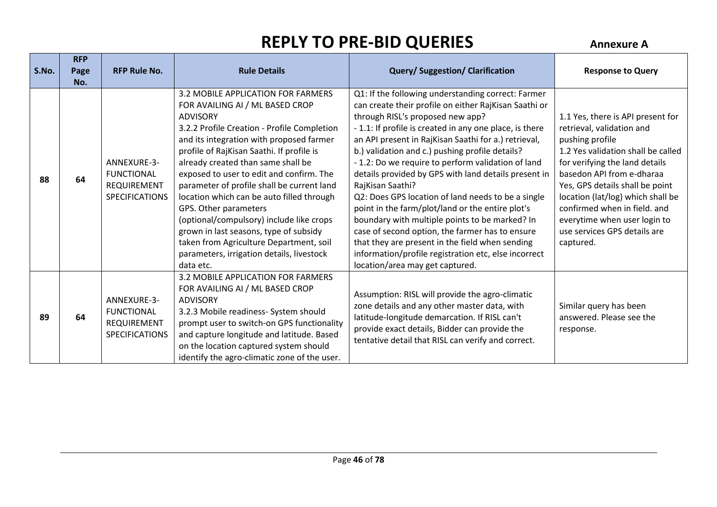| S.No. | <b>RFP</b><br>Page<br>No. | <b>RFP Rule No.</b>                                                             | <b>Rule Details</b>                                                                                                                                                                                                                                                                                                                                                                                                                                                                                                                                                                                                               | <b>Query/Suggestion/Clarification</b>                                                                                                                                                                                                                                                                                                                                                                                                                                                                                                                                                                                                                                                                                                                                                                                | <b>Response to Query</b>                                                                                                                                                                                                                                                                                                                                                    |
|-------|---------------------------|---------------------------------------------------------------------------------|-----------------------------------------------------------------------------------------------------------------------------------------------------------------------------------------------------------------------------------------------------------------------------------------------------------------------------------------------------------------------------------------------------------------------------------------------------------------------------------------------------------------------------------------------------------------------------------------------------------------------------------|----------------------------------------------------------------------------------------------------------------------------------------------------------------------------------------------------------------------------------------------------------------------------------------------------------------------------------------------------------------------------------------------------------------------------------------------------------------------------------------------------------------------------------------------------------------------------------------------------------------------------------------------------------------------------------------------------------------------------------------------------------------------------------------------------------------------|-----------------------------------------------------------------------------------------------------------------------------------------------------------------------------------------------------------------------------------------------------------------------------------------------------------------------------------------------------------------------------|
| 88    | 64                        | ANNEXURE-3-<br><b>FUNCTIONAL</b><br><b>REQUIREMENT</b><br><b>SPECIFICATIONS</b> | 3.2 MOBILE APPLICATION FOR FARMERS<br>FOR AVAILING AI / ML BASED CROP<br><b>ADVISORY</b><br>3.2.2 Profile Creation - Profile Completion<br>and its integration with proposed farmer<br>profile of RajKisan Saathi. If profile is<br>already created than same shall be<br>exposed to user to edit and confirm. The<br>parameter of profile shall be current land<br>location which can be auto filled through<br>GPS. Other parameters<br>(optional/compulsory) include like crops<br>grown in last seasons, type of subsidy<br>taken from Agriculture Department, soil<br>parameters, irrigation details, livestock<br>data etc. | Q1: If the following understanding correct: Farmer<br>can create their profile on either RajKisan Saathi or<br>through RISL's proposed new app?<br>- 1.1: If profile is created in any one place, is there<br>an API present in RajKisan Saathi for a.) retrieval,<br>b.) validation and c.) pushing profile details?<br>- 1.2: Do we require to perform validation of land<br>details provided by GPS with land details present in<br>RajKisan Saathi?<br>Q2: Does GPS location of land needs to be a single<br>point in the farm/plot/land or the entire plot's<br>boundary with multiple points to be marked? In<br>case of second option, the farmer has to ensure<br>that they are present in the field when sending<br>information/profile registration etc, else incorrect<br>location/area may get captured. | 1.1 Yes, there is API present for<br>retrieval, validation and<br>pushing profile<br>1.2 Yes validation shall be called<br>for verifying the land details<br>basedon API from e-dharaa<br>Yes, GPS details shall be point<br>location (lat/log) which shall be<br>confirmed when in field. and<br>everytime when user login to<br>use services GPS details are<br>captured. |
| 89    | 64                        | ANNEXURE-3-<br><b>FUNCTIONAL</b><br><b>REQUIREMENT</b><br>SPECIFICATIONS        | 3.2 MOBILE APPLICATION FOR FARMERS<br>FOR AVAILING AI / ML BASED CROP<br><b>ADVISORY</b><br>3.2.3 Mobile readiness- System should<br>prompt user to switch-on GPS functionality<br>and capture longitude and latitude. Based<br>on the location captured system should<br>identify the agro-climatic zone of the user.                                                                                                                                                                                                                                                                                                            | Assumption: RISL will provide the agro-climatic<br>zone details and any other master data, with<br>latitude-longitude demarcation. If RISL can't<br>provide exact details, Bidder can provide the<br>tentative detail that RISL can verify and correct.                                                                                                                                                                                                                                                                                                                                                                                                                                                                                                                                                              | Similar query has been<br>answered. Please see the<br>response.                                                                                                                                                                                                                                                                                                             |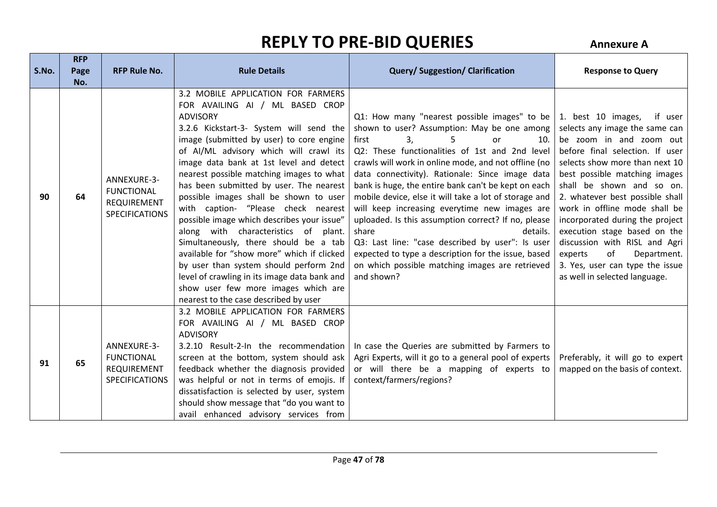|       | <b>RFP</b> |                                                                                 |                                                                                                                                                                                                                                                                                                                                                                                                                                                                                                                                                                                                                                                                                                                                                                                                     |                                                                                                                                                                                                                                                                                                                                                                                                                                                                                                                                                                                                                                                                                                               |                                                                                                                                                                                                                                                                                                                                                                                                                                                                                                        |
|-------|------------|---------------------------------------------------------------------------------|-----------------------------------------------------------------------------------------------------------------------------------------------------------------------------------------------------------------------------------------------------------------------------------------------------------------------------------------------------------------------------------------------------------------------------------------------------------------------------------------------------------------------------------------------------------------------------------------------------------------------------------------------------------------------------------------------------------------------------------------------------------------------------------------------------|---------------------------------------------------------------------------------------------------------------------------------------------------------------------------------------------------------------------------------------------------------------------------------------------------------------------------------------------------------------------------------------------------------------------------------------------------------------------------------------------------------------------------------------------------------------------------------------------------------------------------------------------------------------------------------------------------------------|--------------------------------------------------------------------------------------------------------------------------------------------------------------------------------------------------------------------------------------------------------------------------------------------------------------------------------------------------------------------------------------------------------------------------------------------------------------------------------------------------------|
| S.No. | Page       | <b>RFP Rule No.</b>                                                             | <b>Rule Details</b>                                                                                                                                                                                                                                                                                                                                                                                                                                                                                                                                                                                                                                                                                                                                                                                 | <b>Query/Suggestion/Clarification</b>                                                                                                                                                                                                                                                                                                                                                                                                                                                                                                                                                                                                                                                                         | <b>Response to Query</b>                                                                                                                                                                                                                                                                                                                                                                                                                                                                               |
|       | No.        |                                                                                 |                                                                                                                                                                                                                                                                                                                                                                                                                                                                                                                                                                                                                                                                                                                                                                                                     |                                                                                                                                                                                                                                                                                                                                                                                                                                                                                                                                                                                                                                                                                                               |                                                                                                                                                                                                                                                                                                                                                                                                                                                                                                        |
| 90    | 64         | ANNEXURE-3-<br><b>FUNCTIONAL</b><br><b>REQUIREMENT</b><br><b>SPECIFICATIONS</b> | 3.2 MOBILE APPLICATION FOR FARMERS<br>FOR AVAILING AI / ML BASED CROP<br><b>ADVISORY</b><br>3.2.6 Kickstart-3- System will send the<br>image (submitted by user) to core engine<br>of AI/ML advisory which will crawl its<br>image data bank at 1st level and detect<br>nearest possible matching images to what<br>has been submitted by user. The nearest<br>possible images shall be shown to user<br>with caption- "Please check nearest<br>possible image which describes your issue"<br>along with characteristics of plant.<br>Simultaneously, there should be a tab<br>available for "show more" which if clicked<br>by user than system should perform 2nd<br>level of crawling in its image data bank and<br>show user few more images which are<br>nearest to the case described by user | Q1: How many "nearest possible images" to be<br>shown to user? Assumption: May be one among<br>first<br>3.<br>10.<br>or<br>Q2: These functionalities of 1st and 2nd level<br>crawls will work in online mode, and not offline (no<br>data connectivity). Rationale: Since image data<br>bank is huge, the entire bank can't be kept on each<br>mobile device, else it will take a lot of storage and<br>will keep increasing everytime new images are<br>uploaded. Is this assumption correct? If no, please<br>share<br>details.<br>Q3: Last line: "case described by user": Is user<br>expected to type a description for the issue, based<br>on which possible matching images are retrieved<br>and shown? | 1. best 10 images, if user<br>selects any image the same can<br>be zoom in and zoom out<br>before final selection. If user<br>selects show more than next 10<br>best possible matching images<br>shall be shown and so on.<br>2. whatever best possible shall<br>work in offline mode shall be<br>incorporated during the project<br>execution stage based on the<br>discussion with RISL and Agri<br>of<br>experts<br>Department.<br>3. Yes, user can type the issue<br>as well in selected language. |
| 91    | 65         | ANNEXURE-3-<br><b>FUNCTIONAL</b><br><b>REQUIREMENT</b><br><b>SPECIFICATIONS</b> | 3.2 MOBILE APPLICATION FOR FARMERS<br>FOR AVAILING AI / ML BASED CROP<br><b>ADVISORY</b><br>3.2.10 Result-2-In the recommendation<br>screen at the bottom, system should ask<br>feedback whether the diagnosis provided<br>was helpful or not in terms of emojis. If<br>dissatisfaction is selected by user, system<br>should show message that "do you want to<br>avail enhanced advisory services from                                                                                                                                                                                                                                                                                                                                                                                            | In case the Queries are submitted by Farmers to<br>Agri Experts, will it go to a general pool of experts<br>or will there be a mapping of experts to<br>context/farmers/regions?                                                                                                                                                                                                                                                                                                                                                                                                                                                                                                                              | Preferably, it will go to expert<br>mapped on the basis of context.                                                                                                                                                                                                                                                                                                                                                                                                                                    |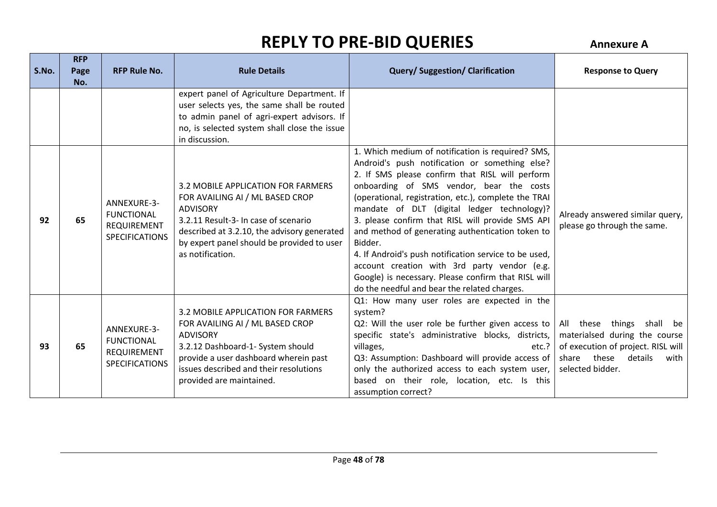| S.No. | <b>RFP</b><br>Page | <b>RFP Rule No.</b>                                                             | <b>Rule Details</b>                                                                                                                                                                                                                               | <b>Query/Suggestion/Clarification</b>                                                                                                                                                                                                                                                                                                                                                                                                                                                                                                                                                                                                        | <b>Response to Query</b>                                                                                                                                  |
|-------|--------------------|---------------------------------------------------------------------------------|---------------------------------------------------------------------------------------------------------------------------------------------------------------------------------------------------------------------------------------------------|----------------------------------------------------------------------------------------------------------------------------------------------------------------------------------------------------------------------------------------------------------------------------------------------------------------------------------------------------------------------------------------------------------------------------------------------------------------------------------------------------------------------------------------------------------------------------------------------------------------------------------------------|-----------------------------------------------------------------------------------------------------------------------------------------------------------|
|       | No.                |                                                                                 |                                                                                                                                                                                                                                                   |                                                                                                                                                                                                                                                                                                                                                                                                                                                                                                                                                                                                                                              |                                                                                                                                                           |
|       |                    |                                                                                 | expert panel of Agriculture Department. If<br>user selects yes, the same shall be routed<br>to admin panel of agri-expert advisors. If<br>no, is selected system shall close the issue<br>in discussion.                                          |                                                                                                                                                                                                                                                                                                                                                                                                                                                                                                                                                                                                                                              |                                                                                                                                                           |
| 92    | 65                 | ANNEXURE-3-<br><b>FUNCTIONAL</b><br><b>REQUIREMENT</b><br><b>SPECIFICATIONS</b> | 3.2 MOBILE APPLICATION FOR FARMERS<br>FOR AVAILING AI / ML BASED CROP<br><b>ADVISORY</b><br>3.2.11 Result-3- In case of scenario<br>described at 3.2.10, the advisory generated<br>by expert panel should be provided to user<br>as notification. | 1. Which medium of notification is required? SMS,<br>Android's push notification or something else?<br>2. If SMS please confirm that RISL will perform<br>onboarding of SMS vendor, bear the costs<br>(operational, registration, etc.), complete the TRAI<br>mandate of DLT (digital ledger technology)?<br>3. please confirm that RISL will provide SMS API<br>and method of generating authentication token to<br>Bidder.<br>4. If Android's push notification service to be used,<br>account creation with 3rd party vendor (e.g.<br>Google) is necessary. Please confirm that RISL will<br>do the needful and bear the related charges. | Already answered similar query,<br>please go through the same.                                                                                            |
| 93    | 65                 | ANNEXURE-3-<br><b>FUNCTIONAL</b><br><b>REQUIREMENT</b><br><b>SPECIFICATIONS</b> | 3.2 MOBILE APPLICATION FOR FARMERS<br>FOR AVAILING AI / ML BASED CROP<br><b>ADVISORY</b><br>3.2.12 Dashboard-1- System should<br>provide a user dashboard wherein past<br>issues described and their resolutions<br>provided are maintained.      | Q1: How many user roles are expected in the<br>system?<br>Q2: Will the user role be further given access to<br>specific state's administrative blocks, districts,<br>villages,<br>etc.?<br>Q3: Assumption: Dashboard will provide access of<br>only the authorized access to each system user,<br>based on their role, location, etc. Is this<br>assumption correct?                                                                                                                                                                                                                                                                         | All these<br>things shall be<br>materialsed during the course<br>of execution of project. RISL will<br>share these<br>details<br>with<br>selected bidder. |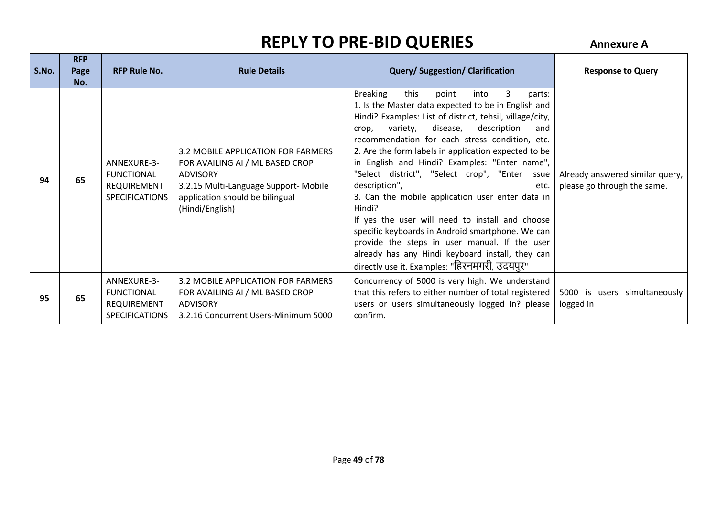| S.No. | <b>RFP</b><br>Page<br>No. | <b>RFP Rule No.</b>                                                      | <b>Rule Details</b>                                                                                                                                                                     | <b>Query/Suggestion/Clarification</b>                                                                                                                                                                                                                                                                                                                                                                                                                                                                                                                                                                                                                                                                                                                                                           | <b>Response to Query</b>                                       |
|-------|---------------------------|--------------------------------------------------------------------------|-----------------------------------------------------------------------------------------------------------------------------------------------------------------------------------------|-------------------------------------------------------------------------------------------------------------------------------------------------------------------------------------------------------------------------------------------------------------------------------------------------------------------------------------------------------------------------------------------------------------------------------------------------------------------------------------------------------------------------------------------------------------------------------------------------------------------------------------------------------------------------------------------------------------------------------------------------------------------------------------------------|----------------------------------------------------------------|
| 94    | 65                        | ANNEXURE-3-<br><b>FUNCTIONAL</b><br>REQUIREMENT<br><b>SPECIFICATIONS</b> | 3.2 MOBILE APPLICATION FOR FARMERS<br>FOR AVAILING AI / ML BASED CROP<br><b>ADVISORY</b><br>3.2.15 Multi-Language Support- Mobile<br>application should be bilingual<br>(Hindi/English) | <b>Breaking</b><br>this<br>3<br>point<br>into<br>parts:<br>1. Is the Master data expected to be in English and<br>Hindi? Examples: List of district, tehsil, village/city,<br>variety, disease,<br>description<br>and<br>crop,<br>recommendation for each stress condition, etc.<br>2. Are the form labels in application expected to be<br>in English and Hindi? Examples: "Enter name",<br>"Select district", "Select crop", "Enter issue<br>description",<br>etc.<br>3. Can the mobile application user enter data in<br>Hindi?<br>If yes the user will need to install and choose<br>specific keyboards in Android smartphone. We can<br>provide the steps in user manual. If the user<br>already has any Hindi keyboard install, they can<br>directly use it. Examples: "हिरनमगरी, उदयपुर" | Already answered similar query,<br>please go through the same. |
| 95    | 65                        | ANNEXURE-3-<br><b>FUNCTIONAL</b><br>REQUIREMENT<br><b>SPECIFICATIONS</b> | 3.2 MOBILE APPLICATION FOR FARMERS<br>FOR AVAILING AI / ML BASED CROP<br>ADVISORY<br>3.2.16 Concurrent Users-Minimum 5000                                                               | Concurrency of 5000 is very high. We understand<br>that this refers to either number of total registered<br>users or users simultaneously logged in? please<br>confirm.                                                                                                                                                                                                                                                                                                                                                                                                                                                                                                                                                                                                                         | 5000 is users simultaneously<br>logged in                      |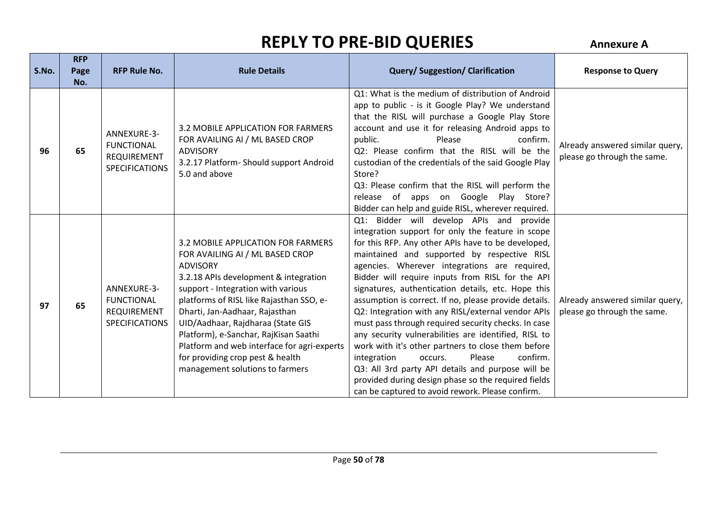| S.No. | <b>RFP</b><br>Page | <b>RFP Rule No.</b>                                                             | <b>Rule Details</b>                                                                                                                                                                                                                                                                                                                                                                                                                                       | <b>Query/Suggestion/Clarification</b>                                                                                                                                                                                                                                                                                                                                                                                                                                                                                                                                                                                                                                                                                                                                                                                                                             | <b>Response to Query</b>                                       |
|-------|--------------------|---------------------------------------------------------------------------------|-----------------------------------------------------------------------------------------------------------------------------------------------------------------------------------------------------------------------------------------------------------------------------------------------------------------------------------------------------------------------------------------------------------------------------------------------------------|-------------------------------------------------------------------------------------------------------------------------------------------------------------------------------------------------------------------------------------------------------------------------------------------------------------------------------------------------------------------------------------------------------------------------------------------------------------------------------------------------------------------------------------------------------------------------------------------------------------------------------------------------------------------------------------------------------------------------------------------------------------------------------------------------------------------------------------------------------------------|----------------------------------------------------------------|
|       | No.                |                                                                                 |                                                                                                                                                                                                                                                                                                                                                                                                                                                           |                                                                                                                                                                                                                                                                                                                                                                                                                                                                                                                                                                                                                                                                                                                                                                                                                                                                   |                                                                |
| 96    | 65                 | ANNEXURE-3-<br><b>FUNCTIONAL</b><br><b>REQUIREMENT</b><br><b>SPECIFICATIONS</b> | 3.2 MOBILE APPLICATION FOR FARMERS<br>FOR AVAILING AI / ML BASED CROP<br><b>ADVISORY</b><br>3.2.17 Platform- Should support Android<br>5.0 and above                                                                                                                                                                                                                                                                                                      | Q1: What is the medium of distribution of Android<br>app to public - is it Google Play? We understand<br>that the RISL will purchase a Google Play Store<br>account and use it for releasing Android apps to<br>public.<br>Please<br>confirm.<br>Q2: Please confirm that the RISL will be the<br>custodian of the credentials of the said Google Play<br>Store?<br>Q3: Please confirm that the RISL will perform the<br>release of apps on Google Play Store?<br>Bidder can help and guide RISL, wherever required.                                                                                                                                                                                                                                                                                                                                               | Already answered similar query,<br>please go through the same. |
| 97    | 65                 | ANNEXURE-3-<br><b>FUNCTIONAL</b><br><b>REQUIREMENT</b><br><b>SPECIFICATIONS</b> | 3.2 MOBILE APPLICATION FOR FARMERS<br>FOR AVAILING AI / ML BASED CROP<br><b>ADVISORY</b><br>3.2.18 APIs development & integration<br>support - Integration with various<br>platforms of RISL like Rajasthan SSO, e-<br>Dharti, Jan-Aadhaar, Rajasthan<br>UID/Aadhaar, Rajdharaa (State GIS<br>Platform), e-Sanchar, RajKisan Saathi<br>Platform and web interface for agri-experts<br>for providing crop pest & health<br>management solutions to farmers | Q1: Bidder will develop APIs and provide<br>integration support for only the feature in scope<br>for this RFP. Any other APIs have to be developed,<br>maintained and supported by respective RISL<br>agencies. Wherever integrations are required,<br>Bidder will require inputs from RISL for the API<br>signatures, authentication details, etc. Hope this<br>assumption is correct. If no, please provide details.<br>Q2: Integration with any RISL/external vendor APIs<br>must pass through required security checks. In case<br>any security vulnerabilities are identified, RISL to<br>work with it's other partners to close them before<br>confirm.<br>Please<br>integration<br>occurs.<br>Q3: All 3rd party API details and purpose will be<br>provided during design phase so the required fields<br>can be captured to avoid rework. Please confirm. | Already answered similar query,<br>please go through the same. |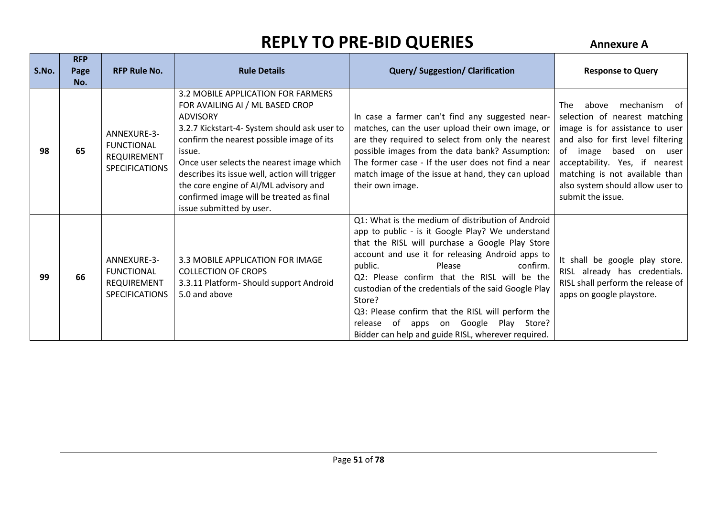| S.No. | <b>RFP</b><br>Page<br>No. | <b>RFP Rule No.</b>                                                             | <b>Rule Details</b>                                                                                                                                                                                                                                                                                                                                                                                            | <b>Query/Suggestion/Clarification</b>                                                                                                                                                                                                                                                                                                                                                                                                                                                                                  | <b>Response to Query</b>                                                                                                                                                                                                                                                                           |
|-------|---------------------------|---------------------------------------------------------------------------------|----------------------------------------------------------------------------------------------------------------------------------------------------------------------------------------------------------------------------------------------------------------------------------------------------------------------------------------------------------------------------------------------------------------|------------------------------------------------------------------------------------------------------------------------------------------------------------------------------------------------------------------------------------------------------------------------------------------------------------------------------------------------------------------------------------------------------------------------------------------------------------------------------------------------------------------------|----------------------------------------------------------------------------------------------------------------------------------------------------------------------------------------------------------------------------------------------------------------------------------------------------|
| 98    | 65                        | ANNEXURE-3-<br><b>FUNCTIONAL</b><br><b>REQUIREMENT</b><br><b>SPECIFICATIONS</b> | 3.2 MOBILE APPLICATION FOR FARMERS<br>FOR AVAILING AI / ML BASED CROP<br><b>ADVISORY</b><br>3.2.7 Kickstart-4- System should ask user to<br>confirm the nearest possible image of its<br>issue.<br>Once user selects the nearest image which<br>describes its issue well, action will trigger<br>the core engine of AI/ML advisory and<br>confirmed image will be treated as final<br>issue submitted by user. | In case a farmer can't find any suggested near-<br>matches, can the user upload their own image, or<br>are they required to select from only the nearest<br>possible images from the data bank? Assumption:<br>The former case - If the user does not find a near<br>match image of the issue at hand, they can upload<br>their own image.                                                                                                                                                                             | mechanism of<br>The .<br>above<br>selection of nearest matching<br>image is for assistance to user<br>and also for first level filtering<br>of image<br>based on user<br>acceptability. Yes, if nearest<br>matching is not available than<br>also system should allow user to<br>submit the issue. |
| 99    | 66                        | ANNEXURE-3-<br><b>FUNCTIONAL</b><br>REQUIREMENT<br><b>SPECIFICATIONS</b>        | 3.3 MOBILE APPLICATION FOR IMAGE<br><b>COLLECTION OF CROPS</b><br>3.3.11 Platform- Should support Android<br>5.0 and above                                                                                                                                                                                                                                                                                     | Q1: What is the medium of distribution of Android<br>app to public - is it Google Play? We understand<br>that the RISL will purchase a Google Play Store<br>account and use it for releasing Android apps to<br>public.<br>Please<br>confirm.<br>Q2: Please confirm that the RISL will be the<br>custodian of the credentials of the said Google Play<br>Store?<br>Q3: Please confirm that the RISL will perform the<br>apps on Google Play Store?<br>release of<br>Bidder can help and guide RISL, wherever required. | It shall be google play store.<br>RISL already has credentials.<br>RISL shall perform the release of<br>apps on google playstore.                                                                                                                                                                  |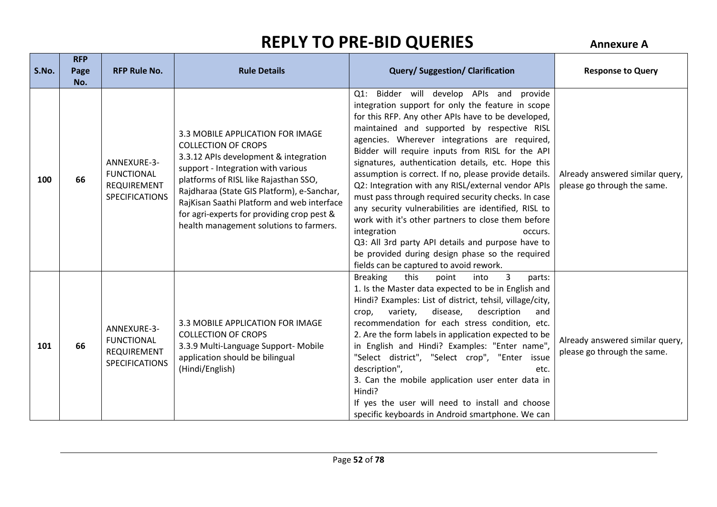| S.No. | <b>RFP</b><br>Page<br>No. | <b>RFP Rule No.</b>                                                      | <b>Rule Details</b>                                                                                                                                                                                                                                                                                                                                                         | <b>Query/Suggestion/Clarification</b>                                                                                                                                                                                                                                                                                                                                                                                                                                                                                                                                                                                                                                                                                                                                                                                             | <b>Response to Query</b>                                       |
|-------|---------------------------|--------------------------------------------------------------------------|-----------------------------------------------------------------------------------------------------------------------------------------------------------------------------------------------------------------------------------------------------------------------------------------------------------------------------------------------------------------------------|-----------------------------------------------------------------------------------------------------------------------------------------------------------------------------------------------------------------------------------------------------------------------------------------------------------------------------------------------------------------------------------------------------------------------------------------------------------------------------------------------------------------------------------------------------------------------------------------------------------------------------------------------------------------------------------------------------------------------------------------------------------------------------------------------------------------------------------|----------------------------------------------------------------|
| 100   | 66                        | ANNEXURE-3-<br><b>FUNCTIONAL</b><br>REQUIREMENT<br><b>SPECIFICATIONS</b> | 3.3 MOBILE APPLICATION FOR IMAGE<br><b>COLLECTION OF CROPS</b><br>3.3.12 APIs development & integration<br>support - Integration with various<br>platforms of RISL like Rajasthan SSO,<br>Rajdharaa (State GIS Platform), e-Sanchar,<br>RajKisan Saathi Platform and web interface<br>for agri-experts for providing crop pest &<br>health management solutions to farmers. | Bidder will develop APIs and provide<br>Q1:<br>integration support for only the feature in scope<br>for this RFP. Any other APIs have to be developed,<br>maintained and supported by respective RISL<br>agencies. Wherever integrations are required,<br>Bidder will require inputs from RISL for the API<br>signatures, authentication details, etc. Hope this<br>assumption is correct. If no, please provide details.<br>Q2: Integration with any RISL/external vendor APIs<br>must pass through required security checks. In case<br>any security vulnerabilities are identified, RISL to<br>work with it's other partners to close them before<br>integration<br>occurs.<br>Q3: All 3rd party API details and purpose have to<br>be provided during design phase so the required<br>fields can be captured to avoid rework. | Already answered similar query,<br>please go through the same. |
| 101   | 66                        | ANNEXURE-3-<br><b>FUNCTIONAL</b><br>REQUIREMENT<br><b>SPECIFICATIONS</b> | 3.3 MOBILE APPLICATION FOR IMAGE<br><b>COLLECTION OF CROPS</b><br>3.3.9 Multi-Language Support- Mobile<br>application should be bilingual<br>(Hindi/English)                                                                                                                                                                                                                | <b>Breaking</b><br>this<br>3<br>point<br>into<br>parts:<br>1. Is the Master data expected to be in English and<br>Hindi? Examples: List of district, tehsil, village/city,<br>disease,<br>description<br>variety,<br>crop,<br>and<br>recommendation for each stress condition, etc.<br>2. Are the form labels in application expected to be<br>in English and Hindi? Examples: "Enter name",<br>"Select district", "Select crop", "Enter issue<br>description",<br>etc.<br>3. Can the mobile application user enter data in<br>Hindi?<br>If yes the user will need to install and choose<br>specific keyboards in Android smartphone. We can                                                                                                                                                                                      | Already answered similar query,<br>please go through the same. |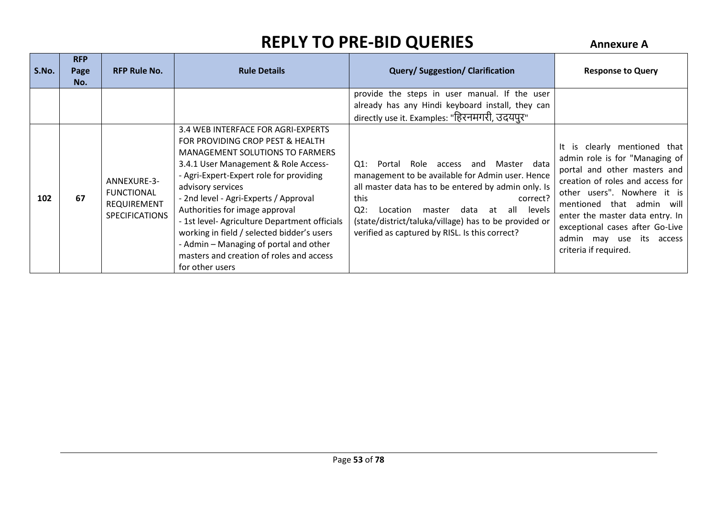| S.No. | <b>RFP</b><br>Page<br>No. | <b>RFP Rule No.</b>                                                      | <b>Rule Details</b>                                                                                                                                                                                                                                                                                                                                                                                                                                                                                  | <b>Query/Suggestion/Clarification</b>                                                                                                                                                                                                                                                                                                                       | <b>Response to Query</b>                                                                                                                                                                                                                                                                                                     |
|-------|---------------------------|--------------------------------------------------------------------------|------------------------------------------------------------------------------------------------------------------------------------------------------------------------------------------------------------------------------------------------------------------------------------------------------------------------------------------------------------------------------------------------------------------------------------------------------------------------------------------------------|-------------------------------------------------------------------------------------------------------------------------------------------------------------------------------------------------------------------------------------------------------------------------------------------------------------------------------------------------------------|------------------------------------------------------------------------------------------------------------------------------------------------------------------------------------------------------------------------------------------------------------------------------------------------------------------------------|
|       |                           |                                                                          |                                                                                                                                                                                                                                                                                                                                                                                                                                                                                                      | provide the steps in user manual. If the user<br>already has any Hindi keyboard install, they can<br>directly use it. Examples: "हिरनमगरी, उदयपुर"                                                                                                                                                                                                          |                                                                                                                                                                                                                                                                                                                              |
| 102   | 67                        | ANNEXURE-3-<br><b>FUNCTIONAL</b><br>REQUIREMENT<br><b>SPECIFICATIONS</b> | 3.4 WEB INTERFACE FOR AGRI-EXPERTS<br>FOR PROVIDING CROP PEST & HEALTH<br>MANAGEMENT SOLUTIONS TO FARMERS<br>3.4.1 User Management & Role Access-<br>- Agri-Expert-Expert role for providing<br>advisory services<br>- 2nd level - Agri-Experts / Approval<br>Authorities for image approval<br>- 1st level- Agriculture Department officials<br>working in field / selected bidder's users<br>- Admin – Managing of portal and other<br>masters and creation of roles and access<br>for other users | Q1:<br>Portal<br>Role<br>Master data<br>access and<br>management to be available for Admin user. Hence<br>all master data has to be entered by admin only. Is<br>this<br>correct?<br>$Q2$ :<br>data<br>Location<br>all<br>levels<br>master<br>at<br>(state/district/taluka/village) has to be provided or<br>verified as captured by RISL. Is this correct? | It is clearly mentioned that<br>admin role is for "Managing of<br>portal and other masters and<br>creation of roles and access for<br>other users". Nowhere it is<br>mentioned that admin<br>will<br>enter the master data entry. In<br>exceptional cases after Go-Live<br>admin may use its access<br>criteria if required. |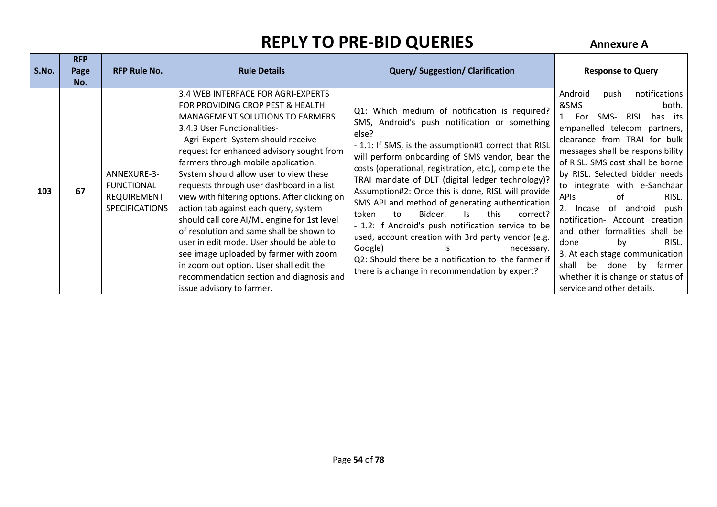| S.No. | <b>RFP</b><br>Page<br>No. | <b>RFP Rule No.</b>                                                      | <b>Rule Details</b>                                                                                                                                                                                                                                                                                                                                                                                                                                                                                                                                                                                                                                                                                                                                                 | <b>Query/Suggestion/Clarification</b>                                                                                                                                                                                                                                                                                                                                                                                                                                                                                                                                                                                                                                                                                                              | <b>Response to Query</b>                                                                                                                                                                                                                                                                                                                                                                                                                                                                                                                                                                              |
|-------|---------------------------|--------------------------------------------------------------------------|---------------------------------------------------------------------------------------------------------------------------------------------------------------------------------------------------------------------------------------------------------------------------------------------------------------------------------------------------------------------------------------------------------------------------------------------------------------------------------------------------------------------------------------------------------------------------------------------------------------------------------------------------------------------------------------------------------------------------------------------------------------------|----------------------------------------------------------------------------------------------------------------------------------------------------------------------------------------------------------------------------------------------------------------------------------------------------------------------------------------------------------------------------------------------------------------------------------------------------------------------------------------------------------------------------------------------------------------------------------------------------------------------------------------------------------------------------------------------------------------------------------------------------|-------------------------------------------------------------------------------------------------------------------------------------------------------------------------------------------------------------------------------------------------------------------------------------------------------------------------------------------------------------------------------------------------------------------------------------------------------------------------------------------------------------------------------------------------------------------------------------------------------|
| 103   | 67                        | ANNEXURE-3-<br><b>FUNCTIONAL</b><br>REQUIREMENT<br><b>SPECIFICATIONS</b> | 3.4 WEB INTERFACE FOR AGRI-EXPERTS<br>FOR PROVIDING CROP PEST & HEALTH<br><b>MANAGEMENT SOLUTIONS TO FARMERS</b><br>3.4.3 User Functionalities-<br>- Agri-Expert- System should receive<br>request for enhanced advisory sought from<br>farmers through mobile application.<br>System should allow user to view these<br>requests through user dashboard in a list<br>view with filtering options. After clicking on<br>action tab against each query, system<br>should call core AI/ML engine for 1st level<br>of resolution and same shall be shown to<br>user in edit mode. User should be able to<br>see image uploaded by farmer with zoom<br>in zoom out option. User shall edit the<br>recommendation section and diagnosis and<br>issue advisory to farmer. | Q1: Which medium of notification is required?<br>SMS, Android's push notification or something<br>else?<br>- 1.1: If SMS, is the assumption#1 correct that RISL<br>will perform onboarding of SMS vendor, bear the<br>costs (operational, registration, etc.), complete the<br>TRAI mandate of DLT (digital ledger technology)?<br>Assumption#2: Once this is done, RISL will provide<br>SMS API and method of generating authentication<br>Bidder.<br>this<br>token<br>to<br>Is.<br>correct?<br>- 1.2: If Android's push notification service to be<br>used, account creation with 3rd party vendor (e.g.<br>Google)<br>is<br>necessary.<br>Q2: Should there be a notification to the farmer if<br>there is a change in recommendation by expert? | notifications<br>Android<br>push<br>&SMS<br>both.<br>SMS-<br>RISL has its<br>For<br>empanelled telecom partners,<br>clearance from TRAI for bulk<br>messages shall be responsibility<br>of RISL. SMS cost shall be borne<br>by RISL. Selected bidder needs<br>to integrate with e-Sanchaar<br><b>APIS</b><br>RISL.<br>of<br>0f<br>android<br>2. Incase<br>push<br>notification- Account creation<br>and other formalities shall be<br>RISL.<br>done<br>by<br>3. At each stage communication<br>shall<br>farmer<br>be<br>done<br>bv<br>whether it is change or status of<br>service and other details. |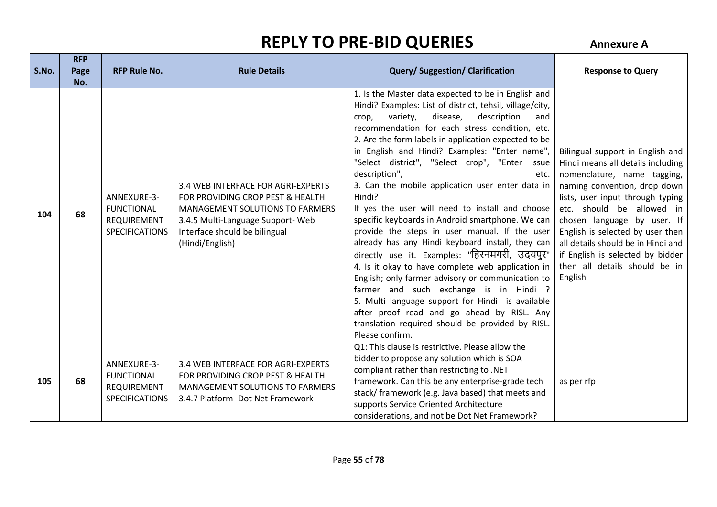| S.No. | <b>RFP</b><br>Page<br>No. | <b>RFP Rule No.</b>                                                             | <b>Rule Details</b>                                                                                                                                                                                      | <b>Query/Suggestion/Clarification</b>                                                                                                                                                                                                                                                                                                                                                                                                                                                                                                                                                                                                                                                                                                                                                                                                                                                                                                                                                                                                                                | <b>Response to Query</b>                                                                                                                                                                                                                                                                                                                                                                       |
|-------|---------------------------|---------------------------------------------------------------------------------|----------------------------------------------------------------------------------------------------------------------------------------------------------------------------------------------------------|----------------------------------------------------------------------------------------------------------------------------------------------------------------------------------------------------------------------------------------------------------------------------------------------------------------------------------------------------------------------------------------------------------------------------------------------------------------------------------------------------------------------------------------------------------------------------------------------------------------------------------------------------------------------------------------------------------------------------------------------------------------------------------------------------------------------------------------------------------------------------------------------------------------------------------------------------------------------------------------------------------------------------------------------------------------------|------------------------------------------------------------------------------------------------------------------------------------------------------------------------------------------------------------------------------------------------------------------------------------------------------------------------------------------------------------------------------------------------|
| 104   | 68                        | ANNEXURE-3-<br><b>FUNCTIONAL</b><br><b>REQUIREMENT</b><br><b>SPECIFICATIONS</b> | 3.4 WEB INTERFACE FOR AGRI-EXPERTS<br>FOR PROVIDING CROP PEST & HEALTH<br><b>MANAGEMENT SOLUTIONS TO FARMERS</b><br>3.4.5 Multi-Language Support-Web<br>Interface should be bilingual<br>(Hindi/English) | 1. Is the Master data expected to be in English and<br>Hindi? Examples: List of district, tehsil, village/city,<br>variety,<br>disease,<br>description<br>and<br>crop,<br>recommendation for each stress condition, etc.<br>2. Are the form labels in application expected to be<br>in English and Hindi? Examples: "Enter name",<br>"Select district", "Select crop", "Enter issue<br>description",<br>etc.<br>3. Can the mobile application user enter data in<br>Hindi?<br>If yes the user will need to install and choose<br>specific keyboards in Android smartphone. We can<br>provide the steps in user manual. If the user<br>already has any Hindi keyboard install, they can<br>directly use it. Examples: "हिरनमगरी, उदयपुर"<br>4. Is it okay to have complete web application in<br>English; only farmer advisory or communication to<br>farmer and such exchange is in Hindi ?<br>5. Multi language support for Hindi is available<br>after proof read and go ahead by RISL. Any<br>translation required should be provided by RISL.<br>Please confirm. | Bilingual support in English and<br>Hindi means all details including<br>nomenclature, name tagging,<br>naming convention, drop down<br>lists, user input through typing<br>etc. should be allowed in<br>chosen language by user. If<br>English is selected by user then<br>all details should be in Hindi and<br>if English is selected by bidder<br>then all details should be in<br>English |
| 105   | 68                        | ANNEXURE-3-<br><b>FUNCTIONAL</b><br><b>REQUIREMENT</b><br><b>SPECIFICATIONS</b> | 3.4 WEB INTERFACE FOR AGRI-EXPERTS<br>FOR PROVIDING CROP PEST & HEALTH<br><b>MANAGEMENT SOLUTIONS TO FARMERS</b><br>3.4.7 Platform- Dot Net Framework                                                    | Q1: This clause is restrictive. Please allow the<br>bidder to propose any solution which is SOA<br>compliant rather than restricting to .NET<br>framework. Can this be any enterprise-grade tech<br>stack/ framework (e.g. Java based) that meets and<br>supports Service Oriented Architecture<br>considerations, and not be Dot Net Framework?                                                                                                                                                                                                                                                                                                                                                                                                                                                                                                                                                                                                                                                                                                                     | as per rfp                                                                                                                                                                                                                                                                                                                                                                                     |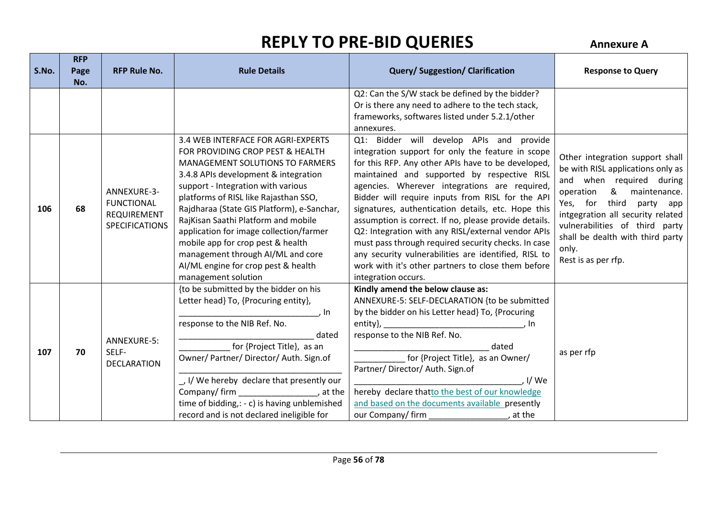| S.No. | <b>RFP</b><br>Page | <b>RFP Rule No.</b>                                                             | <b>Rule Details</b>                                                                                                                                                                                                                                                                                                                                                                                                                                                                                             | <b>Query/Suggestion/Clarification</b>                                                                                                                                                                                                                                                                                                                                                                                                                                                                                                                                                                                                                                    | <b>Response to Query</b>                                                                                                                                                                                                                                                                                     |
|-------|--------------------|---------------------------------------------------------------------------------|-----------------------------------------------------------------------------------------------------------------------------------------------------------------------------------------------------------------------------------------------------------------------------------------------------------------------------------------------------------------------------------------------------------------------------------------------------------------------------------------------------------------|--------------------------------------------------------------------------------------------------------------------------------------------------------------------------------------------------------------------------------------------------------------------------------------------------------------------------------------------------------------------------------------------------------------------------------------------------------------------------------------------------------------------------------------------------------------------------------------------------------------------------------------------------------------------------|--------------------------------------------------------------------------------------------------------------------------------------------------------------------------------------------------------------------------------------------------------------------------------------------------------------|
|       | No.                |                                                                                 |                                                                                                                                                                                                                                                                                                                                                                                                                                                                                                                 |                                                                                                                                                                                                                                                                                                                                                                                                                                                                                                                                                                                                                                                                          |                                                                                                                                                                                                                                                                                                              |
|       |                    |                                                                                 |                                                                                                                                                                                                                                                                                                                                                                                                                                                                                                                 | Q2: Can the S/W stack be defined by the bidder?<br>Or is there any need to adhere to the tech stack,<br>frameworks, softwares listed under 5.2.1/other<br>annexures.                                                                                                                                                                                                                                                                                                                                                                                                                                                                                                     |                                                                                                                                                                                                                                                                                                              |
| 106   | 68                 | ANNEXURE-3-<br><b>FUNCTIONAL</b><br><b>REQUIREMENT</b><br><b>SPECIFICATIONS</b> | 3.4 WEB INTERFACE FOR AGRI-EXPERTS<br>FOR PROVIDING CROP PEST & HEALTH<br><b>MANAGEMENT SOLUTIONS TO FARMERS</b><br>3.4.8 APIs development & integration<br>support - Integration with various<br>platforms of RISL like Rajasthan SSO,<br>Rajdharaa (State GIS Platform), e-Sanchar,<br>RajKisan Saathi Platform and mobile<br>application for image collection/farmer<br>mobile app for crop pest & health<br>management through AI/ML and core<br>AI/ML engine for crop pest & health<br>management solution | Q1: Bidder will develop APIs and provide<br>integration support for only the feature in scope<br>for this RFP. Any other APIs have to be developed,<br>maintained and supported by respective RISL<br>agencies. Wherever integrations are required,<br>Bidder will require inputs from RISL for the API<br>signatures, authentication details, etc. Hope this<br>assumption is correct. If no, please provide details.<br>Q2: Integration with any RISL/external vendor APIs<br>must pass through required security checks. In case<br>any security vulnerabilities are identified, RISL to<br>work with it's other partners to close them before<br>integration occurs. | Other integration support shall<br>be with RISL applications only as<br>and when required during<br>& maintenance.<br>operation<br>third<br>Yes, for<br>party app<br>intgegration all security related<br>vulnerabilities of third party<br>shall be dealth with third party<br>only.<br>Rest is as per rfp. |
| 107   | 70                 | ANNEXURE-5:<br>SELF-<br><b>DECLARATION</b>                                      | {to be submitted by the bidder on his<br>Letter head} To, {Procuring entity},<br>. In<br>response to the NIB Ref. No.<br>dated<br>for {Project Title}, as an<br>Owner/ Partner/ Director/ Auth. Sign.of<br>J.J/We hereby declare that presently our<br>Company/firm<br>, at the<br>time of bidding,: - c) is having unblemished<br>record and is not declared ineligible for                                                                                                                                    | Kindly amend the below clause as:<br>ANNEXURE-5: SELF-DECLARATION {to be submitted<br>by the bidder on his Letter head} To, {Procuring<br>entity},<br>response to the NIB Ref. No.<br>dated<br>for {Project Title}, as an Owner/<br>Partner/Director/Auth. Sign.of<br>I/We<br>hereby declare thatto the best of our knowledge<br>and based on the documents available presently<br>our Company/firm<br>, at the                                                                                                                                                                                                                                                          | as per rfp                                                                                                                                                                                                                                                                                                   |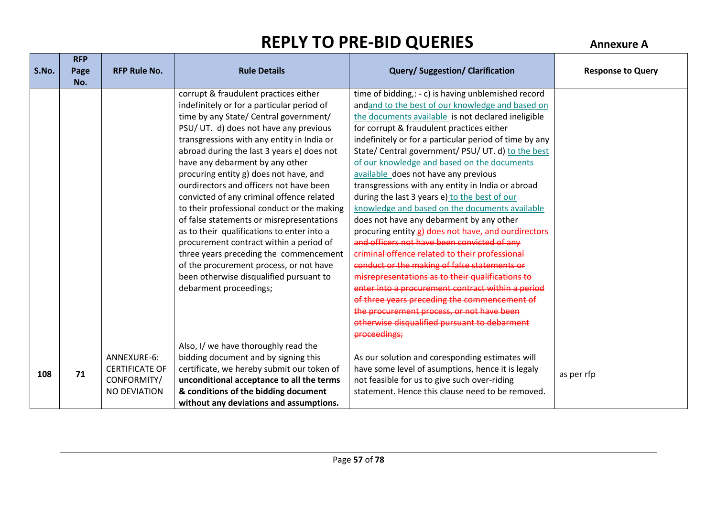**RFP** 

| S.No. | <b>KFP</b><br>Page | <b>RFP Rule No.</b>   | <b>Rule Details</b>                         | <b>Query/Suggestion/Clarification</b>                  | <b>Response to Query</b> |
|-------|--------------------|-----------------------|---------------------------------------------|--------------------------------------------------------|--------------------------|
|       | No.                |                       |                                             |                                                        |                          |
|       |                    |                       | corrupt & fraudulent practices either       | time of bidding,: - c) is having unblemished record    |                          |
|       |                    |                       | indefinitely or for a particular period of  | andand to the best of our knowledge and based on       |                          |
|       |                    |                       | time by any State/ Central government/      | the documents available is not declared ineligible     |                          |
|       |                    |                       | PSU/ UT. d) does not have any previous      | for corrupt & fraudulent practices either              |                          |
|       |                    |                       | transgressions with any entity in India or  | indefinitely or for a particular period of time by any |                          |
|       |                    |                       | abroad during the last 3 years e) does not  | State/ Central government/ PSU/ UT. d) to the best     |                          |
|       |                    |                       | have any debarment by any other             | of our knowledge and based on the documents            |                          |
|       |                    |                       | procuring entity g) does not have, and      | available does not have any previous                   |                          |
|       |                    |                       | ourdirectors and officers not have been     | transgressions with any entity in India or abroad      |                          |
|       |                    |                       | convicted of any criminal offence related   | during the last 3 years e) to the best of our          |                          |
|       |                    |                       | to their professional conduct or the making | knowledge and based on the documents available         |                          |
|       |                    |                       | of false statements or misrepresentations   | does not have any debarment by any other               |                          |
|       |                    |                       | as to their qualifications to enter into a  | procuring entity g) does not have, and ourdirectors    |                          |
|       |                    |                       | procurement contract within a period of     | and officers not have been convicted of any            |                          |
|       |                    |                       | three years preceding the commencement      | criminal offence related to their professional         |                          |
|       |                    |                       | of the procurement process, or not have     | conduct or the making of false statements or           |                          |
|       |                    |                       | been otherwise disqualified pursuant to     | misrepresentations as to their qualifications to       |                          |
|       |                    |                       | debarment proceedings;                      | enter into a procurement contract within a period      |                          |
|       |                    |                       |                                             | of three years preceding the commencement of           |                          |
|       |                    |                       |                                             | the procurement process, or not have been              |                          |
|       |                    |                       |                                             | otherwise disqualified pursuant to debarment           |                          |
|       |                    |                       |                                             | proceedings;                                           |                          |
|       |                    |                       | Also, I/ we have thoroughly read the        |                                                        |                          |
|       |                    | ANNEXURE-6:           | bidding document and by signing this        | As our solution and coresponding estimates will        |                          |
| 108   | 71                 | <b>CERTIFICATE OF</b> | certificate, we hereby submit our token of  | have some level of asumptions, hence it is legaly      | as per rfp               |
|       |                    | CONFORMITY/           | unconditional acceptance to all the terms   | not feasible for us to give such over-riding           |                          |
|       |                    | <b>NO DEVIATION</b>   | & conditions of the bidding document        | statement. Hence this clause need to be removed.       |                          |
|       |                    |                       | without any deviations and assumptions.     |                                                        |                          |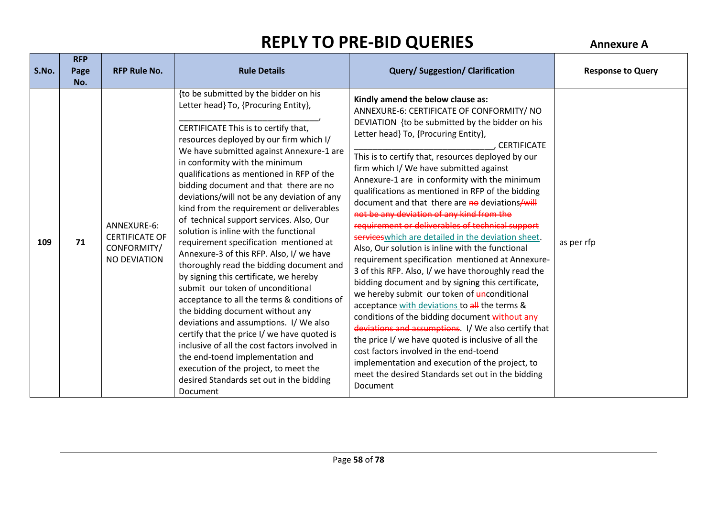| S.No. | <b>RFP</b><br>Page | <b>RFP Rule No.</b>                                                        | <b>Rule Details</b>                                                                                                                                                                                                                                                                                                                                                                                                                                                                                                                                                                                                                                                                                                                                                                                                                                                                                                                                                                                                                                                                                       | <b>Query/Suggestion/Clarification</b>                                                                                                                                                                                                                                                                                                                                                                                                                                                                                                                                                                                                                                                                                                                                                                                                                                                                                                                                                                                                                                                                                                                                                                                                                         | <b>Response to Query</b> |
|-------|--------------------|----------------------------------------------------------------------------|-----------------------------------------------------------------------------------------------------------------------------------------------------------------------------------------------------------------------------------------------------------------------------------------------------------------------------------------------------------------------------------------------------------------------------------------------------------------------------------------------------------------------------------------------------------------------------------------------------------------------------------------------------------------------------------------------------------------------------------------------------------------------------------------------------------------------------------------------------------------------------------------------------------------------------------------------------------------------------------------------------------------------------------------------------------------------------------------------------------|---------------------------------------------------------------------------------------------------------------------------------------------------------------------------------------------------------------------------------------------------------------------------------------------------------------------------------------------------------------------------------------------------------------------------------------------------------------------------------------------------------------------------------------------------------------------------------------------------------------------------------------------------------------------------------------------------------------------------------------------------------------------------------------------------------------------------------------------------------------------------------------------------------------------------------------------------------------------------------------------------------------------------------------------------------------------------------------------------------------------------------------------------------------------------------------------------------------------------------------------------------------|--------------------------|
|       | No.                |                                                                            |                                                                                                                                                                                                                                                                                                                                                                                                                                                                                                                                                                                                                                                                                                                                                                                                                                                                                                                                                                                                                                                                                                           |                                                                                                                                                                                                                                                                                                                                                                                                                                                                                                                                                                                                                                                                                                                                                                                                                                                                                                                                                                                                                                                                                                                                                                                                                                                               |                          |
| 109   | 71                 | ANNEXURE-6:<br><b>CERTIFICATE OF</b><br>CONFORMITY/<br><b>NO DEVIATION</b> | {to be submitted by the bidder on his<br>Letter head} To, {Procuring Entity},<br>CERTIFICATE This is to certify that,<br>resources deployed by our firm which I/<br>We have submitted against Annexure-1 are<br>in conformity with the minimum<br>qualifications as mentioned in RFP of the<br>bidding document and that there are no<br>deviations/will not be any deviation of any<br>kind from the requirement or deliverables<br>of technical support services. Also, Our<br>solution is inline with the functional<br>requirement specification mentioned at<br>Annexure-3 of this RFP. Also, I/ we have<br>thoroughly read the bidding document and<br>by signing this certificate, we hereby<br>submit our token of unconditional<br>acceptance to all the terms & conditions of<br>the bidding document without any<br>deviations and assumptions. I/We also<br>certify that the price I/ we have quoted is<br>inclusive of all the cost factors involved in<br>the end-toend implementation and<br>execution of the project, to meet the<br>desired Standards set out in the bidding<br>Document | Kindly amend the below clause as:<br>ANNEXURE-6: CERTIFICATE OF CONFORMITY/ NO<br>DEVIATION {to be submitted by the bidder on his<br>Letter head} To, {Procuring Entity},<br>. CERTIFICATE<br>This is to certify that, resources deployed by our<br>firm which I/ We have submitted against<br>Annexure-1 are in conformity with the minimum<br>qualifications as mentioned in RFP of the bidding<br>document and that there are no deviations/will<br>not be any deviation of any kind from the<br>requirement or deliverables of technical support<br>services which are detailed in the deviation sheet.<br>Also, Our solution is inline with the functional<br>requirement specification mentioned at Annexure-<br>3 of this RFP. Also, I/ we have thoroughly read the<br>bidding document and by signing this certificate,<br>we hereby submit our token of unconditional<br>acceptance with deviations to all the terms &<br>conditions of the bidding document-without any<br>deviations and assumptions. I/ We also certify that<br>the price I/ we have quoted is inclusive of all the<br>cost factors involved in the end-toend<br>implementation and execution of the project, to<br>meet the desired Standards set out in the bidding<br>Document | as per rfp               |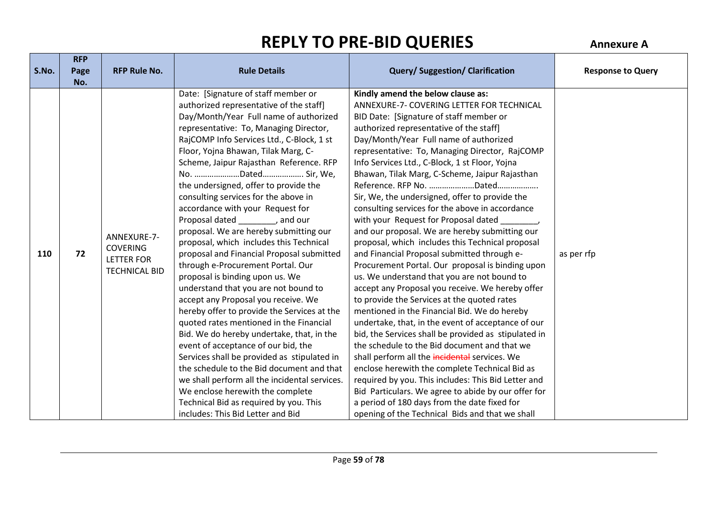|       | <b>RFP</b> |                                                                             |                                                                                                                                                                                                                                                                                                                                                                                                                                                                                                                                                                                                                                                                                                                                                                                                                                                                                                                                                                                                                                                                                                                                                                                                               |                                                                                                                                                                                                                                                                                                                                                                                                                                                                                                                                                                                                                                                                                                                                                                                                                                                                                                                                                                                                                                                                                                                                                                                                                                                                                                                                                                                                                                            |                          |
|-------|------------|-----------------------------------------------------------------------------|---------------------------------------------------------------------------------------------------------------------------------------------------------------------------------------------------------------------------------------------------------------------------------------------------------------------------------------------------------------------------------------------------------------------------------------------------------------------------------------------------------------------------------------------------------------------------------------------------------------------------------------------------------------------------------------------------------------------------------------------------------------------------------------------------------------------------------------------------------------------------------------------------------------------------------------------------------------------------------------------------------------------------------------------------------------------------------------------------------------------------------------------------------------------------------------------------------------|--------------------------------------------------------------------------------------------------------------------------------------------------------------------------------------------------------------------------------------------------------------------------------------------------------------------------------------------------------------------------------------------------------------------------------------------------------------------------------------------------------------------------------------------------------------------------------------------------------------------------------------------------------------------------------------------------------------------------------------------------------------------------------------------------------------------------------------------------------------------------------------------------------------------------------------------------------------------------------------------------------------------------------------------------------------------------------------------------------------------------------------------------------------------------------------------------------------------------------------------------------------------------------------------------------------------------------------------------------------------------------------------------------------------------------------------|--------------------------|
| S.No. | Page       | <b>RFP Rule No.</b>                                                         | <b>Rule Details</b>                                                                                                                                                                                                                                                                                                                                                                                                                                                                                                                                                                                                                                                                                                                                                                                                                                                                                                                                                                                                                                                                                                                                                                                           | <b>Query/Suggestion/Clarification</b>                                                                                                                                                                                                                                                                                                                                                                                                                                                                                                                                                                                                                                                                                                                                                                                                                                                                                                                                                                                                                                                                                                                                                                                                                                                                                                                                                                                                      | <b>Response to Query</b> |
|       | No.        |                                                                             |                                                                                                                                                                                                                                                                                                                                                                                                                                                                                                                                                                                                                                                                                                                                                                                                                                                                                                                                                                                                                                                                                                                                                                                                               |                                                                                                                                                                                                                                                                                                                                                                                                                                                                                                                                                                                                                                                                                                                                                                                                                                                                                                                                                                                                                                                                                                                                                                                                                                                                                                                                                                                                                                            |                          |
| 110   | 72         | ANNEXURE-7-<br><b>COVERING</b><br><b>LETTER FOR</b><br><b>TECHNICAL BID</b> | Date: [Signature of staff member or<br>authorized representative of the staff]<br>Day/Month/Year Full name of authorized<br>representative: To, Managing Director,<br>RajCOMP Info Services Ltd., C-Block, 1 st<br>Floor, Yojna Bhawan, Tilak Marg, C-<br>Scheme, Jaipur Rajasthan Reference. RFP<br>No. Dated Sir, We,<br>the undersigned, offer to provide the<br>consulting services for the above in<br>accordance with your Request for<br>Proposal dated and our<br>proposal. We are hereby submitting our<br>proposal, which includes this Technical<br>proposal and Financial Proposal submitted<br>through e-Procurement Portal. Our<br>proposal is binding upon us. We<br>understand that you are not bound to<br>accept any Proposal you receive. We<br>hereby offer to provide the Services at the<br>quoted rates mentioned in the Financial<br>Bid. We do hereby undertake, that, in the<br>event of acceptance of our bid, the<br>Services shall be provided as stipulated in<br>the schedule to the Bid document and that<br>we shall perform all the incidental services.<br>We enclose herewith the complete<br>Technical Bid as required by you. This<br>includes: This Bid Letter and Bid | Kindly amend the below clause as:<br>ANNEXURE-7- COVERING LETTER FOR TECHNICAL<br>BID Date: [Signature of staff member or<br>authorized representative of the staff]<br>Day/Month/Year Full name of authorized<br>representative: To, Managing Director, RajCOMP<br>Info Services Ltd., C-Block, 1 st Floor, Yojna<br>Bhawan, Tilak Marg, C-Scheme, Jaipur Rajasthan<br>Reference. RFP No. Dated<br>Sir, We, the undersigned, offer to provide the<br>consulting services for the above in accordance<br>with your Request for Proposal dated<br>and our proposal. We are hereby submitting our<br>proposal, which includes this Technical proposal<br>and Financial Proposal submitted through e-<br>Procurement Portal. Our proposal is binding upon<br>us. We understand that you are not bound to<br>accept any Proposal you receive. We hereby offer<br>to provide the Services at the quoted rates<br>mentioned in the Financial Bid. We do hereby<br>undertake, that, in the event of acceptance of our<br>bid, the Services shall be provided as stipulated in<br>the schedule to the Bid document and that we<br>shall perform all the incidental services. We<br>enclose herewith the complete Technical Bid as<br>required by you. This includes: This Bid Letter and<br>Bid Particulars. We agree to abide by our offer for<br>a period of 180 days from the date fixed for<br>opening of the Technical Bids and that we shall | as per rfp               |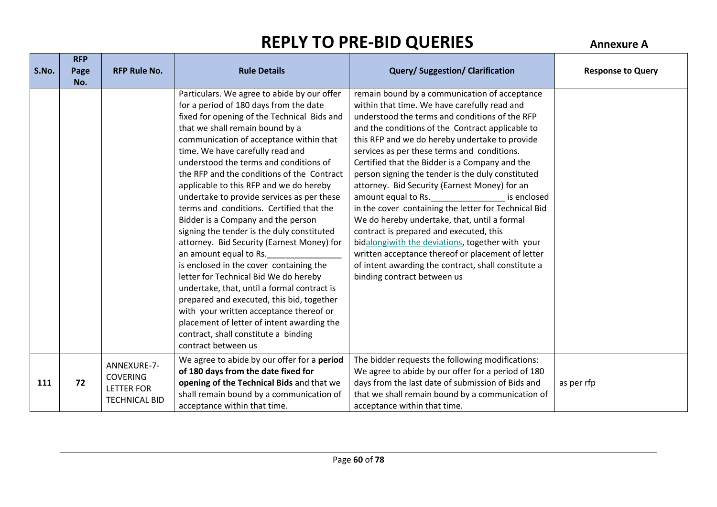| S.No. | <b>RFP</b>  | <b>RFP Rule No.</b>                                                         | <b>Rule Details</b>                                                                                                                                                                                                                                                                                                                                                                                                                                                                                                                                                                                                                                                                                                                                                                                                                                                                                                                                                                     | <b>Query/Suggestion/Clarification</b>                                                                                                                                                                                                                                                                                                                                                                                                                                                                                                                                                                                                                                                                                                                                                                                                                |                          |
|-------|-------------|-----------------------------------------------------------------------------|-----------------------------------------------------------------------------------------------------------------------------------------------------------------------------------------------------------------------------------------------------------------------------------------------------------------------------------------------------------------------------------------------------------------------------------------------------------------------------------------------------------------------------------------------------------------------------------------------------------------------------------------------------------------------------------------------------------------------------------------------------------------------------------------------------------------------------------------------------------------------------------------------------------------------------------------------------------------------------------------|------------------------------------------------------------------------------------------------------------------------------------------------------------------------------------------------------------------------------------------------------------------------------------------------------------------------------------------------------------------------------------------------------------------------------------------------------------------------------------------------------------------------------------------------------------------------------------------------------------------------------------------------------------------------------------------------------------------------------------------------------------------------------------------------------------------------------------------------------|--------------------------|
|       | Page<br>No. |                                                                             |                                                                                                                                                                                                                                                                                                                                                                                                                                                                                                                                                                                                                                                                                                                                                                                                                                                                                                                                                                                         |                                                                                                                                                                                                                                                                                                                                                                                                                                                                                                                                                                                                                                                                                                                                                                                                                                                      | <b>Response to Query</b> |
|       |             |                                                                             | Particulars. We agree to abide by our offer<br>for a period of 180 days from the date<br>fixed for opening of the Technical Bids and<br>that we shall remain bound by a<br>communication of acceptance within that<br>time. We have carefully read and<br>understood the terms and conditions of<br>the RFP and the conditions of the Contract<br>applicable to this RFP and we do hereby<br>undertake to provide services as per these<br>terms and conditions. Certified that the<br>Bidder is a Company and the person<br>signing the tender is the duly constituted<br>attorney. Bid Security (Earnest Money) for<br>an amount equal to Rs.<br>is enclosed in the cover containing the<br>letter for Technical Bid We do hereby<br>undertake, that, until a formal contract is<br>prepared and executed, this bid, together<br>with your written acceptance thereof or<br>placement of letter of intent awarding the<br>contract, shall constitute a binding<br>contract between us | remain bound by a communication of acceptance<br>within that time. We have carefully read and<br>understood the terms and conditions of the RFP<br>and the conditions of the Contract applicable to<br>this RFP and we do hereby undertake to provide<br>services as per these terms and conditions.<br>Certified that the Bidder is a Company and the<br>person signing the tender is the duly constituted<br>attorney. Bid Security (Earnest Money) for an<br>amount equal to Rs.<br>is enclosed<br>in the cover containing the letter for Technical Bid<br>We do hereby undertake, that, until a formal<br>contract is prepared and executed, this<br>bidalongiwith the deviations, together with your<br>written acceptance thereof or placement of letter<br>of intent awarding the contract, shall constitute a<br>binding contract between us |                          |
| 111   | 72          | ANNEXURE-7-<br><b>COVERING</b><br><b>LETTER FOR</b><br><b>TECHNICAL BID</b> | We agree to abide by our offer for a period<br>of 180 days from the date fixed for<br>opening of the Technical Bids and that we<br>shall remain bound by a communication of<br>acceptance within that time.                                                                                                                                                                                                                                                                                                                                                                                                                                                                                                                                                                                                                                                                                                                                                                             | The bidder requests the following modifications:<br>We agree to abide by our offer for a period of 180<br>days from the last date of submission of Bids and<br>that we shall remain bound by a communication of<br>acceptance within that time.                                                                                                                                                                                                                                                                                                                                                                                                                                                                                                                                                                                                      | as per rfp               |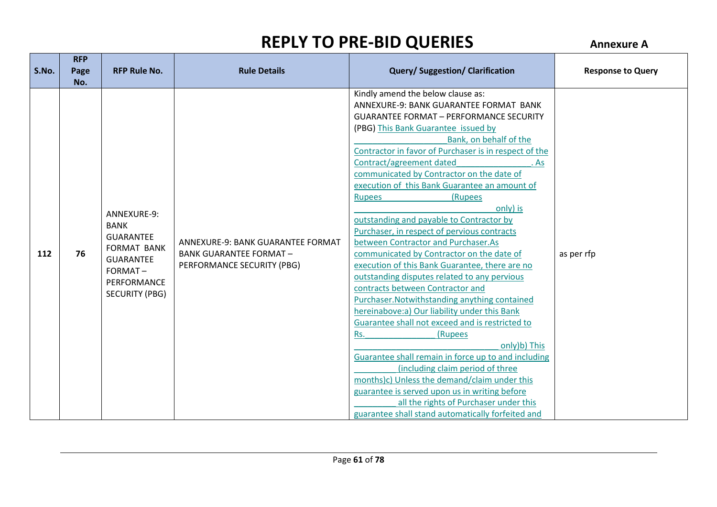**RFP** 

| S.No. | <b>KFP</b><br>Page<br>No. | <b>RFP Rule No.</b>                                                                                                                         | <b>Rule Details</b>                                                                              | <b>Query/Suggestion/Clarification</b>                                                                                                                                                                                                                                                                                                                                                                                                                                                                                                                                                                                                                                                                                                                                                                                                                                                                                                                                                                                                                                                                                                                                                                                                   | <b>Response to Query</b> |
|-------|---------------------------|---------------------------------------------------------------------------------------------------------------------------------------------|--------------------------------------------------------------------------------------------------|-----------------------------------------------------------------------------------------------------------------------------------------------------------------------------------------------------------------------------------------------------------------------------------------------------------------------------------------------------------------------------------------------------------------------------------------------------------------------------------------------------------------------------------------------------------------------------------------------------------------------------------------------------------------------------------------------------------------------------------------------------------------------------------------------------------------------------------------------------------------------------------------------------------------------------------------------------------------------------------------------------------------------------------------------------------------------------------------------------------------------------------------------------------------------------------------------------------------------------------------|--------------------------|
| 112   | 76                        | ANNEXURE-9:<br><b>BANK</b><br><b>GUARANTEE</b><br><b>FORMAT BANK</b><br><b>GUARANTEE</b><br>FORMAT-<br>PERFORMANCE<br><b>SECURITY (PBG)</b> | ANNEXURE-9: BANK GUARANTEE FORMAT<br><b>BANK GUARANTEE FORMAT-</b><br>PERFORMANCE SECURITY (PBG) | Kindly amend the below clause as:<br>ANNEXURE-9: BANK GUARANTEE FORMAT BANK<br><b>GUARANTEE FORMAT - PERFORMANCE SECURITY</b><br>(PBG) This Bank Guarantee issued by<br>Bank, on behalf of the<br>Contractor in favor of Purchaser is in respect of the<br>Contract/agreement dated<br>. As<br>communicated by Contractor on the date of<br>execution of this Bank Guarantee an amount of<br>(Rupees<br><b>Rupees</b><br>only) is<br>outstanding and payable to Contractor by<br>Purchaser, in respect of pervious contracts<br>between Contractor and Purchaser.As<br>communicated by Contractor on the date of<br>execution of this Bank Guarantee, there are no<br>outstanding disputes related to any pervious<br>contracts between Contractor and<br>Purchaser. Notwithstanding anything contained<br>hereinabove:a) Our liability under this Bank<br>Guarantee shall not exceed and is restricted to<br>(Rupees<br>Rs.<br>only)b) This<br>Guarantee shall remain in force up to and including<br>(including claim period of three<br>months)c) Unless the demand/claim under this<br>guarantee is served upon us in writing before<br>all the rights of Purchaser under this<br>guarantee shall stand automatically forfeited and | as per rfp               |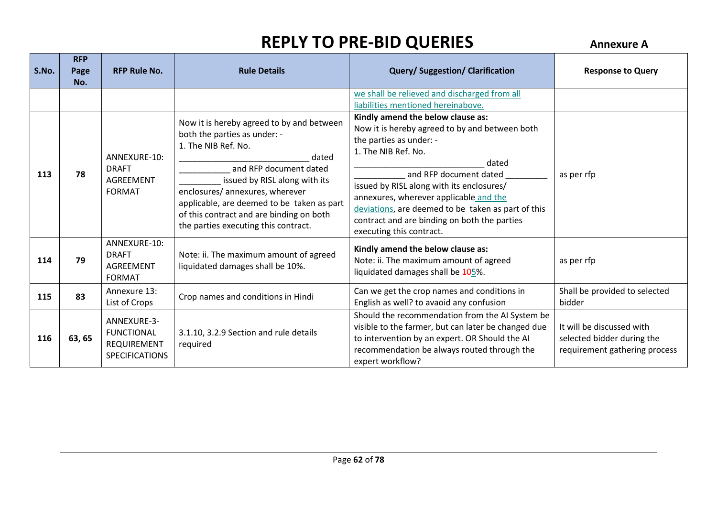| S.No. | <b>RFP</b><br>Page<br>No. | <b>RFP Rule No.</b>                                                             | <b>Rule Details</b>                                                                                                                                                                                                                                                                                                                       | <b>Query/Suggestion/Clarification</b>                                                                                                                                                                                                                                                                                                                                                             | <b>Response to Query</b>                                                                 |
|-------|---------------------------|---------------------------------------------------------------------------------|-------------------------------------------------------------------------------------------------------------------------------------------------------------------------------------------------------------------------------------------------------------------------------------------------------------------------------------------|---------------------------------------------------------------------------------------------------------------------------------------------------------------------------------------------------------------------------------------------------------------------------------------------------------------------------------------------------------------------------------------------------|------------------------------------------------------------------------------------------|
|       |                           |                                                                                 |                                                                                                                                                                                                                                                                                                                                           | we shall be relieved and discharged from all<br>liabilities mentioned hereinabove.                                                                                                                                                                                                                                                                                                                |                                                                                          |
| 113   | 78                        | ANNEXURE-10:<br><b>DRAFT</b><br><b>AGREEMENT</b><br><b>FORMAT</b>               | Now it is hereby agreed to by and between<br>both the parties as under: -<br>1. The NIB Ref. No.<br>dated<br>and RFP document dated<br>issued by RISL along with its<br>enclosures/ annexures, wherever<br>applicable, are deemed to be taken as part<br>of this contract and are binding on both<br>the parties executing this contract. | Kindly amend the below clause as:<br>Now it is hereby agreed to by and between both<br>the parties as under: -<br>1. The NIB Ref. No.<br>dated<br>and RFP document dated<br>issued by RISL along with its enclosures/<br>annexures, wherever applicable and the<br>deviations, are deemed to be taken as part of this<br>contract and are binding on both the parties<br>executing this contract. | as per rfp                                                                               |
| 114   | 79                        | ANNEXURE-10:<br><b>DRAFT</b><br><b>AGREEMENT</b><br><b>FORMAT</b>               | Note: ii. The maximum amount of agreed<br>liquidated damages shall be 10%.                                                                                                                                                                                                                                                                | Kindly amend the below clause as:<br>Note: ii. The maximum amount of agreed<br>liquidated damages shall be $10.5\%$ .                                                                                                                                                                                                                                                                             | as per rfp                                                                               |
| 115   | 83                        | Annexure 13:<br>List of Crops                                                   | Crop names and conditions in Hindi                                                                                                                                                                                                                                                                                                        | Can we get the crop names and conditions in<br>English as well? to avaoid any confusion                                                                                                                                                                                                                                                                                                           | Shall be provided to selected<br>bidder                                                  |
| 116   | 63, 65                    | ANNEXURE-3-<br><b>FUNCTIONAL</b><br><b>REQUIREMENT</b><br><b>SPECIFICATIONS</b> | 3.1.10, 3.2.9 Section and rule details<br>required                                                                                                                                                                                                                                                                                        | Should the recommendation from the AI System be<br>visible to the farmer, but can later be changed due<br>to intervention by an expert. OR Should the AI<br>recommendation be always routed through the<br>expert workflow?                                                                                                                                                                       | It will be discussed with<br>selected bidder during the<br>requirement gathering process |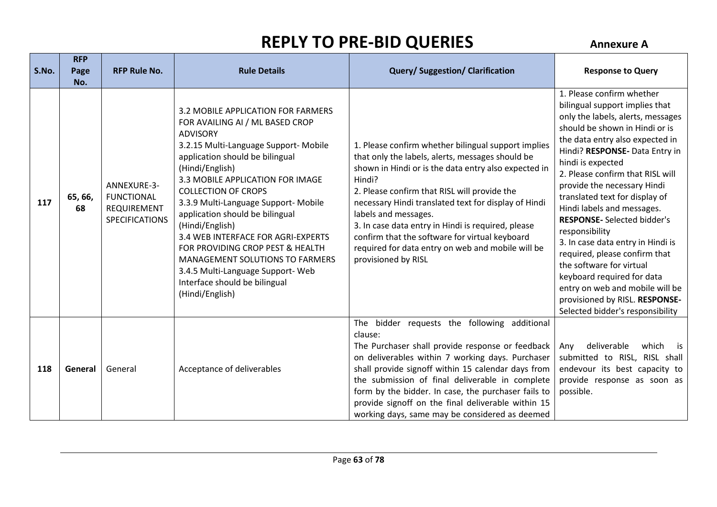| S.No. | <b>RFP</b><br>Page<br>No. | <b>RFP Rule No.</b>                                                      | <b>Rule Details</b>                                                                                                                                                                                                                                                                                                                                                                                                                                                                                                                                                  | <b>Query/Suggestion/Clarification</b>                                                                                                                                                                                                                                                                                                                                                                                                                                                         | <b>Response to Query</b>                                                                                                                                                                                                                                                                                                                                                                                                                                                                                                                                                                                                                                         |
|-------|---------------------------|--------------------------------------------------------------------------|----------------------------------------------------------------------------------------------------------------------------------------------------------------------------------------------------------------------------------------------------------------------------------------------------------------------------------------------------------------------------------------------------------------------------------------------------------------------------------------------------------------------------------------------------------------------|-----------------------------------------------------------------------------------------------------------------------------------------------------------------------------------------------------------------------------------------------------------------------------------------------------------------------------------------------------------------------------------------------------------------------------------------------------------------------------------------------|------------------------------------------------------------------------------------------------------------------------------------------------------------------------------------------------------------------------------------------------------------------------------------------------------------------------------------------------------------------------------------------------------------------------------------------------------------------------------------------------------------------------------------------------------------------------------------------------------------------------------------------------------------------|
| 117   | 65, 66,<br>68             | ANNEXURE-3-<br><b>FUNCTIONAL</b><br>REQUIREMENT<br><b>SPECIFICATIONS</b> | 3.2 MOBILE APPLICATION FOR FARMERS<br>FOR AVAILING AI / ML BASED CROP<br><b>ADVISORY</b><br>3.2.15 Multi-Language Support- Mobile<br>application should be bilingual<br>(Hindi/English)<br>3.3 MOBILE APPLICATION FOR IMAGE<br><b>COLLECTION OF CROPS</b><br>3.3.9 Multi-Language Support- Mobile<br>application should be bilingual<br>(Hindi/English)<br>3.4 WEB INTERFACE FOR AGRI-EXPERTS<br>FOR PROVIDING CROP PEST & HEALTH<br><b>MANAGEMENT SOLUTIONS TO FARMERS</b><br>3.4.5 Multi-Language Support- Web<br>Interface should be bilingual<br>(Hindi/English) | 1. Please confirm whether bilingual support implies<br>that only the labels, alerts, messages should be<br>shown in Hindi or is the data entry also expected in<br>Hindi?<br>2. Please confirm that RISL will provide the<br>necessary Hindi translated text for display of Hindi<br>labels and messages.<br>3. In case data entry in Hindi is required, please<br>confirm that the software for virtual keyboard<br>required for data entry on web and mobile will be<br>provisioned by RISL | 1. Please confirm whether<br>bilingual support implies that<br>only the labels, alerts, messages<br>should be shown in Hindi or is<br>the data entry also expected in<br>Hindi? RESPONSE- Data Entry in<br>hindi is expected<br>2. Please confirm that RISL will<br>provide the necessary Hindi<br>translated text for display of<br>Hindi labels and messages.<br><b>RESPONSE-</b> Selected bidder's<br>responsibility<br>3. In case data entry in Hindi is<br>required, please confirm that<br>the software for virtual<br>keyboard required for data<br>entry on web and mobile will be<br>provisioned by RISL. RESPONSE-<br>Selected bidder's responsibility |
| 118   | General                   | General                                                                  | Acceptance of deliverables                                                                                                                                                                                                                                                                                                                                                                                                                                                                                                                                           | The bidder requests the following additional<br>clause:<br>The Purchaser shall provide response or feedback<br>on deliverables within 7 working days. Purchaser<br>shall provide signoff within 15 calendar days from<br>the submission of final deliverable in complete<br>form by the bidder. In case, the purchaser fails to<br>provide signoff on the final deliverable within 15<br>working days, same may be considered as deemed                                                       | deliverable<br>which is<br>Any<br>submitted to RISL, RISL shall<br>endevour its best capacity to<br>provide response as soon as<br>possible.                                                                                                                                                                                                                                                                                                                                                                                                                                                                                                                     |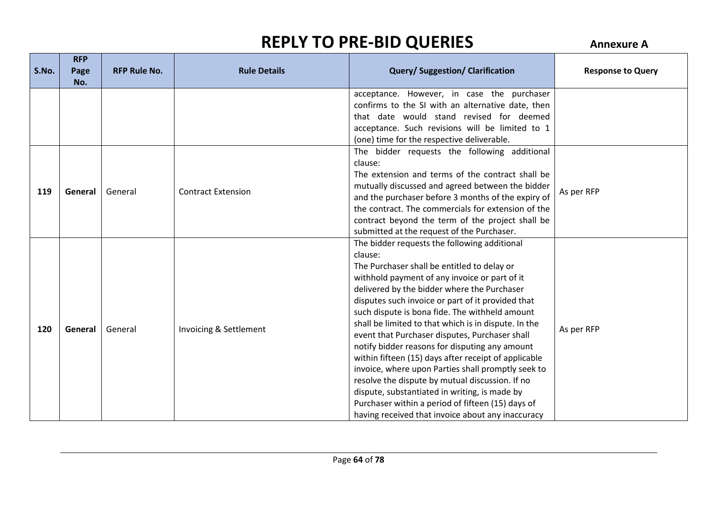|       | <b>RFP</b> |                     |                           |                                                                                                          |                          |
|-------|------------|---------------------|---------------------------|----------------------------------------------------------------------------------------------------------|--------------------------|
| S.No. | Page       | <b>RFP Rule No.</b> | <b>Rule Details</b>       | <b>Query/Suggestion/Clarification</b>                                                                    | <b>Response to Query</b> |
|       | No.        |                     |                           |                                                                                                          |                          |
|       |            |                     |                           | acceptance. However, in case the purchaser                                                               |                          |
|       |            |                     |                           | confirms to the SI with an alternative date, then                                                        |                          |
|       |            |                     |                           | that date would stand revised for deemed                                                                 |                          |
|       |            |                     |                           | acceptance. Such revisions will be limited to 1                                                          |                          |
|       |            |                     |                           | (one) time for the respective deliverable.                                                               |                          |
|       |            |                     |                           | The bidder requests the following additional                                                             |                          |
|       |            |                     |                           | clause:                                                                                                  |                          |
|       |            |                     |                           | The extension and terms of the contract shall be                                                         |                          |
| 119   | General    | General             | <b>Contract Extension</b> | mutually discussed and agreed between the bidder                                                         | As per RFP               |
|       |            |                     |                           | and the purchaser before 3 months of the expiry of<br>the contract. The commercials for extension of the |                          |
|       |            |                     |                           |                                                                                                          |                          |
|       |            |                     |                           | contract beyond the term of the project shall be<br>submitted at the request of the Purchaser.           |                          |
|       |            |                     |                           | The bidder requests the following additional                                                             |                          |
|       |            |                     |                           | clause:                                                                                                  |                          |
|       |            |                     |                           | The Purchaser shall be entitled to delay or                                                              |                          |
|       |            |                     |                           | withhold payment of any invoice or part of it                                                            |                          |
|       |            |                     |                           | delivered by the bidder where the Purchaser                                                              |                          |
|       |            |                     |                           | disputes such invoice or part of it provided that                                                        |                          |
|       |            |                     |                           | such dispute is bona fide. The withheld amount                                                           |                          |
|       |            |                     |                           | shall be limited to that which is in dispute. In the                                                     |                          |
| 120   | General    | General             | Invoicing & Settlement    | event that Purchaser disputes, Purchaser shall                                                           | As per RFP               |
|       |            |                     |                           | notify bidder reasons for disputing any amount                                                           |                          |
|       |            |                     |                           | within fifteen (15) days after receipt of applicable                                                     |                          |
|       |            |                     |                           | invoice, where upon Parties shall promptly seek to                                                       |                          |
|       |            |                     |                           | resolve the dispute by mutual discussion. If no                                                          |                          |
|       |            |                     |                           | dispute, substantiated in writing, is made by                                                            |                          |
|       |            |                     |                           | Purchaser within a period of fifteen (15) days of                                                        |                          |
|       |            |                     |                           | having received that invoice about any inaccuracy                                                        |                          |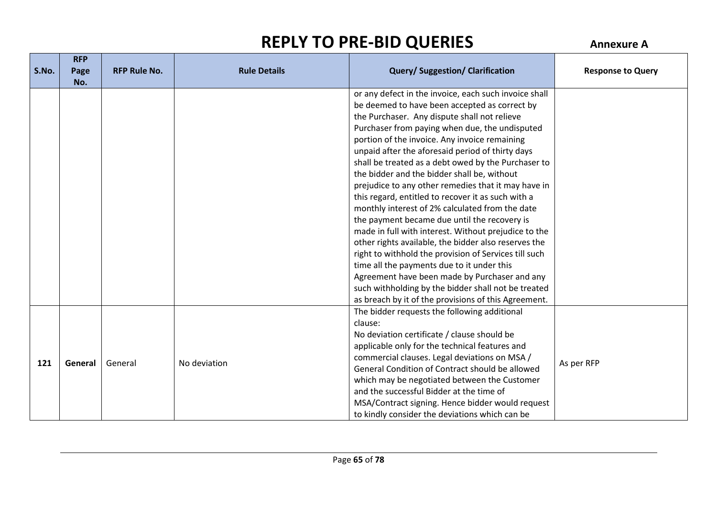| S.No. | <b>RFP</b><br>Page<br>No. | <b>RFP Rule No.</b> | <b>Rule Details</b> | <b>Query/Suggestion/Clarification</b>                                                                 | <b>Response to Query</b> |
|-------|---------------------------|---------------------|---------------------|-------------------------------------------------------------------------------------------------------|--------------------------|
|       |                           |                     |                     | or any defect in the invoice, each such invoice shall                                                 |                          |
|       |                           |                     |                     | be deemed to have been accepted as correct by                                                         |                          |
|       |                           |                     |                     | the Purchaser. Any dispute shall not relieve                                                          |                          |
|       |                           |                     |                     | Purchaser from paying when due, the undisputed                                                        |                          |
|       |                           |                     |                     | portion of the invoice. Any invoice remaining                                                         |                          |
|       |                           |                     |                     | unpaid after the aforesaid period of thirty days                                                      |                          |
|       |                           |                     |                     | shall be treated as a debt owed by the Purchaser to                                                   |                          |
|       |                           |                     |                     | the bidder and the bidder shall be, without                                                           |                          |
|       |                           |                     |                     | prejudice to any other remedies that it may have in                                                   |                          |
|       |                           |                     |                     | this regard, entitled to recover it as such with a<br>monthly interest of 2% calculated from the date |                          |
|       |                           |                     |                     | the payment became due until the recovery is                                                          |                          |
|       |                           |                     |                     | made in full with interest. Without prejudice to the                                                  |                          |
|       |                           |                     |                     | other rights available, the bidder also reserves the                                                  |                          |
|       |                           |                     |                     | right to withhold the provision of Services till such                                                 |                          |
|       |                           |                     |                     | time all the payments due to it under this                                                            |                          |
|       |                           |                     |                     | Agreement have been made by Purchaser and any                                                         |                          |
|       |                           |                     |                     | such withholding by the bidder shall not be treated                                                   |                          |
|       |                           |                     |                     | as breach by it of the provisions of this Agreement.                                                  |                          |
|       |                           |                     |                     | The bidder requests the following additional                                                          |                          |
|       |                           |                     |                     | clause:                                                                                               |                          |
|       |                           |                     |                     | No deviation certificate / clause should be                                                           |                          |
|       |                           |                     |                     | applicable only for the technical features and                                                        |                          |
|       |                           |                     |                     | commercial clauses. Legal deviations on MSA /                                                         |                          |
| 121   | General                   | General             | No deviation        | General Condition of Contract should be allowed                                                       | As per RFP               |
|       |                           |                     |                     | which may be negotiated between the Customer                                                          |                          |
|       |                           |                     |                     | and the successful Bidder at the time of                                                              |                          |
|       |                           |                     |                     | MSA/Contract signing. Hence bidder would request                                                      |                          |
|       |                           |                     |                     | to kindly consider the deviations which can be                                                        |                          |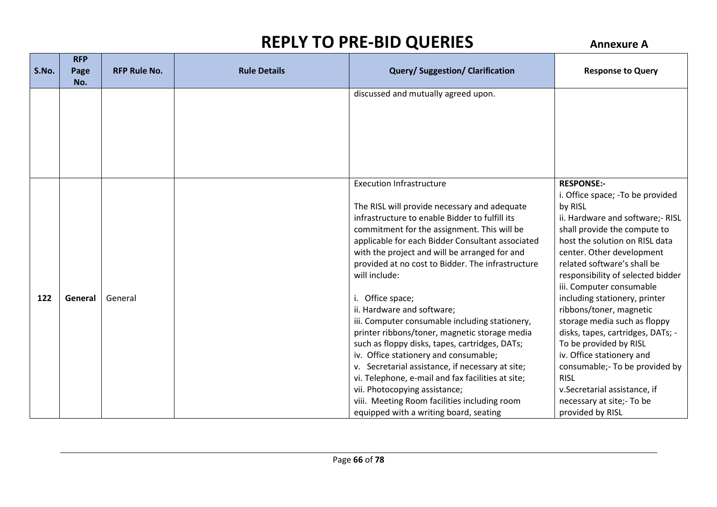|       | <b>RFP</b> |                     |                     |                                                                                                                                                                                                                                                                                                                                                                                                                                                                                                                                                                                                                                                                                                                                                                                                                                                 |                                                                                                                                                                                                                                                                                                                                                                                                                                                                                                                                                                                                                                |
|-------|------------|---------------------|---------------------|-------------------------------------------------------------------------------------------------------------------------------------------------------------------------------------------------------------------------------------------------------------------------------------------------------------------------------------------------------------------------------------------------------------------------------------------------------------------------------------------------------------------------------------------------------------------------------------------------------------------------------------------------------------------------------------------------------------------------------------------------------------------------------------------------------------------------------------------------|--------------------------------------------------------------------------------------------------------------------------------------------------------------------------------------------------------------------------------------------------------------------------------------------------------------------------------------------------------------------------------------------------------------------------------------------------------------------------------------------------------------------------------------------------------------------------------------------------------------------------------|
| S.No. | Page       | <b>RFP Rule No.</b> | <b>Rule Details</b> | <b>Query/Suggestion/Clarification</b>                                                                                                                                                                                                                                                                                                                                                                                                                                                                                                                                                                                                                                                                                                                                                                                                           | <b>Response to Query</b>                                                                                                                                                                                                                                                                                                                                                                                                                                                                                                                                                                                                       |
|       | No.        |                     |                     |                                                                                                                                                                                                                                                                                                                                                                                                                                                                                                                                                                                                                                                                                                                                                                                                                                                 |                                                                                                                                                                                                                                                                                                                                                                                                                                                                                                                                                                                                                                |
|       |            |                     |                     | discussed and mutually agreed upon.                                                                                                                                                                                                                                                                                                                                                                                                                                                                                                                                                                                                                                                                                                                                                                                                             |                                                                                                                                                                                                                                                                                                                                                                                                                                                                                                                                                                                                                                |
| 122   | General    | General             |                     | <b>Execution Infrastructure</b><br>The RISL will provide necessary and adequate<br>infrastructure to enable Bidder to fulfill its<br>commitment for the assignment. This will be<br>applicable for each Bidder Consultant associated<br>with the project and will be arranged for and<br>provided at no cost to Bidder. The infrastructure<br>will include:<br>i. Office space;<br>ii. Hardware and software;<br>iii. Computer consumable including stationery,<br>printer ribbons/toner, magnetic storage media<br>such as floppy disks, tapes, cartridges, DATs;<br>iv. Office stationery and consumable;<br>v. Secretarial assistance, if necessary at site;<br>vi. Telephone, e-mail and fax facilities at site;<br>vii. Photocopying assistance;<br>viii. Meeting Room facilities including room<br>equipped with a writing board, seating | <b>RESPONSE:-</b><br>i. Office space; - To be provided<br>by RISL<br>ii. Hardware and software;- RISL<br>shall provide the compute to<br>host the solution on RISL data<br>center. Other development<br>related software's shall be<br>responsibility of selected bidder<br>iii. Computer consumable<br>including stationery, printer<br>ribbons/toner, magnetic<br>storage media such as floppy<br>disks, tapes, cartridges, DATs; -<br>To be provided by RISL<br>iv. Office stationery and<br>consumable;- To be provided by<br><b>RISL</b><br>v.Secretarial assistance, if<br>necessary at site;- To be<br>provided by RISL |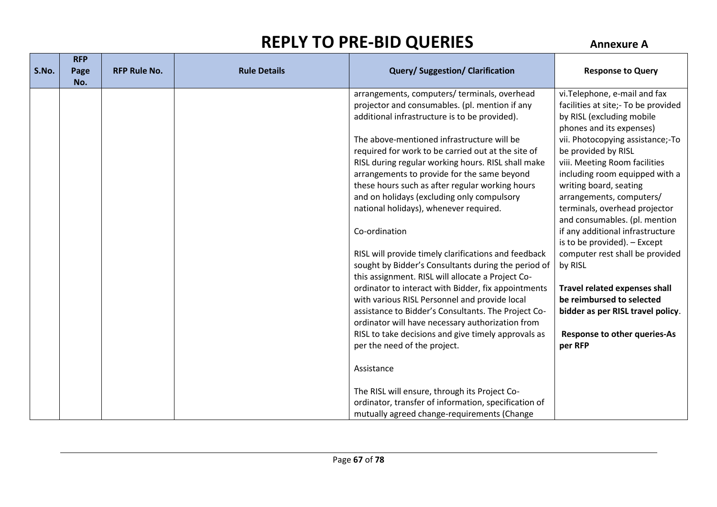| S.No. | <b>RFP</b><br>Page | <b>RFP Rule No.</b> | <b>Rule Details</b> | <b>Query/Suggestion/Clarification</b>                                                                | <b>Response to Query</b>                                          |
|-------|--------------------|---------------------|---------------------|------------------------------------------------------------------------------------------------------|-------------------------------------------------------------------|
|       | No.                |                     |                     |                                                                                                      |                                                                   |
|       |                    |                     |                     | arrangements, computers/ terminals, overhead                                                         | vi. Telephone, e-mail and fax                                     |
|       |                    |                     |                     | projector and consumables. (pl. mention if any                                                       | facilities at site;- To be provided                               |
|       |                    |                     |                     | additional infrastructure is to be provided).                                                        | by RISL (excluding mobile                                         |
|       |                    |                     |                     |                                                                                                      | phones and its expenses)                                          |
|       |                    |                     |                     | The above-mentioned infrastructure will be                                                           | vii. Photocopying assistance;-To                                  |
|       |                    |                     |                     | required for work to be carried out at the site of                                                   | be provided by RISL                                               |
|       |                    |                     |                     | RISL during regular working hours. RISL shall make                                                   | viii. Meeting Room facilities                                     |
|       |                    |                     |                     | arrangements to provide for the same beyond                                                          | including room equipped with a                                    |
|       |                    |                     |                     | these hours such as after regular working hours                                                      | writing board, seating                                            |
|       |                    |                     |                     | and on holidays (excluding only compulsory                                                           | arrangements, computers/                                          |
|       |                    |                     |                     | national holidays), whenever required.                                                               | terminals, overhead projector                                     |
|       |                    |                     |                     |                                                                                                      | and consumables. (pl. mention                                     |
|       |                    |                     |                     | Co-ordination                                                                                        | if any additional infrastructure                                  |
|       |                    |                     |                     |                                                                                                      | is to be provided). - Except                                      |
|       |                    |                     |                     | RISL will provide timely clarifications and feedback                                                 | computer rest shall be provided                                   |
|       |                    |                     |                     | sought by Bidder's Consultants during the period of                                                  | by RISL                                                           |
|       |                    |                     |                     | this assignment. RISL will allocate a Project Co-                                                    |                                                                   |
|       |                    |                     |                     | ordinator to interact with Bidder, fix appointments                                                  | <b>Travel related expenses shall</b><br>be reimbursed to selected |
|       |                    |                     |                     | with various RISL Personnel and provide local<br>assistance to Bidder's Consultants. The Project Co- | bidder as per RISL travel policy.                                 |
|       |                    |                     |                     | ordinator will have necessary authorization from                                                     |                                                                   |
|       |                    |                     |                     | RISL to take decisions and give timely approvals as                                                  | <b>Response to other queries-As</b>                               |
|       |                    |                     |                     | per the need of the project.                                                                         | per RFP                                                           |
|       |                    |                     |                     |                                                                                                      |                                                                   |
|       |                    |                     |                     | Assistance                                                                                           |                                                                   |
|       |                    |                     |                     |                                                                                                      |                                                                   |
|       |                    |                     |                     | The RISL will ensure, through its Project Co-                                                        |                                                                   |
|       |                    |                     |                     | ordinator, transfer of information, specification of                                                 |                                                                   |
|       |                    |                     |                     | mutually agreed change-requirements (Change                                                          |                                                                   |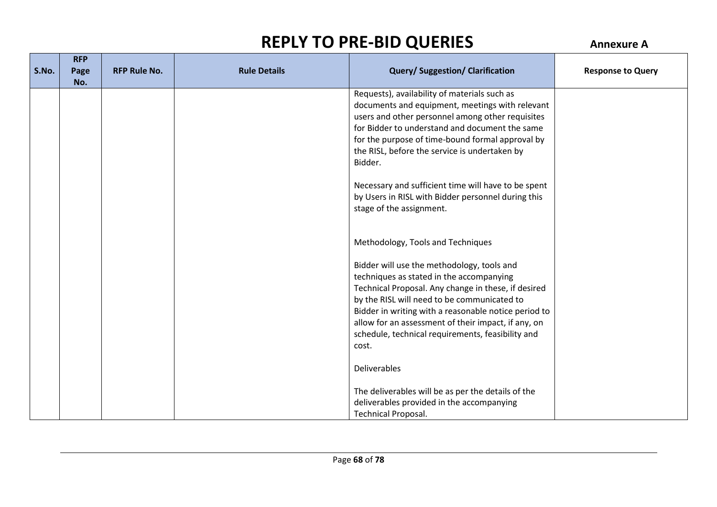| S.No. | <b>RFP</b>  | <b>RFP Rule No.</b> | <b>Rule Details</b> | <b>Query/Suggestion/Clarification</b>                                                                                                                                                                                                                                                                                                                                     | <b>Response to Query</b> |
|-------|-------------|---------------------|---------------------|---------------------------------------------------------------------------------------------------------------------------------------------------------------------------------------------------------------------------------------------------------------------------------------------------------------------------------------------------------------------------|--------------------------|
|       | Page<br>No. |                     |                     |                                                                                                                                                                                                                                                                                                                                                                           |                          |
|       |             |                     |                     | Requests), availability of materials such as<br>documents and equipment, meetings with relevant<br>users and other personnel among other requisites<br>for Bidder to understand and document the same<br>for the purpose of time-bound formal approval by<br>the RISL, before the service is undertaken by<br>Bidder.                                                     |                          |
|       |             |                     |                     | Necessary and sufficient time will have to be spent<br>by Users in RISL with Bidder personnel during this<br>stage of the assignment.                                                                                                                                                                                                                                     |                          |
|       |             |                     |                     | Methodology, Tools and Techniques                                                                                                                                                                                                                                                                                                                                         |                          |
|       |             |                     |                     | Bidder will use the methodology, tools and<br>techniques as stated in the accompanying<br>Technical Proposal. Any change in these, if desired<br>by the RISL will need to be communicated to<br>Bidder in writing with a reasonable notice period to<br>allow for an assessment of their impact, if any, on<br>schedule, technical requirements, feasibility and<br>cost. |                          |
|       |             |                     |                     | Deliverables                                                                                                                                                                                                                                                                                                                                                              |                          |
|       |             |                     |                     | The deliverables will be as per the details of the<br>deliverables provided in the accompanying<br><b>Technical Proposal.</b>                                                                                                                                                                                                                                             |                          |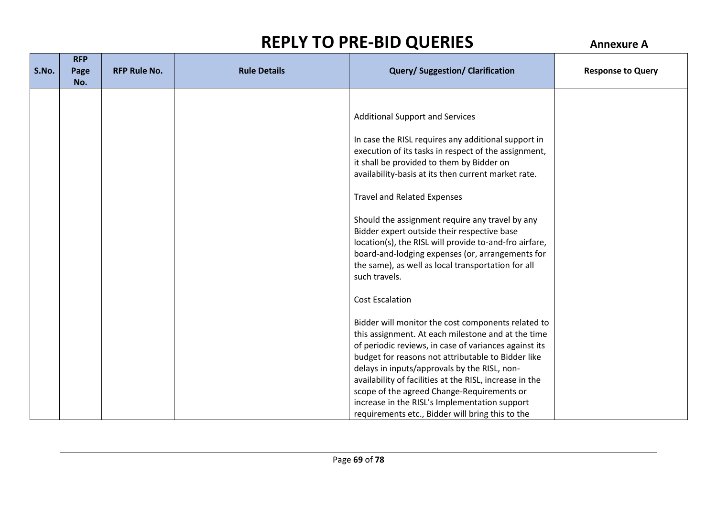| S.No. | <b>RFP</b><br>Page<br>No. | <b>RFP Rule No.</b> | <b>Rule Details</b> | <b>Query/Suggestion/Clarification</b>                                                                                                                                                                                                                                                                                                                                                                                                                                                                                                                                                  | <b>Response to Query</b> |
|-------|---------------------------|---------------------|---------------------|----------------------------------------------------------------------------------------------------------------------------------------------------------------------------------------------------------------------------------------------------------------------------------------------------------------------------------------------------------------------------------------------------------------------------------------------------------------------------------------------------------------------------------------------------------------------------------------|--------------------------|
|       |                           |                     |                     | <b>Additional Support and Services</b><br>In case the RISL requires any additional support in<br>execution of its tasks in respect of the assignment,<br>it shall be provided to them by Bidder on<br>availability-basis at its then current market rate.<br><b>Travel and Related Expenses</b><br>Should the assignment require any travel by any<br>Bidder expert outside their respective base<br>location(s), the RISL will provide to-and-fro airfare,<br>board-and-lodging expenses (or, arrangements for<br>the same), as well as local transportation for all<br>such travels. |                          |
|       |                           |                     |                     | <b>Cost Escalation</b><br>Bidder will monitor the cost components related to<br>this assignment. At each milestone and at the time<br>of periodic reviews, in case of variances against its<br>budget for reasons not attributable to Bidder like<br>delays in inputs/approvals by the RISL, non-<br>availability of facilities at the RISL, increase in the<br>scope of the agreed Change-Requirements or<br>increase in the RISL's Implementation support<br>requirements etc., Bidder will bring this to the                                                                        |                          |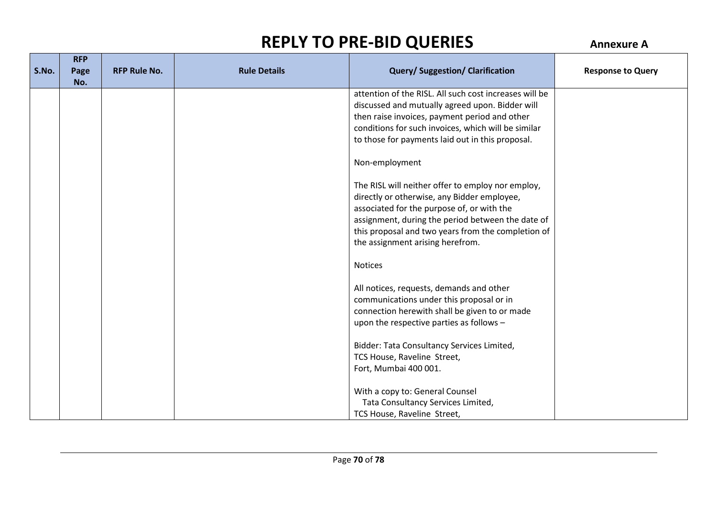|       | <b>RFP</b>  |                     |                     |                                                                                                                                                                                                                                                                                               |                          |
|-------|-------------|---------------------|---------------------|-----------------------------------------------------------------------------------------------------------------------------------------------------------------------------------------------------------------------------------------------------------------------------------------------|--------------------------|
| S.No. | Page<br>No. | <b>RFP Rule No.</b> | <b>Rule Details</b> | <b>Query/Suggestion/Clarification</b>                                                                                                                                                                                                                                                         | <b>Response to Query</b> |
|       |             |                     |                     | attention of the RISL. All such cost increases will be<br>discussed and mutually agreed upon. Bidder will<br>then raise invoices, payment period and other<br>conditions for such invoices, which will be similar<br>to those for payments laid out in this proposal.                         |                          |
|       |             |                     |                     | Non-employment                                                                                                                                                                                                                                                                                |                          |
|       |             |                     |                     | The RISL will neither offer to employ nor employ,<br>directly or otherwise, any Bidder employee,<br>associated for the purpose of, or with the<br>assignment, during the period between the date of<br>this proposal and two years from the completion of<br>the assignment arising herefrom. |                          |
|       |             |                     |                     | <b>Notices</b>                                                                                                                                                                                                                                                                                |                          |
|       |             |                     |                     | All notices, requests, demands and other<br>communications under this proposal or in<br>connection herewith shall be given to or made<br>upon the respective parties as follows -                                                                                                             |                          |
|       |             |                     |                     | Bidder: Tata Consultancy Services Limited,<br>TCS House, Raveline Street,<br>Fort, Mumbai 400 001.                                                                                                                                                                                            |                          |
|       |             |                     |                     | With a copy to: General Counsel<br>Tata Consultancy Services Limited,<br>TCS House, Raveline Street,                                                                                                                                                                                          |                          |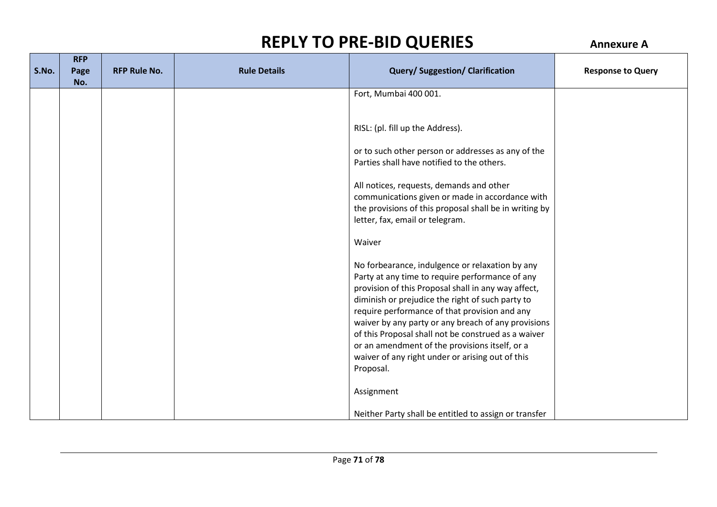|       | <b>RFP</b> |                     |                     |                                                                                                         |                          |
|-------|------------|---------------------|---------------------|---------------------------------------------------------------------------------------------------------|--------------------------|
| S.No. | Page       | <b>RFP Rule No.</b> | <b>Rule Details</b> | <b>Query/Suggestion/Clarification</b>                                                                   | <b>Response to Query</b> |
|       | No.        |                     |                     |                                                                                                         |                          |
|       |            |                     |                     | Fort, Mumbai 400 001.                                                                                   |                          |
|       |            |                     |                     |                                                                                                         |                          |
|       |            |                     |                     |                                                                                                         |                          |
|       |            |                     |                     | RISL: (pl. fill up the Address).                                                                        |                          |
|       |            |                     |                     |                                                                                                         |                          |
|       |            |                     |                     | or to such other person or addresses as any of the                                                      |                          |
|       |            |                     |                     | Parties shall have notified to the others.                                                              |                          |
|       |            |                     |                     | All notices, requests, demands and other                                                                |                          |
|       |            |                     |                     | communications given or made in accordance with                                                         |                          |
|       |            |                     |                     | the provisions of this proposal shall be in writing by                                                  |                          |
|       |            |                     |                     | letter, fax, email or telegram.                                                                         |                          |
|       |            |                     |                     |                                                                                                         |                          |
|       |            |                     |                     | Waiver                                                                                                  |                          |
|       |            |                     |                     |                                                                                                         |                          |
|       |            |                     |                     | No forbearance, indulgence or relaxation by any                                                         |                          |
|       |            |                     |                     | Party at any time to require performance of any                                                         |                          |
|       |            |                     |                     | provision of this Proposal shall in any way affect,<br>diminish or prejudice the right of such party to |                          |
|       |            |                     |                     | require performance of that provision and any                                                           |                          |
|       |            |                     |                     | waiver by any party or any breach of any provisions                                                     |                          |
|       |            |                     |                     | of this Proposal shall not be construed as a waiver                                                     |                          |
|       |            |                     |                     | or an amendment of the provisions itself, or a                                                          |                          |
|       |            |                     |                     | waiver of any right under or arising out of this                                                        |                          |
|       |            |                     |                     | Proposal.                                                                                               |                          |
|       |            |                     |                     |                                                                                                         |                          |
|       |            |                     |                     | Assignment                                                                                              |                          |
|       |            |                     |                     |                                                                                                         |                          |
|       |            |                     |                     | Neither Party shall be entitled to assign or transfer                                                   |                          |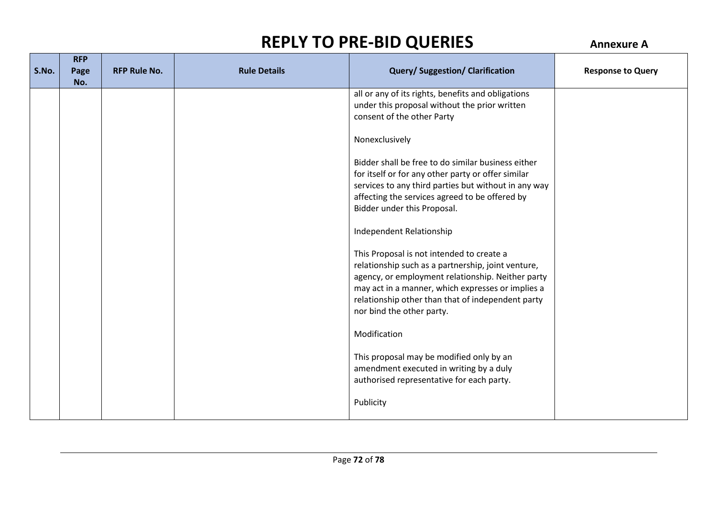|       | <b>RFP</b> |                     |                     |                                                      |                          |
|-------|------------|---------------------|---------------------|------------------------------------------------------|--------------------------|
| S.No. | Page       | <b>RFP Rule No.</b> | <b>Rule Details</b> | <b>Query/Suggestion/Clarification</b>                | <b>Response to Query</b> |
|       | No.        |                     |                     |                                                      |                          |
|       |            |                     |                     | all or any of its rights, benefits and obligations   |                          |
|       |            |                     |                     | under this proposal without the prior written        |                          |
|       |            |                     |                     | consent of the other Party                           |                          |
|       |            |                     |                     |                                                      |                          |
|       |            |                     |                     | Nonexclusively                                       |                          |
|       |            |                     |                     |                                                      |                          |
|       |            |                     |                     | Bidder shall be free to do similar business either   |                          |
|       |            |                     |                     | for itself or for any other party or offer similar   |                          |
|       |            |                     |                     | services to any third parties but without in any way |                          |
|       |            |                     |                     | affecting the services agreed to be offered by       |                          |
|       |            |                     |                     | Bidder under this Proposal.                          |                          |
|       |            |                     |                     |                                                      |                          |
|       |            |                     |                     | Independent Relationship                             |                          |
|       |            |                     |                     |                                                      |                          |
|       |            |                     |                     | This Proposal is not intended to create a            |                          |
|       |            |                     |                     | relationship such as a partnership, joint venture,   |                          |
|       |            |                     |                     | agency, or employment relationship. Neither party    |                          |
|       |            |                     |                     | may act in a manner, which expresses or implies a    |                          |
|       |            |                     |                     | relationship other than that of independent party    |                          |
|       |            |                     |                     | nor bind the other party.                            |                          |
|       |            |                     |                     |                                                      |                          |
|       |            |                     |                     | Modification                                         |                          |
|       |            |                     |                     |                                                      |                          |
|       |            |                     |                     | This proposal may be modified only by an             |                          |
|       |            |                     |                     | amendment executed in writing by a duly              |                          |
|       |            |                     |                     | authorised representative for each party.            |                          |
|       |            |                     |                     | Publicity                                            |                          |
|       |            |                     |                     |                                                      |                          |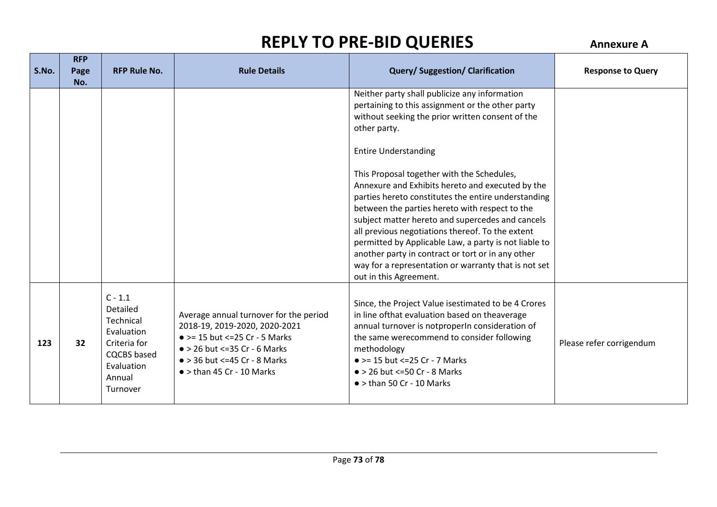|       | <b>RFP</b> |                                                                                                                            |                                                                                                                                                                                                                                         |                                                                                                                                                                                                                                                                                                                                                                                                                                                                                                                                                                                                                                                                                                                         |                          |
|-------|------------|----------------------------------------------------------------------------------------------------------------------------|-----------------------------------------------------------------------------------------------------------------------------------------------------------------------------------------------------------------------------------------|-------------------------------------------------------------------------------------------------------------------------------------------------------------------------------------------------------------------------------------------------------------------------------------------------------------------------------------------------------------------------------------------------------------------------------------------------------------------------------------------------------------------------------------------------------------------------------------------------------------------------------------------------------------------------------------------------------------------------|--------------------------|
| S.No. | Page       | <b>RFP Rule No.</b>                                                                                                        | <b>Rule Details</b>                                                                                                                                                                                                                     | <b>Query/Suggestion/Clarification</b>                                                                                                                                                                                                                                                                                                                                                                                                                                                                                                                                                                                                                                                                                   | <b>Response to Query</b> |
|       | No.        |                                                                                                                            |                                                                                                                                                                                                                                         |                                                                                                                                                                                                                                                                                                                                                                                                                                                                                                                                                                                                                                                                                                                         |                          |
|       |            |                                                                                                                            |                                                                                                                                                                                                                                         | Neither party shall publicize any information<br>pertaining to this assignment or the other party<br>without seeking the prior written consent of the<br>other party.<br><b>Entire Understanding</b><br>This Proposal together with the Schedules,<br>Annexure and Exhibits hereto and executed by the<br>parties hereto constitutes the entire understanding<br>between the parties hereto with respect to the<br>subject matter hereto and supercedes and cancels<br>all previous negotiations thereof. To the extent<br>permitted by Applicable Law, a party is not liable to<br>another party in contract or tort or in any other<br>way for a representation or warranty that is not set<br>out in this Agreement. |                          |
| 123   | 32         | $C - 1.1$<br>Detailed<br>Technical<br>Evaluation<br>Criteria for<br><b>CQCBS</b> based<br>Evaluation<br>Annual<br>Turnover | Average annual turnover for the period<br>2018-19, 2019-2020, 2020-2021<br>$\bullet$ >= 15 but <= 25 Cr - 5 Marks<br>$\bullet$ > 26 but <= 35 Cr - 6 Marks<br>$\bullet$ > 36 but <=45 Cr - 8 Marks<br>$\bullet$ > than 45 Cr - 10 Marks | Since, the Project Value is estimated to be 4 Crores<br>in line of that evaluation based on the average<br>annual turnover is notproperIn consideration of<br>the same werecommend to consider following<br>methodology<br>$\bullet$ >= 15 but <= 25 Cr - 7 Marks<br>$\bullet$ > 26 but <=50 Cr - 8 Marks<br>$\bullet$ > than 50 Cr - 10 Marks                                                                                                                                                                                                                                                                                                                                                                          | Please refer corrigendum |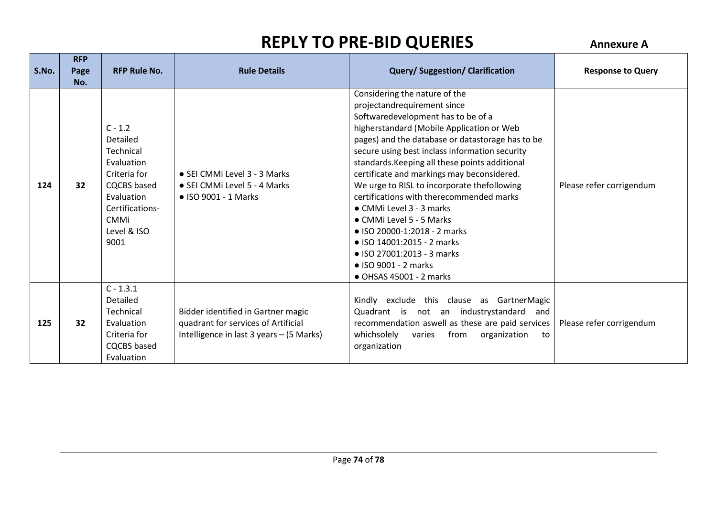| S.No. | <b>RFP</b><br>Page<br>No. | <b>RFP Rule No.</b>                                                                                                                                           | <b>Rule Details</b>                                                                                                   | <b>Query/Suggestion/Clarification</b>                                                                                                                                                                                                                                                                                                                                                                                                                                                                                                                                                                                                                   | <b>Response to Query</b> |
|-------|---------------------------|---------------------------------------------------------------------------------------------------------------------------------------------------------------|-----------------------------------------------------------------------------------------------------------------------|---------------------------------------------------------------------------------------------------------------------------------------------------------------------------------------------------------------------------------------------------------------------------------------------------------------------------------------------------------------------------------------------------------------------------------------------------------------------------------------------------------------------------------------------------------------------------------------------------------------------------------------------------------|--------------------------|
| 124   | 32                        | $C - 1.2$<br>Detailed<br>Technical<br>Evaluation<br>Criteria for<br><b>CQCBS</b> based<br>Evaluation<br>Certifications-<br><b>CMMi</b><br>Level & ISO<br>9001 | • SEI CMMI Level 3 - 3 Marks<br>• SEI CMMi Level 5 - 4 Marks<br>$\bullet$ ISO 9001 - 1 Marks                          | Considering the nature of the<br>projectandrequirement since<br>Softwaredevelopment has to be of a<br>higherstandard (Mobile Application or Web<br>pages) and the database or datastorage has to be<br>secure using best inclass information security<br>standards. Keeping all these points additional<br>certificate and markings may beconsidered.<br>We urge to RISL to incorporate thefollowing<br>certifications with therecommended marks<br>• CMMi Level 3 - 3 marks<br>• CMMi Level 5 - 5 Marks<br>• ISO 20000-1:2018 - 2 marks<br>• ISO 14001:2015 - 2 marks<br>• ISO 27001:2013 - 3 marks<br>• ISO 9001 - 2 marks<br>• OHSAS 45001 - 2 marks | Please refer corrigendum |
| 125   | 32                        | $C - 1.3.1$<br>Detailed<br>Technical<br>Evaluation<br>Criteria for<br><b>CQCBS</b> based<br>Evaluation                                                        | Bidder identified in Gartner magic<br>quadrant for services of Artificial<br>Intelligence in last 3 years - (5 Marks) | Kindly exclude this clause as GartnerMagic<br>Quadrant is not an industrystandard<br>and<br>recommendation aswell as these are paid services<br>whichsolely<br>varies<br>from<br>organization<br>to<br>organization                                                                                                                                                                                                                                                                                                                                                                                                                                     | Please refer corrigendum |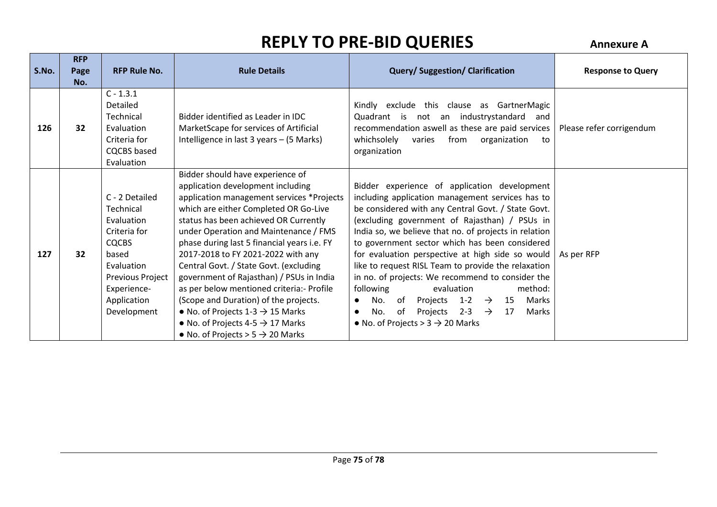| S.No. | <b>RFP</b><br>Page | <b>RFP Rule No.</b>                                                                                                                                                      | <b>Rule Details</b>                                                                                                                                                                                                                                                                                                                                                                                                                                                                                                                                                                                                                                             | <b>Query/Suggestion/Clarification</b>                                                                                                                                                                                                                                                                                                                                                                                                                                                                                                                                                                                                                                                           | <b>Response to Query</b> |
|-------|--------------------|--------------------------------------------------------------------------------------------------------------------------------------------------------------------------|-----------------------------------------------------------------------------------------------------------------------------------------------------------------------------------------------------------------------------------------------------------------------------------------------------------------------------------------------------------------------------------------------------------------------------------------------------------------------------------------------------------------------------------------------------------------------------------------------------------------------------------------------------------------|-------------------------------------------------------------------------------------------------------------------------------------------------------------------------------------------------------------------------------------------------------------------------------------------------------------------------------------------------------------------------------------------------------------------------------------------------------------------------------------------------------------------------------------------------------------------------------------------------------------------------------------------------------------------------------------------------|--------------------------|
| 126   | No.<br>32          | $C - 1.3.1$<br>Detailed<br>Technical<br>Evaluation<br>Criteria for<br><b>CQCBS</b> based<br>Evaluation                                                                   | Bidder identified as Leader in IDC<br>MarketScape for services of Artificial<br>Intelligence in last 3 years - (5 Marks)                                                                                                                                                                                                                                                                                                                                                                                                                                                                                                                                        | Kindly exclude this clause as GartnerMagic<br>Quadrant is not an industrystandard and<br>recommendation aswell as these are paid services<br>whichsolely<br>varies<br>from organization<br>to<br>organization                                                                                                                                                                                                                                                                                                                                                                                                                                                                                   | Please refer corrigendum |
| 127   | 32                 | C - 2 Detailed<br>Technical<br>Evaluation<br>Criteria for<br><b>CQCBS</b><br>based<br>Evaluation<br><b>Previous Project</b><br>Experience-<br>Application<br>Development | Bidder should have experience of<br>application development including<br>application management services *Projects<br>which are either Completed OR Go-Live<br>status has been achieved OR Currently<br>under Operation and Maintenance / FMS<br>phase during last 5 financial years i.e. FY<br>2017-2018 to FY 2021-2022 with any<br>Central Govt. / State Govt. (excluding<br>government of Rajasthan) / PSUs in India<br>as per below mentioned criteria: - Profile<br>(Scope and Duration) of the projects.<br>• No. of Projects $1-3 \rightarrow 15$ Marks<br>• No. of Projects 4-5 $\rightarrow$ 17 Marks<br>• No. of Projects > $5 \rightarrow 20$ Marks | Bidder experience of application development<br>including application management services has to<br>be considered with any Central Govt. / State Govt.<br>(excluding government of Rajasthan) / PSUs in<br>India so, we believe that no. of projects in relation<br>to government sector which has been considered<br>for evaluation perspective at high side so would<br>like to request RISL Team to provide the relaxation<br>in no. of projects: We recommend to consider the<br>following<br>method:<br>evaluation<br>Projects 1-2 $\rightarrow$ 15<br>No.<br>of<br>Marks<br>$\bullet$<br>of Projects 2-3 $\rightarrow$ 17<br>No.<br>Marks<br>• No. of Projects > $3 \rightarrow 20$ Marks | As per RFP               |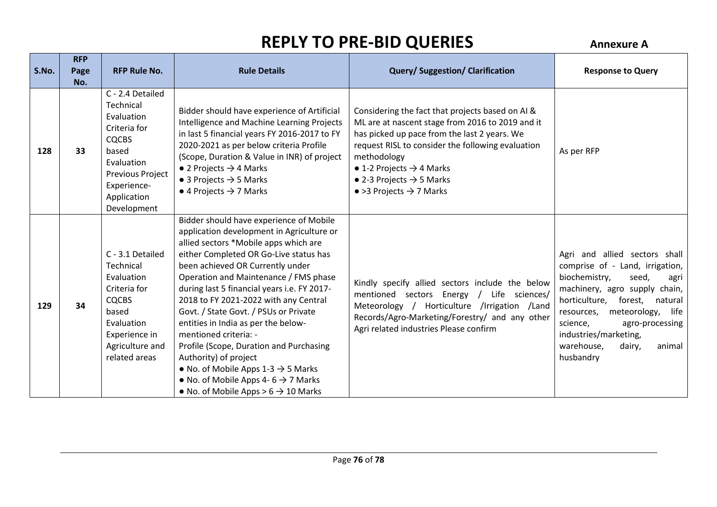|       | <b>RFP</b>  |                                                                                                                                                                     |                                                                                                                                                                                                                                                                                                                                                                                                                                                                                                                                                                                                                                                                                   |                                                                                                                                                                                                                                                                                                                                                                 |                                                                                                                                                                                                                                                                                                                            |
|-------|-------------|---------------------------------------------------------------------------------------------------------------------------------------------------------------------|-----------------------------------------------------------------------------------------------------------------------------------------------------------------------------------------------------------------------------------------------------------------------------------------------------------------------------------------------------------------------------------------------------------------------------------------------------------------------------------------------------------------------------------------------------------------------------------------------------------------------------------------------------------------------------------|-----------------------------------------------------------------------------------------------------------------------------------------------------------------------------------------------------------------------------------------------------------------------------------------------------------------------------------------------------------------|----------------------------------------------------------------------------------------------------------------------------------------------------------------------------------------------------------------------------------------------------------------------------------------------------------------------------|
| S.No. | Page<br>No. | <b>RFP Rule No.</b>                                                                                                                                                 | <b>Rule Details</b>                                                                                                                                                                                                                                                                                                                                                                                                                                                                                                                                                                                                                                                               | <b>Query/Suggestion/Clarification</b>                                                                                                                                                                                                                                                                                                                           | <b>Response to Query</b>                                                                                                                                                                                                                                                                                                   |
| 128   | 33          | C - 2.4 Detailed<br>Technical<br>Evaluation<br>Criteria for<br><b>CQCBS</b><br>based<br>Evaluation<br>Previous Project<br>Experience-<br>Application<br>Development | Bidder should have experience of Artificial<br>Intelligence and Machine Learning Projects<br>in last 5 financial years FY 2016-2017 to FY<br>2020-2021 as per below criteria Profile<br>(Scope, Duration & Value in INR) of project<br>• 2 Projects $\rightarrow$ 4 Marks<br>$\bullet$ 3 Projects $\rightarrow$ 5 Marks<br>$\bullet$ 4 Projects $\rightarrow$ 7 Marks                                                                                                                                                                                                                                                                                                             | Considering the fact that projects based on AI &<br>ML are at nascent stage from 2016 to 2019 and it<br>has picked up pace from the last 2 years. We<br>request RISL to consider the following evaluation<br>methodology<br>$\bullet$ 1-2 Projects $\rightarrow$ 4 Marks<br>• 2-3 Projects $\rightarrow$ 5 Marks<br>$\bullet$ >3 Projects $\rightarrow$ 7 Marks | As per RFP                                                                                                                                                                                                                                                                                                                 |
| 129   | 34          | C - 3.1 Detailed<br>Technical<br>Evaluation<br>Criteria for<br><b>CQCBS</b><br>based<br>Evaluation<br>Experience in<br>Agriculture and<br>related areas             | Bidder should have experience of Mobile<br>application development in Agriculture or<br>allied sectors *Mobile apps which are<br>either Completed OR Go-Live status has<br>been achieved OR Currently under<br>Operation and Maintenance / FMS phase<br>during last 5 financial years i.e. FY 2017-<br>2018 to FY 2021-2022 with any Central<br>Govt. / State Govt. / PSUs or Private<br>entities in India as per the below-<br>mentioned criteria: -<br>Profile (Scope, Duration and Purchasing<br>Authority) of project<br>• No. of Mobile Apps $1-3 \rightarrow 5$ Marks<br>• No. of Mobile Apps 4- $6 \rightarrow 7$ Marks<br>• No. of Mobile Apps > $6 \rightarrow 10$ Marks | Kindly specify allied sectors include the below<br>mentioned sectors Energy<br>Life sciences/<br>$\sqrt{ }$<br>Meteorology / Horticulture /Irrigation /Land<br>Records/Agro-Marketing/Forestry/ and any other<br>Agri related industries Please confirm                                                                                                         | and allied sectors shall<br>Agri<br>comprise of - Land, irrigation,<br>biochemistry,<br>seed,<br>agri<br>machinery, agro supply chain,<br>horticulture,<br>forest,<br>natural<br>meteorology,<br>life<br>resources,<br>science,<br>agro-processing<br>industries/marketing,<br>warehouse,<br>dairy,<br>animal<br>husbandry |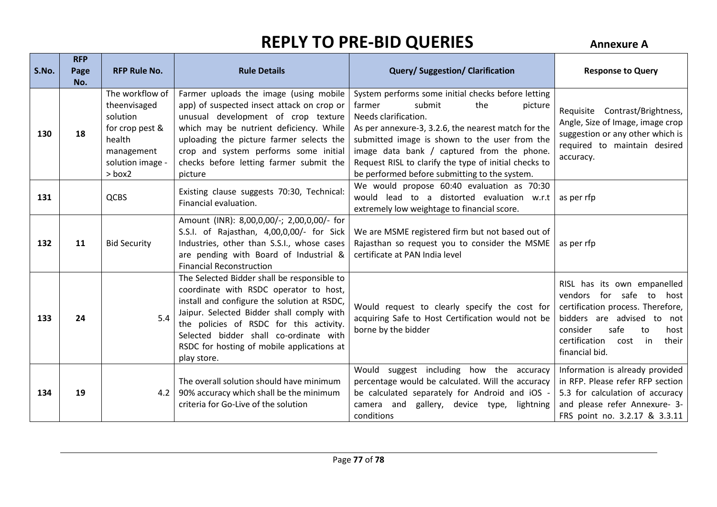| S.No. | <b>RFP</b><br>Page<br>No. | <b>RFP Rule No.</b>                                                                                                  | <b>Rule Details</b>                                                                                                                                                                                                                                                                                                                 | <b>Query/Suggestion/Clarification</b>                                                                                                                                                                                                                                                                                                                                            | <b>Response to Query</b>                                                                                                                                                                                               |
|-------|---------------------------|----------------------------------------------------------------------------------------------------------------------|-------------------------------------------------------------------------------------------------------------------------------------------------------------------------------------------------------------------------------------------------------------------------------------------------------------------------------------|----------------------------------------------------------------------------------------------------------------------------------------------------------------------------------------------------------------------------------------------------------------------------------------------------------------------------------------------------------------------------------|------------------------------------------------------------------------------------------------------------------------------------------------------------------------------------------------------------------------|
| 130   | 18                        | The workflow of<br>theenvisaged<br>solution<br>for crop pest &<br>health<br>management<br>solution image -<br>> box2 | Farmer uploads the image (using mobile<br>app) of suspected insect attack on crop or<br>unusual development of crop texture<br>which may be nutrient deficiency. While<br>uploading the picture farmer selects the<br>crop and system performs some initial<br>checks before letting farmer submit the<br>picture                   | System performs some initial checks before letting<br>farmer<br>submit<br>the<br>picture<br>Needs clarification.<br>As per annexure-3, 3.2.6, the nearest match for the<br>submitted image is shown to the user from the<br>image data bank / captured from the phone.<br>Request RISL to clarify the type of initial checks to<br>be performed before submitting to the system. | Requisite Contrast/Brightness,<br>Angle, Size of Image, image crop<br>suggestion or any other which is<br>required to maintain desired<br>accuracy.                                                                    |
| 131   |                           | QCBS                                                                                                                 | Existing clause suggests 70:30, Technical:<br>Financial evaluation.                                                                                                                                                                                                                                                                 | We would propose 60:40 evaluation as 70:30<br>would lead to a distorted evaluation w.r.t<br>extremely low weightage to financial score.                                                                                                                                                                                                                                          | as per rfp                                                                                                                                                                                                             |
| 132   | 11                        | <b>Bid Security</b>                                                                                                  | Amount (INR): 8,00,0,00/-; 2,00,0,00/- for<br>S.S.I. of Rajasthan, 4,00,0,00/- for Sick<br>Industries, other than S.S.I., whose cases<br>are pending with Board of Industrial &<br><b>Financial Reconstruction</b>                                                                                                                  | We are MSME registered firm but not based out of<br>Rajasthan so request you to consider the MSME<br>certificate at PAN India level                                                                                                                                                                                                                                              | as per rfp                                                                                                                                                                                                             |
| 133   | 24                        | 5.4                                                                                                                  | The Selected Bidder shall be responsible to<br>coordinate with RSDC operator to host,<br>install and configure the solution at RSDC,<br>Jaipur. Selected Bidder shall comply with<br>the policies of RSDC for this activity.<br>Selected bidder shall co-ordinate with<br>RSDC for hosting of mobile applications at<br>play store. | Would request to clearly specify the cost for<br>acquiring Safe to Host Certification would not be<br>borne by the bidder                                                                                                                                                                                                                                                        | RISL has its own empanelled<br>vendors for safe to host<br>certification process. Therefore,<br>bidders are advised to not<br>safe<br>consider<br>to<br>host<br>certification<br>their<br>cost<br>in<br>financial bid. |
| 134   | 19                        | 4.2                                                                                                                  | The overall solution should have minimum<br>90% accuracy which shall be the minimum<br>criteria for Go-Live of the solution                                                                                                                                                                                                         | Would<br>suggest including how the accuracy<br>percentage would be calculated. Will the accuracy<br>be calculated separately for Android and iOS -<br>camera and<br>gallery, device type,<br>lightning<br>conditions                                                                                                                                                             | Information is already provided<br>in RFP. Please refer RFP section<br>5.3 for calculation of accuracy<br>and please refer Annexure- 3-<br>FRS point no. 3.2.17 & 3.3.11                                               |